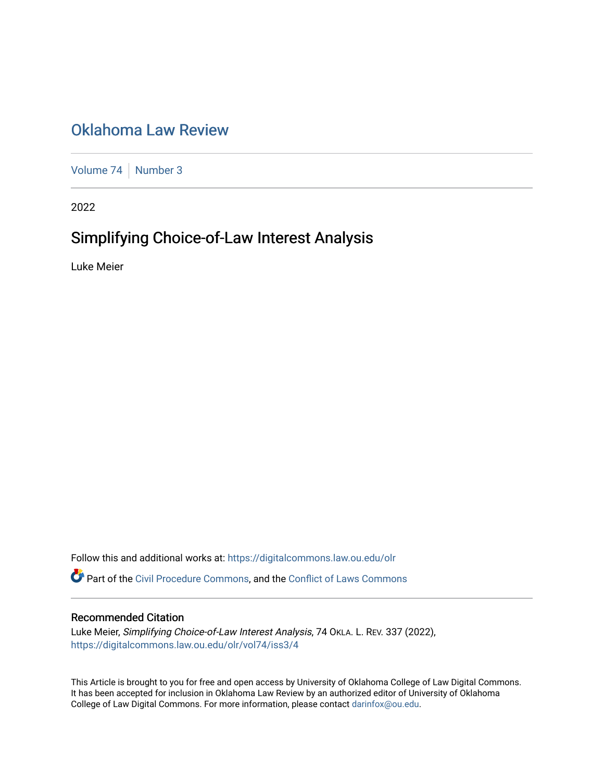# [Oklahoma Law Review](https://digitalcommons.law.ou.edu/olr)

[Volume 74](https://digitalcommons.law.ou.edu/olr/vol74) [Number 3](https://digitalcommons.law.ou.edu/olr/vol74/iss3)

2022

# Simplifying Choice-of-Law Interest Analysis

Luke Meier

Follow this and additional works at: [https://digitalcommons.law.ou.edu/olr](https://digitalcommons.law.ou.edu/olr?utm_source=digitalcommons.law.ou.edu%2Folr%2Fvol74%2Fiss3%2F4&utm_medium=PDF&utm_campaign=PDFCoverPages)

Part of the [Civil Procedure Commons,](https://network.bepress.com/hgg/discipline/584?utm_source=digitalcommons.law.ou.edu%2Folr%2Fvol74%2Fiss3%2F4&utm_medium=PDF&utm_campaign=PDFCoverPages) and the Conflict of Laws Commons

# Recommended Citation

Luke Meier, Simplifying Choice-of-Law Interest Analysis, 74 OKLA. L. REV. 337 (2022), [https://digitalcommons.law.ou.edu/olr/vol74/iss3/4](https://digitalcommons.law.ou.edu/olr/vol74/iss3/4?utm_source=digitalcommons.law.ou.edu%2Folr%2Fvol74%2Fiss3%2F4&utm_medium=PDF&utm_campaign=PDFCoverPages) 

This Article is brought to you for free and open access by University of Oklahoma College of Law Digital Commons. It has been accepted for inclusion in Oklahoma Law Review by an authorized editor of University of Oklahoma College of Law Digital Commons. For more information, please contact [darinfox@ou.edu.](mailto:darinfox@ou.edu)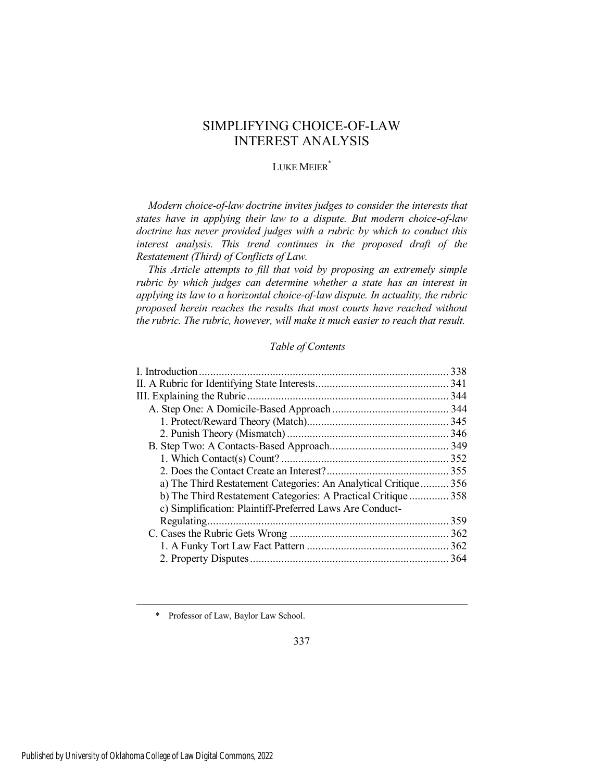# SIMPLIFYING CHOICE-OF-LAW INTEREST ANALYSIS

# LUKE MEIER<sup>\*</sup>

*Modern choice-of-law doctrine invites judges to consider the interests that states have in applying their law to a dispute. But modern choice-of-law doctrine has never provided judges with a rubric by which to conduct this interest analysis. This trend continues in the proposed draft of the Restatement (Third) of Conflicts of Law.* 

*This Article attempts to fill that void by proposing an extremely simple rubric by which judges can determine whether a state has an interest in applying its law to a horizontal choice-of-law dispute. In actuality, the rubric proposed herein reaches the results that most courts have reached without the rubric. The rubric, however, will make it much easier to reach that result.* 

### *Table of Contents*

|                                                                 | 344 |
|-----------------------------------------------------------------|-----|
|                                                                 |     |
|                                                                 |     |
|                                                                 |     |
|                                                                 |     |
|                                                                 |     |
|                                                                 |     |
| a) The Third Restatement Categories: An Analytical Critique 356 |     |
| b) The Third Restatement Categories: A Practical Critique358    |     |
| c) Simplification: Plaintiff-Preferred Laws Are Conduct-        |     |
| Regulating.                                                     | 359 |
|                                                                 |     |
|                                                                 |     |
|                                                                 |     |
|                                                                 |     |

\* Professor of Law, Baylor Law School.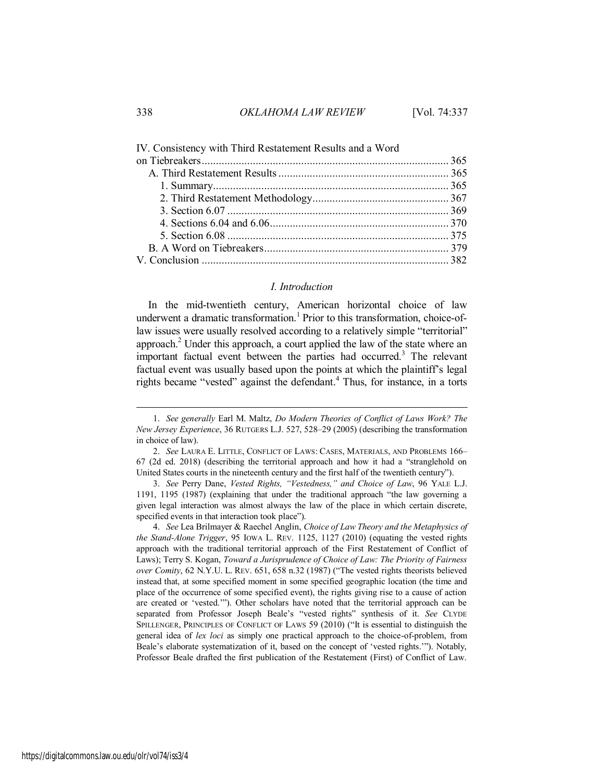| IV. Consistency with Third Restatement Results and a Word |  |
|-----------------------------------------------------------|--|
|                                                           |  |
|                                                           |  |
|                                                           |  |
|                                                           |  |
|                                                           |  |
|                                                           |  |
|                                                           |  |
|                                                           |  |
|                                                           |  |
|                                                           |  |

#### *I. Introduction*

<span id="page-2-0"></span>In the mid-twentieth century, American horizontal choice of law underwent a dramatic transformation.<sup>1</sup> Prior to this transformation, choice-oflaw issues were usually resolved according to a relatively simple "territorial" approach.<sup>2</sup> Under this approach, a court applied the law of the state where an important factual event between the parties had occurred.<sup>3</sup> The relevant factual event was usually based upon the points at which the plaintiff's legal rights became "vested" against the defendant.<sup>4</sup> Thus, for instance, in a torts

<sup>1.</sup> *See generally* Earl M. Maltz, *Do Modern Theories of Conflict of Laws Work? The New Jersey Experience*, 36 RUTGERS L.J. 527, 528–29 (2005) (describing the transformation in choice of law).

<sup>2.</sup> *See* LAURA E. LITTLE, CONFLICT OF LAWS: CASES, MATERIALS, AND PROBLEMS 166– 67 (2d ed. 2018) (describing the territorial approach and how it had a "stranglehold on United States courts in the nineteenth century and the first half of the twentieth century").

<sup>3.</sup> *See* Perry Dane, *Vested Rights, "Vestedness," and Choice of Law*, 96 YALE L.J. 1191, 1195 (1987) (explaining that under the traditional approach "the law governing a given legal interaction was almost always the law of the place in which certain discrete, specified events in that interaction took place").

<sup>4.</sup> *See* Lea Brilmayer & Raechel Anglin, *Choice of Law Theory and the Metaphysics of the Stand-Alone Trigger*, 95 IOWA L. REV. 1125, 1127 (2010) (equating the vested rights approach with the traditional territorial approach of the First Restatement of Conflict of Laws); Terry S. Kogan, *Toward a Jurisprudence of Choice of Law: The Priority of Fairness over Comity*, 62 N.Y.U. L. REV. 651, 658 n.32 (1987) ("The vested rights theorists believed instead that, at some specified moment in some specified geographic location (the time and place of the occurrence of some specified event), the rights giving rise to a cause of action are created or 'vested.'"). Other scholars have noted that the territorial approach can be separated from Professor Joseph Beale's "vested rights" synthesis of it. *See* CLYDE SPILLENGER, PRINCIPLES OF CONFLICT OF LAWS 59 (2010) ("It is essential to distinguish the general idea of *lex loci* as simply one practical approach to the choice-of-problem, from Beale's elaborate systematization of it, based on the concept of 'vested rights.'"). Notably, Professor Beale drafted the first publication of the Restatement (First) of Conflict of Law.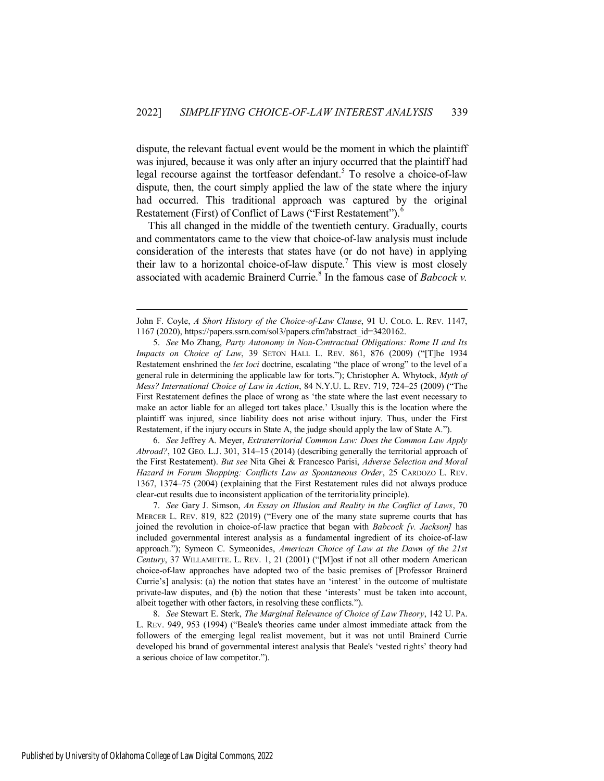dispute, the relevant factual event would be the moment in which the plaintiff was injured, because it was only after an injury occurred that the plaintiff had legal recourse against the tortfeasor defendant.<sup>5</sup> To resolve a choice-of-law dispute, then, the court simply applied the law of the state where the injury had occurred. This traditional approach was captured by the original Restatement (First) of Conflict of Laws ("First Restatement").

This all changed in the middle of the twentieth century. Gradually, courts and commentators came to the view that choice-of-law analysis must include consideration of the interests that states have (or do not have) in applying their law to a horizontal choice-of-law dispute.<sup>7</sup> This view is most closely associated with academic Brainerd Currie.<sup>8</sup> In the famous case of *Babcock v*.

6. *See* Jeffrey A. Meyer, *Extraterritorial Common Law: Does the Common Law Apply*  Abroad?, 102 GEO. L.J. 301, 314–15 (2014) (describing generally the territorial approach of the First Restatement). *But see* Nita Ghei & Francesco Parisi, *Adverse Selection and Moral Hazard in Forum Shopping: Conflicts Law as Spontaneous Order*, 25 CARDOZO L. REV. 1367, 1374–75 (2004) (explaining that the First Restatement rules did not always produce clear-cut results due to inconsistent application of the territoriality principle).

7. *See* Gary J. Simson, *An Essay on Illusion and Reality in the Conflict of Laws*, 70 MERCER L. REV. 819, 822 (2019) ("Every one of the many state supreme courts that has joined the revolution in choice-of-law practice that began with *Babcock [v. Jackson]* has included governmental interest analysis as a fundamental ingredient of its choice-of-law approach."); Symeon C. Symeonides, *American Choice of Law at the Dawn of the 21st Century*, 37 WILLAMETTE. L. REV. 1, 21 (2001) ("[M]ost if not all other modern American choice-of-law approaches have adopted two of the basic premises of [Professor Brainerd Currie's] analysis: (a) the notion that states have an 'interest' in the outcome of multistate private-law disputes, and (b) the notion that these 'interests' must be taken into account, albeit together with other factors, in resolving these conflicts.").

8. *See* Stewart E. Sterk, *The Marginal Relevance of Choice of Law Theory*, 142 U. PA. L. REV. 949, 953 (1994) ("Beale's theories came under almost immediate attack from the followers of the emerging legal realist movement, but it was not until Brainerd Currie developed his brand of governmental interest analysis that Beale's 'vested rights' theory had a serious choice of law competitor.").

John F. Coyle, *A Short History of the Choice-of-Law Clause*, 91 U. COLO. L. REV. 1147, 1167 (2020), https://papers.ssrn.com/sol3/papers.cfm?abstract\_id=3420162.

<sup>5.</sup> *See* Mo Zhang, *Party Autonomy in Non-Contractual Obligations: Rome II and Its Impacts on Choice of Law*, 39 SETON HALL L. REV. 861, 876 (2009) ("[T]he 1934 Restatement enshrined the *lex loci* doctrine, escalating "the place of wrong" to the level of a general rule in determining the applicable law for torts."); Christopher A. Whytock, *Myth of Mess? International Choice of Law in Action*, 84 N.Y.U. L. REV. 719, 724–25 (2009) ("The First Restatement defines the place of wrong as 'the state where the last event necessary to make an actor liable for an alleged tort takes place.' Usually this is the location where the plaintiff was injured, since liability does not arise without injury. Thus, under the First Restatement, if the injury occurs in State A, the judge should apply the law of State A.").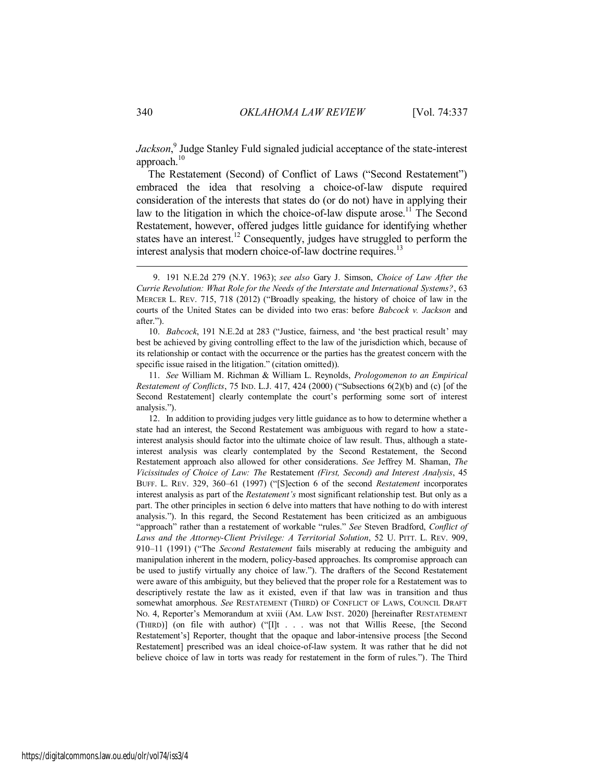*Jackson*, 9 Judge Stanley Fuld signaled judicial acceptance of the state-interest approach.<sup>10</sup>

The Restatement (Second) of Conflict of Laws ("Second Restatement") embraced the idea that resolving a choice-of-law dispute required consideration of the interests that states do (or do not) have in applying their law to the litigation in which the choice-of-law dispute arose.<sup>11</sup> The Second Restatement, however, offered judges little guidance for identifying whether states have an interest.<sup>12</sup> Consequently, judges have struggled to perform the interest analysis that modern choice-of-law doctrine requires.<sup>13</sup>

10. *Babcock*, 191 N.E.2d at 283 ("Justice, fairness, and 'the best practical result' may best be achieved by giving controlling effect to the law of the jurisdiction which, because of its relationship or contact with the occurrence or the parties has the greatest concern with the specific issue raised in the litigation." (citation omitted)).

11. *See* William M. Richman & William L. Reynolds, *Prologomenon to an Empirical Restatement of Conflicts*, 75 IND. L.J. 417, 424 (2000) ("Subsections 6(2)(b) and (c) [of the Second Restatement] clearly contemplate the court's performing some sort of interest analysis.").

12. In addition to providing judges very little guidance as to how to determine whether a state had an interest, the Second Restatement was ambiguous with regard to how a stateinterest analysis should factor into the ultimate choice of law result. Thus, although a stateinterest analysis was clearly contemplated by the Second Restatement, the Second Restatement approach also allowed for other considerations. *See* Jeffrey M. Shaman, *The Vicissitudes of Choice of Law: The* Restatement *(First, Second) and Interest Analysis*, 45 BUFF. L. REV. 329, 360–61 (1997) ("[S]ection 6 of the second *Restatement* incorporates interest analysis as part of the *Restatement's* most significant relationship test. But only as a part. The other principles in section 6 delve into matters that have nothing to do with interest analysis."). In this regard, the Second Restatement has been criticized as an ambiguous "approach" rather than a restatement of workable "rules." *See* Steven Bradford, *Conflict of Laws and the Attorney-Client Privilege: A Territorial Solution*, 52 U. PITT. L. REV. 909, 910–11 (1991) ("The *Second Restatement* fails miserably at reducing the ambiguity and manipulation inherent in the modern, policy-based approaches. Its compromise approach can be used to justify virtually any choice of law."). The drafters of the Second Restatement were aware of this ambiguity, but they believed that the proper role for a Restatement was to descriptively restate the law as it existed, even if that law was in transition and thus somewhat amorphous. *See* RESTATEMENT (THIRD) OF CONFLICT OF LAWS, COUNCIL DRAFT NO. 4, Reporter's Memorandum at xviii (AM. LAW INST. 2020) [hereinafter RESTATEMENT (THIRD)] (on file with author) ("[I]t . . . was not that Willis Reese, [the Second Restatement's] Reporter, thought that the opaque and labor-intensive process [the Second Restatement] prescribed was an ideal choice-of-law system. It was rather that he did not believe choice of law in torts was ready for restatement in the form of rules."). The Third

<span id="page-4-0"></span><sup>9. 191</sup> N.E.2d 279 (N.Y. 1963); *see also* Gary J. Simson, *Choice of Law After the Currie Revolution: What Role for the Needs of the Interstate and International Systems?*, 63 MERCER L. REV. 715, 718 (2012) ("Broadly speaking, the history of choice of law in the courts of the United States can be divided into two eras: before *Babcock v. Jackson* and after.").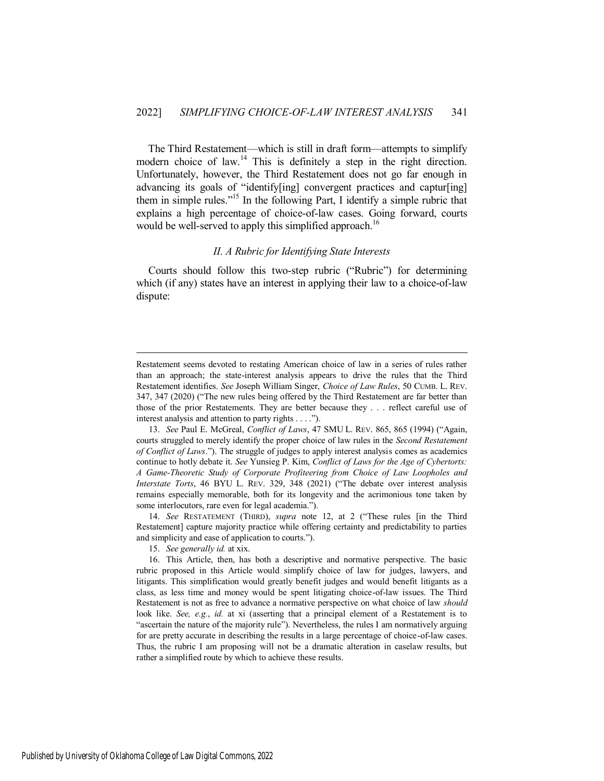The Third Restatement—which is still in draft form—attempts to simplify modern choice of law.<sup>14</sup> This is definitely a step in the right direction. Unfortunately, however, the Third Restatement does not go far enough in advancing its goals of "identify[ing] convergent practices and captur[ing] them in simple rules."<sup>15</sup> In the following Part, I identify a simple rubric that explains a high percentage of choice-of-law cases. Going forward, courts would be well-served to apply this simplified approach.<sup>16</sup>

#### *II. A Rubric for Identifying State Interests*

<span id="page-5-0"></span>Courts should follow this two-step rubric ("Rubric") for determining which (if any) states have an interest in applying their law to a choice-of-law dispute:

14. *See* RESTATEMENT (THIRD), *supra* note 12, at 2 ("These rules [in the Third Restatement] capture majority practice while offering certainty and predictability to parties and simplicity and ease of application to courts.").

15. *See generally id.* at xix.

Restatement seems devoted to restating American choice of law in a series of rules rather than an approach; the state-interest analysis appears to drive the rules that the Third Restatement identifies. *See* Joseph William Singer, *Choice of Law Rules*, 50 CUMB. L. REV. 347, 347 (2020) ("The new rules being offered by the Third Restatement are far better than those of the prior Restatements. They are better because they . . . reflect careful use of interest analysis and attention to party rights . . . .").

<sup>13.</sup> *See* Paul E. McGreal, *Conflict of Laws*, 47 SMU L. REV. 865, 865 (1994) ("Again, courts struggled to merely identify the proper choice of law rules in the *Second Restatement of Conflict of Laws*."). The struggle of judges to apply interest analysis comes as academics continue to hotly debate it. *See* Yunsieg P. Kim, *Conflict of Laws for the Age of Cybertorts: A Game-Theoretic Study of Corporate Profiteering from Choice of Law Loopholes and Interstate Torts*, 46 BYU L. REV. 329, 348 (2021) ("The debate over interest analysis remains especially memorable, both for its longevity and the acrimonious tone taken by some interlocutors, rare even for legal academia.").

<sup>16.</sup> This Article, then, has both a descriptive and normative perspective. The basic rubric proposed in this Article would simplify choice of law for judges, lawyers, and litigants. This simplification would greatly benefit judges and would benefit litigants as a class, as less time and money would be spent litigating choice-of-law issues. The Third Restatement is not as free to advance a normative perspective on what choice of law *should* look like. *See, e.g.*, *id.* at xi (asserting that a principal element of a Restatement is to "ascertain the nature of the majority rule"). Nevertheless, the rules I am normatively arguing for are pretty accurate in describing the results in a large percentage of choice-of-law cases. Thus, the rubric I am proposing will not be a dramatic alteration in caselaw results, but rather a simplified route by which to achieve these results.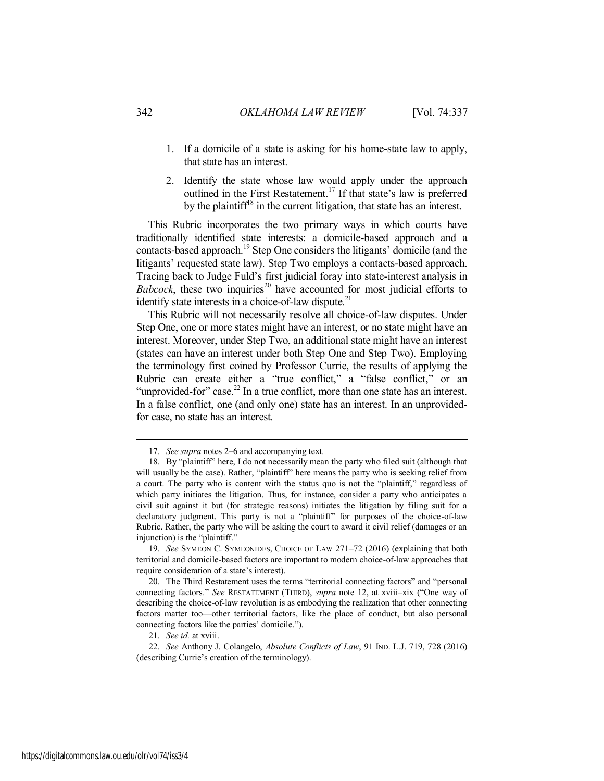- 1. If a domicile of a state is asking for his home-state law to apply, that state has an interest.
- 2. Identify the state whose law would apply under the approach outlined in the First Restatement.<sup>17</sup> If that state's law is preferred by the plaintiff<sup>18</sup> in the current litigation, that state has an interest.

This Rubric incorporates the two primary ways in which courts have traditionally identified state interests: a domicile-based approach and a contacts-based approach.<sup>19</sup> Step One considers the litigants' domicile (and the litigants' requested state law). Step Two employs a contacts-based approach. Tracing back to Judge Fuld's first judicial foray into state-interest analysis in  $Babcock$ , these two inquiries<sup>20</sup> have accounted for most judicial efforts to identify state interests in a choice-of-law dispute.<sup>21</sup>

This Rubric will not necessarily resolve all choice-of-law disputes. Under Step One, one or more states might have an interest, or no state might have an interest. Moreover, under Step Two, an additional state might have an interest (states can have an interest under both Step One and Step Two). Employing the terminology first coined by Professor Currie, the results of applying the Rubric can create either a "true conflict," a "false conflict," or an "unprovided-for" case.<sup>22</sup> In a true conflict, more than one state has an interest. In a false conflict, one (and only one) state has an interest. In an unprovidedfor case, no state has an interest.

19. *See* SYMEON C. SYMEONIDES, CHOICE OF LAW 271–72 (2016) (explaining that both territorial and domicile-based factors are important to modern choice-of-law approaches that require consideration of a state's interest).

20. The Third Restatement uses the terms "territorial connecting factors" and "personal connecting factors." *See* RESTATEMENT (THIRD), *supra* note 12, at xviii–xix ("One way of describing the choice-of-law revolution is as embodying the realization that other connecting factors matter too—other territorial factors, like the place of conduct, but also personal connecting factors like the parties' domicile.").

21. *See id.* at xviii.

22. *See* Anthony J. Colangelo, *Absolute Conflicts of Law*, 91 IND. L.J. 719, 728 (2016) (describing Currie's creation of the terminology).

<sup>17.</sup> *See supra* notes 2–6 and accompanying text.

<sup>18.</sup> By "plaintiff" here, I do not necessarily mean the party who filed suit (although that will usually be the case). Rather, "plaintiff" here means the party who is seeking relief from a court. The party who is content with the status quo is not the "plaintiff," regardless of which party initiates the litigation. Thus, for instance, consider a party who anticipates a civil suit against it but (for strategic reasons) initiates the litigation by filing suit for a declaratory judgment. This party is not a "plaintiff" for purposes of the choice-of-law Rubric. Rather, the party who will be asking the court to award it civil relief (damages or an injunction) is the "plaintiff."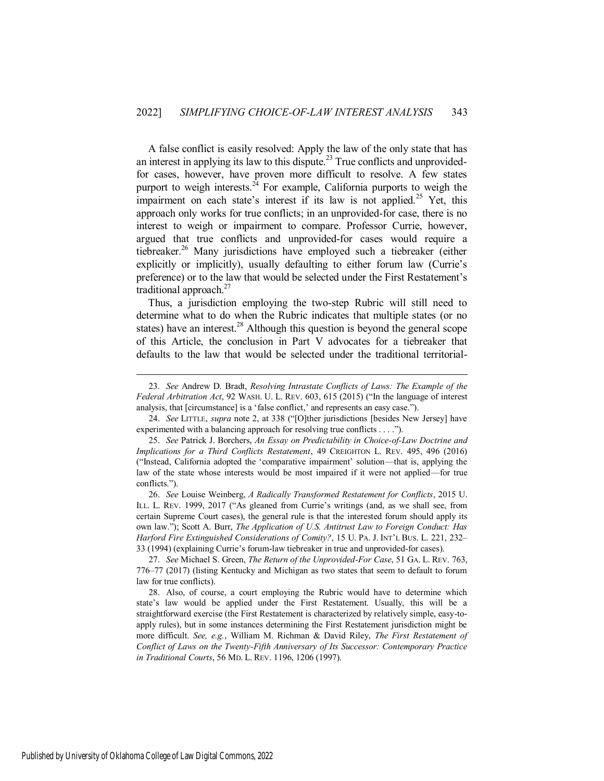A false conflict is easily resolved: Apply the law of the only state that has an interest in applying its law to this dispute.<sup>23</sup> True conflicts and unprovidedfor cases, however, have proven more difficult to resolve. A few states purport to weigh interests.<sup>24</sup> For example, California purports to weigh the impairment on each state's interest if its law is not applied.<sup>25</sup> Yet, this approach only works for true conflicts; in an unprovided-for case, there is no interest to weigh or impairment to compare. Professor Currie, however, argued that true conflicts and unprovided-for cases would require a tiebreaker.<sup>26</sup> Many jurisdictions have employed such a tiebreaker (either explicitly or implicitly), usually defaulting to either forum law (Currie's preference) or to the law that would be selected under the First Restatement's traditional approach.<sup>27</sup>

Thus, a jurisdiction employing the two-step Rubric will still need to determine what to do when the Rubric indicates that multiple states (or no states) have an interest. $^{28}$  Although this question is beyond the general scope of this Article, the conclusion in Part V advocates for a tiebreaker that defaults to the law that would be selected under the traditional territorial-

<sup>23.</sup> *See* Andrew D. Bradt, *Resolving Intrastate Conflicts of Laws: The Example of the Federal Arbitration Act*, 92 WASH. U. L. REV. 603, 615 (2015) ("In the language of interest analysis, that [circumstance] is a 'false conflict,' and represents an easy case.").

<sup>24.</sup> *See* LITTLE, *supra* note 2, at 338 ("[O]ther jurisdictions [besides New Jersey] have experimented with a balancing approach for resolving true conflicts . . . .").

<sup>25.</sup> *See* Patrick J. Borchers, *An Essay on Predictability in Choice-of-Law Doctrine and Implications for a Third Conflicts Restatement*, 49 CREIGHTON L. REV. 495, 496 (2016) ("Instead, California adopted the 'comparative impairment' solution—that is, applying the law of the state whose interests would be most impaired if it were not applied—for true conflicts.").

<sup>26.</sup> *See* Louise Weinberg, *A Radically Transformed Restatement for Conflicts*, 2015 U. ILL. L. REV. 1999, 2017 ("As gleaned from Currie's writings (and, as we shall see, from certain Supreme Court cases), the general rule is that the interested forum should apply its own law."); Scott A. Burr, *The Application of U.S. Antitrust Law to Foreign Conduct: Has Harford Fire Extinguished Considerations of Comity?*, 15 U. PA. J. INT'L BUS. L. 221, 232– 33 (1994) (explaining Currie's forum-law tiebreaker in true and unprovided-for cases).

<sup>27.</sup> *See* Michael S. Green, *The Return of the Unprovided-For Case*, 51 GA. L. REV. 763, 776–77 (2017) (listing Kentucky and Michigan as two states that seem to default to forum law for true conflicts).

<sup>28.</sup> Also, of course, a court employing the Rubric would have to determine which state's law would be applied under the First Restatement. Usually, this will be a straightforward exercise (the First Restatement is characterized by relatively simple, easy-toapply rules), but in some instances determining the First Restatement jurisdiction might be more difficult. *See, e.g.*, William M. Richman & David Riley, *The First Restatement of Conflict of Laws on the Twenty-Fifth Anniversary of Its Successor: Contemporary Practice in Traditional Courts*, 56 MD. L. REV. 1196, 1206 (1997).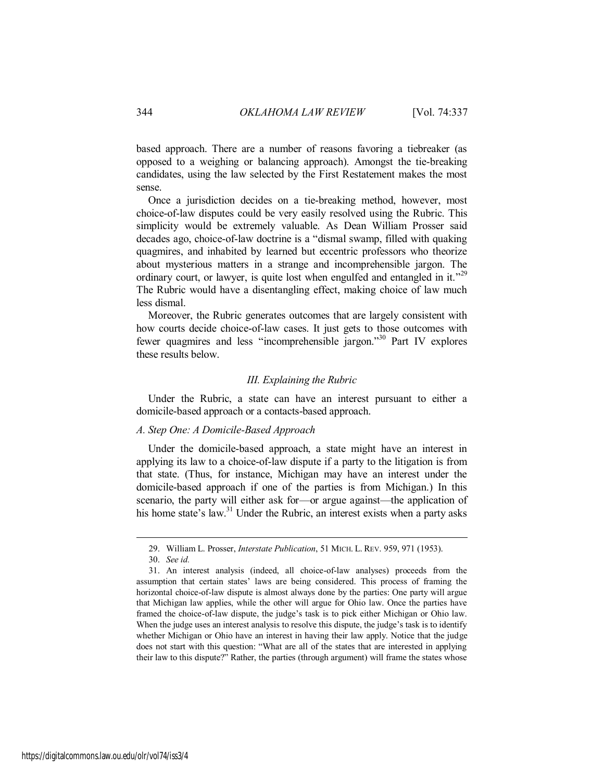based approach. There are a number of reasons favoring a tiebreaker (as opposed to a weighing or balancing approach). Amongst the tie-breaking candidates, using the law selected by the First Restatement makes the most sense.

Once a jurisdiction decides on a tie-breaking method, however, most choice-of-law disputes could be very easily resolved using the Rubric. This simplicity would be extremely valuable. As Dean William Prosser said decades ago, choice-of-law doctrine is a "dismal swamp, filled with quaking quagmires, and inhabited by learned but eccentric professors who theorize about mysterious matters in a strange and incomprehensible jargon. The ordinary court, or lawyer, is quite lost when engulfed and entangled in it."<sup>29</sup> The Rubric would have a disentangling effect, making choice of law much less dismal.

Moreover, the Rubric generates outcomes that are largely consistent with how courts decide choice-of-law cases. It just gets to those outcomes with fewer quagmires and less "incomprehensible jargon."<sup>30</sup> Part IV explores these results below.

#### *III. Explaining the Rubric*

<span id="page-8-0"></span>Under the Rubric, a state can have an interest pursuant to either a domicile-based approach or a contacts-based approach.

#### <span id="page-8-1"></span>*A. Step One: A Domicile-Based Approach*

Under the domicile-based approach, a state might have an interest in applying its law to a choice-of-law dispute if a party to the litigation is from that state. (Thus, for instance, Michigan may have an interest under the domicile-based approach if one of the parties is from Michigan.) In this scenario, the party will either ask for—or argue against—the application of his home state's law.<sup>31</sup> Under the Rubric, an interest exists when a party asks

<sup>29.</sup> William L. Prosser, *Interstate Publication*, 51 MICH. L. REV. 959, 971 (1953).

<sup>30.</sup> *See id.*

<sup>31.</sup> An interest analysis (indeed, all choice-of-law analyses) proceeds from the assumption that certain states' laws are being considered. This process of framing the horizontal choice-of-law dispute is almost always done by the parties: One party will argue that Michigan law applies, while the other will argue for Ohio law. Once the parties have framed the choice-of-law dispute, the judge's task is to pick either Michigan or Ohio law. When the judge uses an interest analysis to resolve this dispute, the judge's task is to identify whether Michigan or Ohio have an interest in having their law apply. Notice that the judge does not start with this question: "What are all of the states that are interested in applying their law to this dispute?" Rather, the parties (through argument) will frame the states whose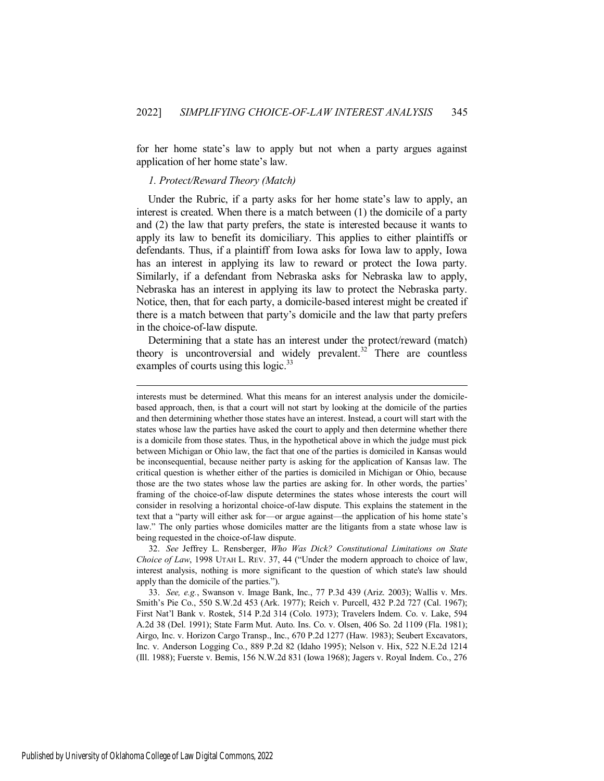for her home state's law to apply but not when a party argues against application of her home state's law.

#### <span id="page-9-0"></span>*1. Protect/Reward Theory (Match)*

Under the Rubric, if a party asks for her home state's law to apply, an interest is created. When there is a match between (1) the domicile of a party and (2) the law that party prefers, the state is interested because it wants to apply its law to benefit its domiciliary. This applies to either plaintiffs or defendants. Thus, if a plaintiff from Iowa asks for Iowa law to apply, Iowa has an interest in applying its law to reward or protect the Iowa party. Similarly, if a defendant from Nebraska asks for Nebraska law to apply, Nebraska has an interest in applying its law to protect the Nebraska party. Notice, then, that for each party, a domicile-based interest might be created if there is a match between that party's domicile and the law that party prefers in the choice-of-law dispute.

Determining that a state has an interest under the protect/reward (match) theory is uncontroversial and widely prevalent. $32$  There are countless examples of courts using this logic.<sup>33</sup>

32. *See* Jeffrey L. Rensberger, *Who Was Dick? Constitutional Limitations on State Choice of Law*, 1998 UTAH L. REV. 37, 44 ("Under the modern approach to choice of law, interest analysis, nothing is more significant to the question of which state's law should apply than the domicile of the parties.").

33. *See, e.g.*, Swanson v. Image Bank, Inc., 77 P.3d 439 (Ariz. 2003); Wallis v. Mrs. Smith's Pie Co., 550 S.W.2d 453 (Ark. 1977); Reich v. Purcell, 432 P.2d 727 (Cal. 1967); First Nat'l Bank v. Rostek, 514 P.2d 314 (Colo. 1973); Travelers Indem. Co. v. Lake, 594 A.2d 38 (Del. 1991); State Farm Mut. Auto. Ins. Co. v. Olsen, 406 So. 2d 1109 (Fla. 1981); Airgo, Inc. v. Horizon Cargo Transp., Inc., 670 P.2d 1277 (Haw. 1983); Seubert Excavators, Inc. v. Anderson Logging Co., 889 P.2d 82 (Idaho 1995); Nelson v. Hix, 522 N.E.2d 1214 (Ill. 1988); Fuerste v. Bemis, 156 N.W.2d 831 (Iowa 1968); Jagers v. Royal Indem. Co., 276

interests must be determined. What this means for an interest analysis under the domicilebased approach, then, is that a court will not start by looking at the domicile of the parties and then determining whether those states have an interest. Instead, a court will start with the states whose law the parties have asked the court to apply and then determine whether there is a domicile from those states. Thus, in the hypothetical above in which the judge must pick between Michigan or Ohio law, the fact that one of the parties is domiciled in Kansas would be inconsequential, because neither party is asking for the application of Kansas law. The critical question is whether either of the parties is domiciled in Michigan or Ohio, because those are the two states whose law the parties are asking for. In other words, the parties' framing of the choice-of-law dispute determines the states whose interests the court will consider in resolving a horizontal choice-of-law dispute. This explains the statement in the text that a "party will either ask for—or argue against—the application of his home state's law." The only parties whose domiciles matter are the litigants from a state whose law is being requested in the choice-of-law dispute.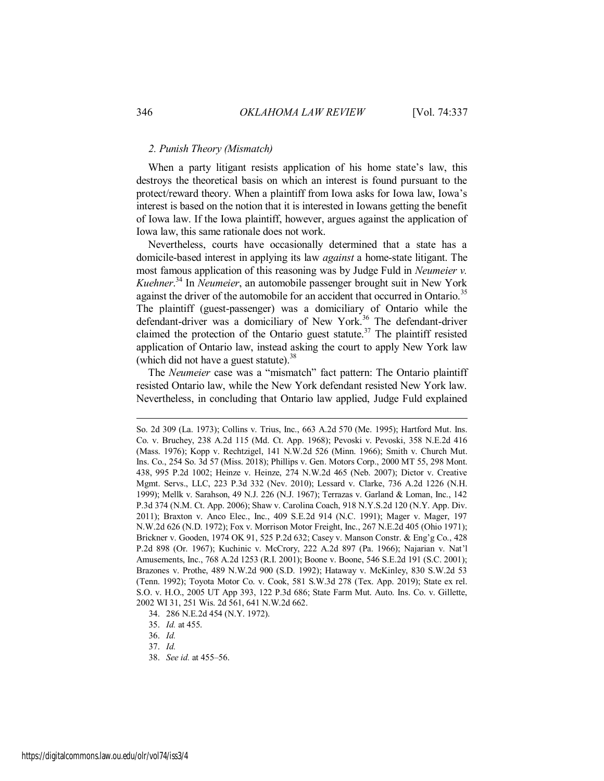## <span id="page-10-0"></span>*2. Punish Theory (Mismatch)*

When a party litigant resists application of his home state's law, this destroys the theoretical basis on which an interest is found pursuant to the protect/reward theory. When a plaintiff from Iowa asks for Iowa law, Iowa's interest is based on the notion that it is interested in Iowans getting the benefit of Iowa law. If the Iowa plaintiff, however, argues against the application of Iowa law, this same rationale does not work.

Nevertheless, courts have occasionally determined that a state has a domicile-based interest in applying its law *against* a home-state litigant. The most famous application of this reasoning was by Judge Fuld in *Neumeier v. Kuehner*. <sup>34</sup> In *Neumeier*, an automobile passenger brought suit in New York against the driver of the automobile for an accident that occurred in Ontario.<sup>35</sup> The plaintiff (guest-passenger) was a domiciliary of Ontario while the defendant-driver was a domiciliary of New York.<sup>36</sup> The defendant-driver claimed the protection of the Ontario guest statute.<sup>37</sup> The plaintiff resisted application of Ontario law, instead asking the court to apply New York law (which did not have a guest statute).<sup>38</sup>

The *Neumeier* case was a "mismatch" fact pattern: The Ontario plaintiff resisted Ontario law, while the New York defendant resisted New York law. Nevertheless, in concluding that Ontario law applied, Judge Fuld explained

So. 2d 309 (La. 1973); Collins v. Trius, Inc., 663 A.2d 570 (Me. 1995); Hartford Mut. Ins. Co. v. Bruchey, 238 A.2d 115 (Md. Ct. App. 1968); Pevoski v. Pevoski, 358 N.E.2d 416 (Mass. 1976); Kopp v. Rechtzigel, 141 N.W.2d 526 (Minn. 1966); Smith v. Church Mut. Ins. Co., 254 So. 3d 57 (Miss. 2018); Phillips v. Gen. Motors Corp., 2000 MT 55, 298 Mont. 438, 995 P.2d 1002; Heinze v. Heinze, 274 N.W.2d 465 (Neb. 2007); Dictor v. Creative Mgmt. Servs., LLC, 223 P.3d 332 (Nev. 2010); Lessard v. Clarke, 736 A.2d 1226 (N.H. 1999); Mellk v. Sarahson, 49 N.J. 226 (N.J. 1967); Terrazas v. Garland & Loman, Inc., 142 P.3d 374 (N.M. Ct. App. 2006); Shaw v. Carolina Coach, 918 N.Y.S.2d 120 (N.Y. App. Div. 2011); Braxton v. Anco Elec., Inc., 409 S.E.2d 914 (N.C. 1991); Mager v. Mager, 197 N.W.2d 626 (N.D. 1972); Fox v. Morrison Motor Freight, Inc., 267 N.E.2d 405 (Ohio 1971); Brickner v. Gooden, 1974 OK 91, 525 P.2d 632; Casey v. Manson Constr. & Eng'g Co., 428 P.2d 898 (Or. 1967); Kuchinic v. McCrory, 222 A.2d 897 (Pa. 1966); Najarian v. Nat'l Amusements, Inc., 768 A.2d 1253 (R.I. 2001); Boone v. Boone, 546 S.E.2d 191 (S.C. 2001); Brazones v. Prothe, 489 N.W.2d 900 (S.D. 1992); Hataway v. McKinley, 830 S.W.2d 53 (Tenn. 1992); Toyota Motor Co. v. Cook, 581 S.W.3d 278 (Tex. App. 2019); State ex rel. S.O. v. H.O., 2005 UT App 393, 122 P.3d 686; State Farm Mut. Auto. Ins. Co. v. Gillette, 2002 WI 31, 251 Wis. 2d 561, 641 N.W.2d 662.

<sup>34. 286</sup> N.E.2d 454 (N.Y. 1972).

<sup>35.</sup> *Id.* at 455.

<sup>36.</sup> *Id.*

<sup>37.</sup> *Id.*

<sup>38.</sup> *See id.* at 455–56.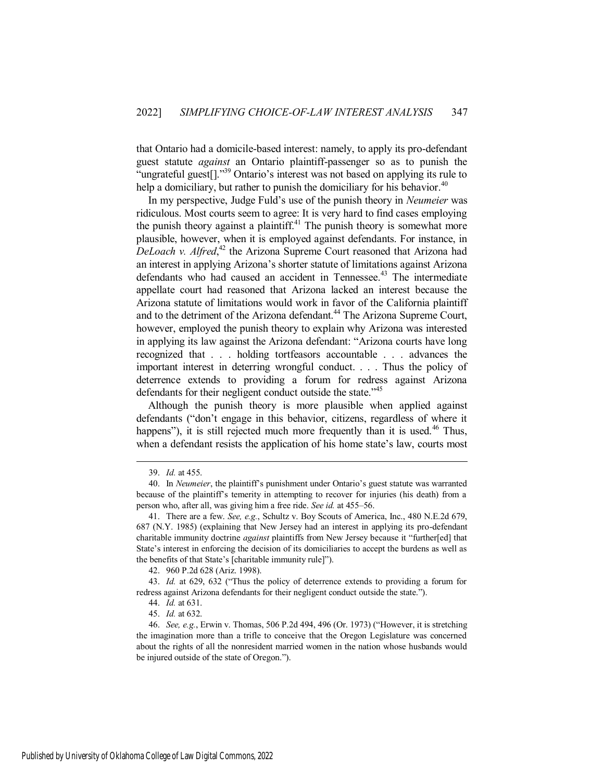that Ontario had a domicile-based interest: namely, to apply its pro-defendant guest statute *against* an Ontario plaintiff-passenger so as to punish the "ungrateful guest<sup>[]</sup>."<sup>39</sup> Ontario's interest was not based on applying its rule to help a domiciliary, but rather to punish the domiciliary for his behavior.<sup>40</sup>

In my perspective, Judge Fuld's use of the punish theory in *Neumeier* was ridiculous. Most courts seem to agree: It is very hard to find cases employing the punish theory against a plaintiff.<sup>41</sup> The punish theory is somewhat more plausible, however, when it is employed against defendants. For instance, in DeLoach v. Alfred,<sup>42</sup> the Arizona Supreme Court reasoned that Arizona had an interest in applying Arizona's shorter statute of limitations against Arizona defendants who had caused an accident in Tennessee.<sup>43</sup> The intermediate appellate court had reasoned that Arizona lacked an interest because the Arizona statute of limitations would work in favor of the California plaintiff and to the detriment of the Arizona defendant.<sup>44</sup> The Arizona Supreme Court, however, employed the punish theory to explain why Arizona was interested in applying its law against the Arizona defendant: "Arizona courts have long recognized that . . . holding tortfeasors accountable . . . advances the important interest in deterring wrongful conduct. . . . Thus the policy of deterrence extends to providing a forum for redress against Arizona defendants for their negligent conduct outside the state."<sup>45</sup>

Although the punish theory is more plausible when applied against defendants ("don't engage in this behavior, citizens, regardless of where it happens"), it is still rejected much more frequently than it is used.<sup>46</sup> Thus, when a defendant resists the application of his home state's law, courts most

<sup>39.</sup> *Id.* at 455.

<sup>40.</sup> In *Neumeier*, the plaintiff's punishment under Ontario's guest statute was warranted because of the plaintiff's temerity in attempting to recover for injuries (his death) from a person who, after all, was giving him a free ride. *See id.* at 455–56.

<sup>41.</sup> There are a few. *See, e.g.*, Schultz v. Boy Scouts of America, Inc., 480 N.E.2d 679, 687 (N.Y. 1985) (explaining that New Jersey had an interest in applying its pro-defendant charitable immunity doctrine *against* plaintiffs from New Jersey because it "further[ed] that State's interest in enforcing the decision of its domiciliaries to accept the burdens as well as the benefits of that State's [charitable immunity rule]").

<sup>42. 960</sup> P.2d 628 (Ariz. 1998).

<sup>43.</sup> *Id.* at 629, 632 ("Thus the policy of deterrence extends to providing a forum for redress against Arizona defendants for their negligent conduct outside the state.").

<sup>44.</sup> *Id.* at 631.

<sup>45.</sup> *Id.* at 632.

<sup>46.</sup> *See, e.g.*, Erwin v. Thomas, 506 P.2d 494, 496 (Or. 1973) ("However, it is stretching the imagination more than a trifle to conceive that the Oregon Legislature was concerned about the rights of all the nonresident married women in the nation whose husbands would be injured outside of the state of Oregon.").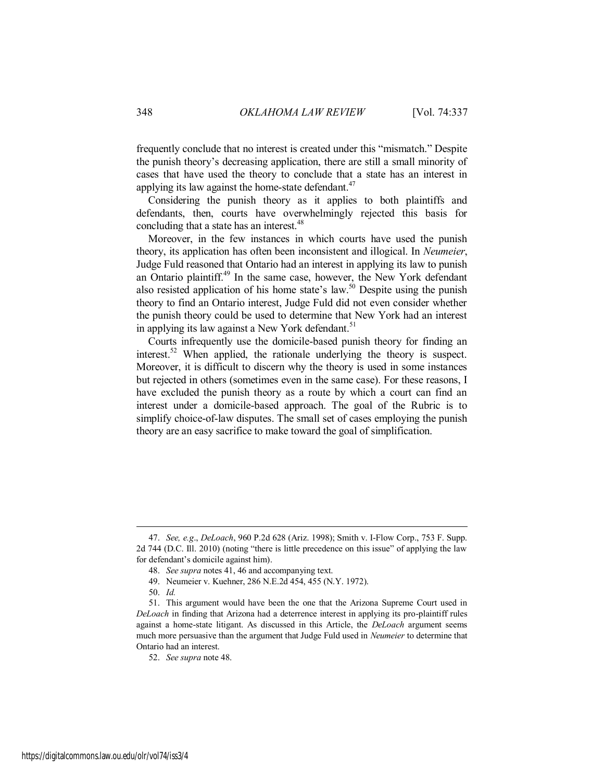frequently conclude that no interest is created under this "mismatch." Despite the punish theory's decreasing application, there are still a small minority of cases that have used the theory to conclude that a state has an interest in applying its law against the home-state defendant.<sup> $47$ </sup>

Considering the punish theory as it applies to both plaintiffs and defendants, then, courts have overwhelmingly rejected this basis for concluding that a state has an interest.<sup>48</sup>

Moreover, in the few instances in which courts have used the punish theory, its application has often been inconsistent and illogical. In *Neumeier*, Judge Fuld reasoned that Ontario had an interest in applying its law to punish an Ontario plaintiff.<sup>49</sup> In the same case, however, the New York defendant also resisted application of his home state's law.<sup>50</sup> Despite using the punish theory to find an Ontario interest, Judge Fuld did not even consider whether the punish theory could be used to determine that New York had an interest in applying its law against a New York defendant.<sup>51</sup>

Courts infrequently use the domicile-based punish theory for finding an interest.<sup>52</sup> When applied, the rationale underlying the theory is suspect. Moreover, it is difficult to discern why the theory is used in some instances but rejected in others (sometimes even in the same case). For these reasons, I have excluded the punish theory as a route by which a court can find an interest under a domicile-based approach. The goal of the Rubric is to simplify choice-of-law disputes. The small set of cases employing the punish theory are an easy sacrifice to make toward the goal of simplification.

<span id="page-12-0"></span><sup>47.</sup> *See, e.g*., *DeLoach*, 960 P.2d 628 (Ariz. 1998); Smith v. I-Flow Corp., 753 F. Supp. 2d 744 (D.C. Ill. 2010) (noting "there is little precedence on this issue" of applying the law for defendant's domicile against him).

<sup>48.</sup> *See supra* notes 41, 46 and accompanying text.

<sup>49.</sup> Neumeier v. Kuehner, 286 N.E.2d 454, 455 (N.Y. 1972).

<sup>50.</sup> *Id.*

<sup>51.</sup> This argument would have been the one that the Arizona Supreme Court used in *DeLoach* in finding that Arizona had a deterrence interest in applying its pro-plaintiff rules against a home-state litigant. As discussed in this Article, the *DeLoach* argument seems much more persuasive than the argument that Judge Fuld used in *Neumeier* to determine that Ontario had an interest.

<sup>52.</sup> *See supra* note 48.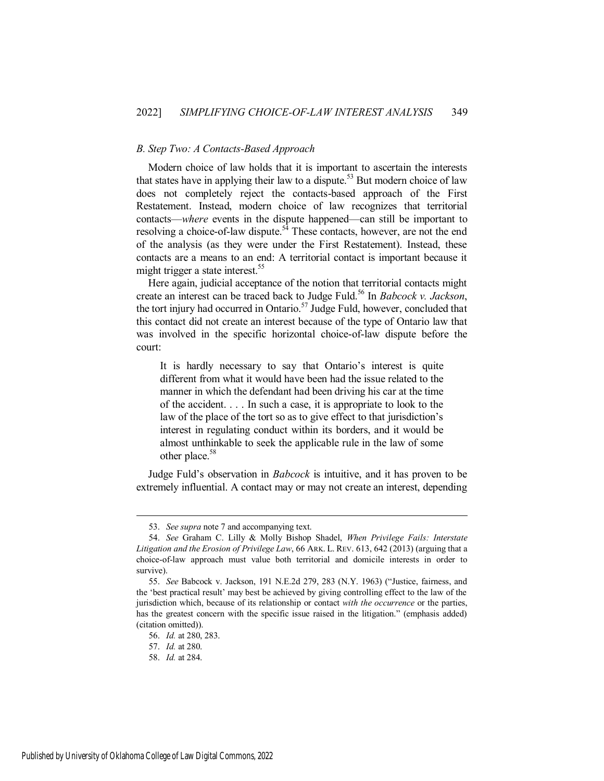# *B. Step Two: A Contacts-Based Approach*

Modern choice of law holds that it is important to ascertain the interests that states have in applying their law to a dispute.<sup>53</sup> But modern choice of law does not completely reject the contacts-based approach of the First Restatement. Instead, modern choice of law recognizes that territorial contacts—*where* events in the dispute happened—can still be important to resolving a choice-of-law dispute.<sup>54</sup> These contacts, however, are not the end of the analysis (as they were under the First Restatement). Instead, these contacts are a means to an end: A territorial contact is important because it might trigger a state interest.<sup>55</sup>

Here again, judicial acceptance of the notion that territorial contacts might create an interest can be traced back to Judge Fuld.<sup>56</sup> In *Babcock v. Jackson*, the tort injury had occurred in Ontario.<sup>57</sup> Judge Fuld, however, concluded that this contact did not create an interest because of the type of Ontario law that was involved in the specific horizontal choice-of-law dispute before the court:

It is hardly necessary to say that Ontario's interest is quite different from what it would have been had the issue related to the manner in which the defendant had been driving his car at the time of the accident. . . . In such a case, it is appropriate to look to the law of the place of the tort so as to give effect to that jurisdiction's interest in regulating conduct within its borders, and it would be almost unthinkable to seek the applicable rule in the law of some other place.<sup>58</sup>

Judge Fuld's observation in *Babcock* is intuitive, and it has proven to be extremely influential. A contact may or may not create an interest, depending

<sup>53.</sup> *See supra* note 7 and accompanying text.

<sup>54.</sup> *See* Graham C. Lilly & Molly Bishop Shadel, *When Privilege Fails: Interstate Litigation and the Erosion of Privilege Law*, 66 ARK. L. REV. 613, 642 (2013) (arguing that a choice-of-law approach must value both territorial and domicile interests in order to survive).

<sup>55.</sup> *See* Babcock v. Jackson, 191 N.E.2d 279, 283 (N.Y. 1963) ("Justice, fairness, and the 'best practical result' may best be achieved by giving controlling effect to the law of the jurisdiction which, because of its relationship or contact *with the occurrence* or the parties, has the greatest concern with the specific issue raised in the litigation." (emphasis added) (citation omitted)).

<sup>56.</sup> *Id.* at 280, 283.

<sup>57.</sup> *Id.* at 280.

<sup>58.</sup> *Id.* at 284.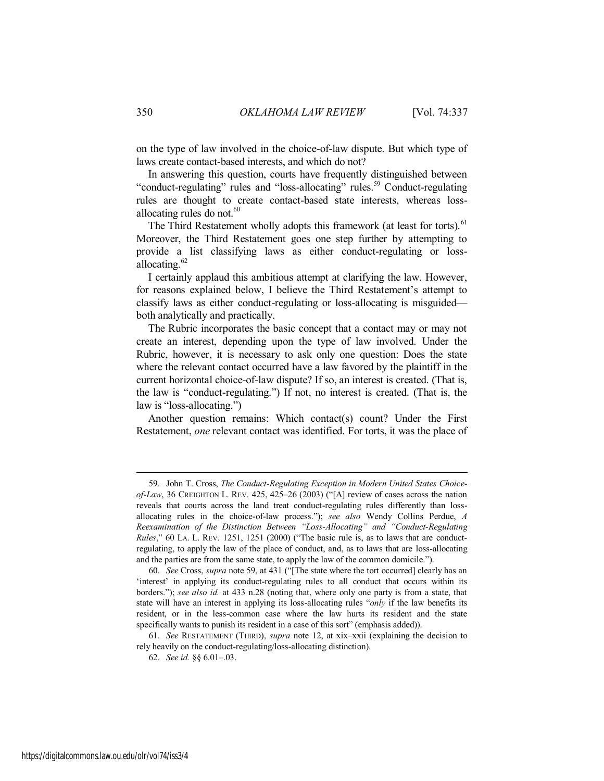on the type of law involved in the choice-of-law dispute. But which type of laws create contact-based interests, and which do not?

In answering this question, courts have frequently distinguished between "conduct-regulating" rules and "loss-allocating" rules.<sup>59</sup> Conduct-regulating rules are thought to create contact-based state interests, whereas lossallocating rules do not.<sup>60</sup>

The Third Restatement wholly adopts this framework (at least for torts).<sup>61</sup> Moreover, the Third Restatement goes one step further by attempting to provide a list classifying laws as either conduct-regulating or lossallocating. $62$ 

I certainly applaud this ambitious attempt at clarifying the law. However, for reasons explained below, I believe the Third Restatement's attempt to classify laws as either conduct-regulating or loss-allocating is misguided both analytically and practically.

The Rubric incorporates the basic concept that a contact may or may not create an interest, depending upon the type of law involved. Under the Rubric, however, it is necessary to ask only one question: Does the state where the relevant contact occurred have a law favored by the plaintiff in the current horizontal choice-of-law dispute? If so, an interest is created. (That is, the law is "conduct-regulating.") If not, no interest is created. (That is, the law is "loss-allocating.")

Another question remains: Which contact(s) count? Under the First Restatement, *one* relevant contact was identified. For torts, it was the place of

61. *See* RESTATEMENT (THIRD), *supra* note 12, at xix–xxii (explaining the decision to rely heavily on the conduct-regulating/loss-allocating distinction).

<sup>59.</sup> John T. Cross, *The Conduct-Regulating Exception in Modern United States Choiceof-Law*, 36 CREIGHTON L. REV. 425, 425–26 (2003) ("[A] review of cases across the nation reveals that courts across the land treat conduct-regulating rules differently than lossallocating rules in the choice-of-law process."); *see also* Wendy Collins Perdue, *A Reexamination of the Distinction Between "Loss-Allocating" and "Conduct-Regulating Rules*," 60 LA. L. REV. 1251, 1251 (2000) ("The basic rule is, as to laws that are conductregulating, to apply the law of the place of conduct, and, as to laws that are loss-allocating and the parties are from the same state, to apply the law of the common domicile.").

<sup>60.</sup> *See* Cross, *supra* note 59, at 431 ("[The state where the tort occurred] clearly has an 'interest' in applying its conduct-regulating rules to all conduct that occurs within its borders."); *see also id.* at 433 n.28 (noting that, where only one party is from a state, that state will have an interest in applying its loss-allocating rules "*only* if the law benefits its resident, or in the less-common case where the law hurts its resident and the state specifically wants to punish its resident in a case of this sort" (emphasis added)).

<sup>62.</sup> *See id.* §§ 6.01–.03.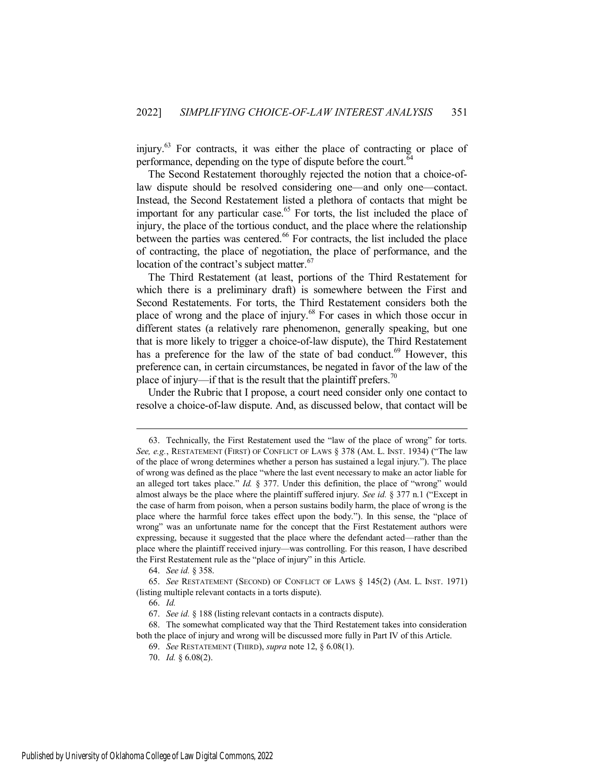injury.<sup>63</sup> For contracts, it was either the place of contracting or place of performance, depending on the type of dispute before the court. $64$ 

The Second Restatement thoroughly rejected the notion that a choice-oflaw dispute should be resolved considering one—and only one—contact. Instead, the Second Restatement listed a plethora of contacts that might be important for any particular case.<sup>65</sup> For torts, the list included the place of injury, the place of the tortious conduct, and the place where the relationship between the parties was centered.<sup>66</sup> For contracts, the list included the place of contracting, the place of negotiation, the place of performance, and the location of the contract's subject matter.<sup>67</sup>

The Third Restatement (at least, portions of the Third Restatement for which there is a preliminary draft) is somewhere between the First and Second Restatements. For torts, the Third Restatement considers both the place of wrong and the place of injury.<sup>68</sup> For cases in which those occur in different states (a relatively rare phenomenon, generally speaking, but one that is more likely to trigger a choice-of-law dispute), the Third Restatement has a preference for the law of the state of bad conduct. $69$  However, this preference can, in certain circumstances, be negated in favor of the law of the place of injury—if that is the result that the plaintiff prefers.<sup>70</sup>

Under the Rubric that I propose, a court need consider only one contact to resolve a choice-of-law dispute. And, as discussed below, that contact will be

64. *See id.* § 358.

65. *See* RESTATEMENT (SECOND) OF CONFLICT OF LAWS § 145(2) (AM. L. INST. 1971) (listing multiple relevant contacts in a torts dispute).

<sup>63.</sup> Technically, the First Restatement used the "law of the place of wrong" for torts. *See, e.g.*, RESTATEMENT (FIRST) OF CONFLICT OF LAWS § 378 (AM. L. INST. 1934) ("The law of the place of wrong determines whether a person has sustained a legal injury."). The place of wrong was defined as the place "where the last event necessary to make an actor liable for an alleged tort takes place." *Id.* § 377. Under this definition, the place of "wrong" would almost always be the place where the plaintiff suffered injury. *See id.* § 377 n.1 ("Except in the case of harm from poison, when a person sustains bodily harm, the place of wrong is the place where the harmful force takes effect upon the body."). In this sense, the "place of wrong" was an unfortunate name for the concept that the First Restatement authors were expressing, because it suggested that the place where the defendant acted—rather than the place where the plaintiff received injury—was controlling. For this reason, I have described the First Restatement rule as the "place of injury" in this Article.

<sup>66.</sup> *Id.* 

<sup>67.</sup> *See id.* § 188 (listing relevant contacts in a contracts dispute).

<sup>68.</sup> The somewhat complicated way that the Third Restatement takes into consideration both the place of injury and wrong will be discussed more fully in Part IV of this Article.

<sup>69.</sup> *See* RESTATEMENT (THIRD), *supra* note 12, § 6.08(1).

<sup>70.</sup> *Id.* § 6.08(2).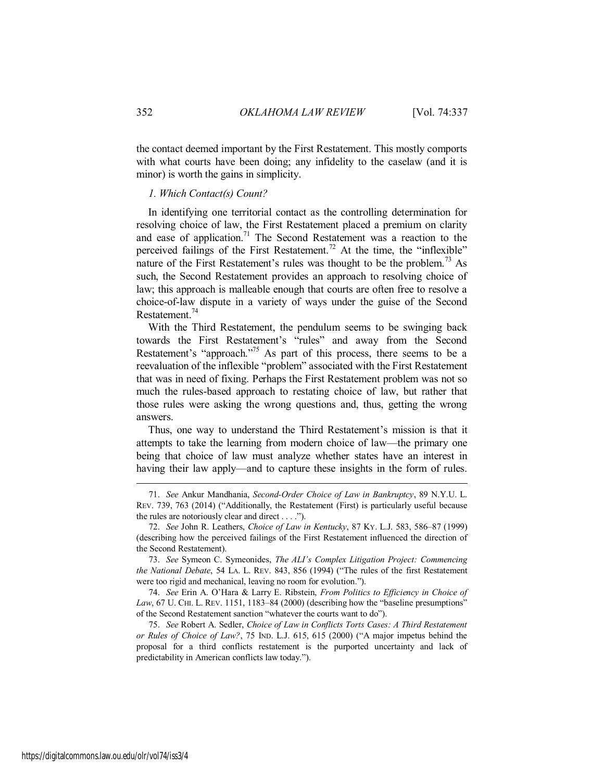the contact deemed important by the First Restatement. This mostly comports with what courts have been doing; any infidelity to the caselaw (and it is minor) is worth the gains in simplicity.

#### <span id="page-16-0"></span>*1. Which Contact(s) Count?*

In identifying one territorial contact as the controlling determination for resolving choice of law, the First Restatement placed a premium on clarity and ease of application.<sup>71</sup> The Second Restatement was a reaction to the perceived failings of the First Restatement.<sup>72</sup> At the time, the "inflexible" nature of the First Restatement's rules was thought to be the problem.<sup>73</sup> As such, the Second Restatement provides an approach to resolving choice of law; this approach is malleable enough that courts are often free to resolve a choice-of-law dispute in a variety of ways under the guise of the Second Restatement.<sup>74</sup>

With the Third Restatement, the pendulum seems to be swinging back towards the First Restatement's "rules" and away from the Second Restatement's "approach."<sup>75</sup> As part of this process, there seems to be a reevaluation of the inflexible "problem" associated with the First Restatement that was in need of fixing. Perhaps the First Restatement problem was not so much the rules-based approach to restating choice of law, but rather that those rules were asking the wrong questions and, thus, getting the wrong answers.

Thus, one way to understand the Third Restatement's mission is that it attempts to take the learning from modern choice of law—the primary one being that choice of law must analyze whether states have an interest in having their law apply—and to capture these insights in the form of rules.

<sup>71.</sup> *See* Ankur Mandhania, *Second-Order Choice of Law in Bankruptcy*, 89 N.Y.U. L. REV. 739, 763 (2014) ("Additionally, the Restatement (First) is particularly useful because the rules are notoriously clear and direct . . . .").

<sup>72.</sup> *See* John R. Leathers, *Choice of Law in Kentucky*, 87 KY. L.J. 583, 586–87 (1999) (describing how the perceived failings of the First Restatement influenced the direction of the Second Restatement).

<sup>73.</sup> *See* Symeon C. Symeonides, *The ALI's Complex Litigation Project: Commencing the National Debate*, 54 LA. L. REV. 843, 856 (1994) ("The rules of the first Restatement were too rigid and mechanical, leaving no room for evolution.").

<sup>74.</sup> *See* Erin A. O'Hara & Larry E. Ribstein, *From Politics to Efficiency in Choice of*  Law, 67 U. CHI. L. REV. 1151, 1183–84 (2000) (describing how the "baseline presumptions" of the Second Restatement sanction "whatever the courts want to do").

<sup>75.</sup> *See* Robert A. Sedler, *Choice of Law in Conflicts Torts Cases: A Third Restatement or Rules of Choice of Law?*, 75 IND. L.J. 615, 615 (2000) ("A major impetus behind the proposal for a third conflicts restatement is the purported uncertainty and lack of predictability in American conflicts law today.").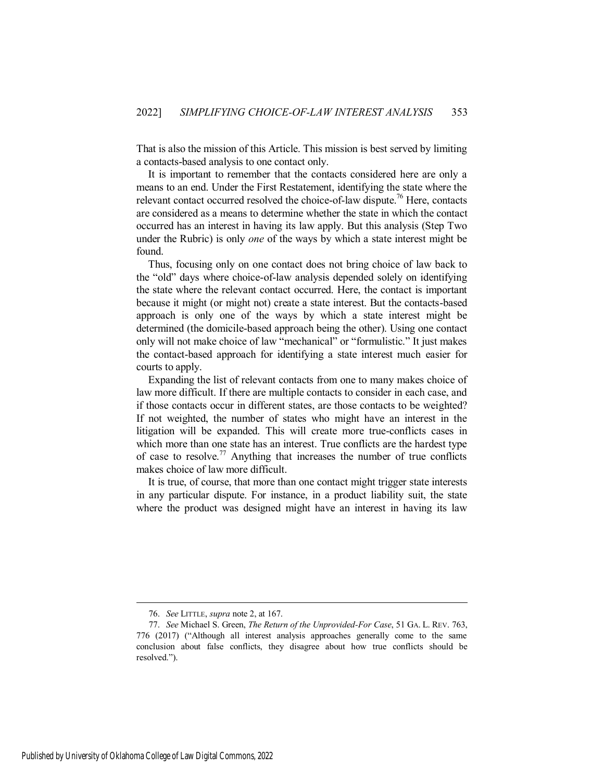That is also the mission of this Article. This mission is best served by limiting a contacts-based analysis to one contact only.

It is important to remember that the contacts considered here are only a means to an end. Under the First Restatement, identifying the state where the relevant contact occurred resolved the choice-of-law dispute.<sup>76</sup> Here, contacts are considered as a means to determine whether the state in which the contact occurred has an interest in having its law apply. But this analysis (Step Two under the Rubric) is only *one* of the ways by which a state interest might be found.

Thus, focusing only on one contact does not bring choice of law back to the "old" days where choice-of-law analysis depended solely on identifying the state where the relevant contact occurred. Here, the contact is important because it might (or might not) create a state interest. But the contacts-based approach is only one of the ways by which a state interest might be determined (the domicile-based approach being the other). Using one contact only will not make choice of law "mechanical" or "formulistic." It just makes the contact-based approach for identifying a state interest much easier for courts to apply.

Expanding the list of relevant contacts from one to many makes choice of law more difficult. If there are multiple contacts to consider in each case, and if those contacts occur in different states, are those contacts to be weighted? If not weighted, the number of states who might have an interest in the litigation will be expanded. This will create more true-conflicts cases in which more than one state has an interest. True conflicts are the hardest type of case to resolve.<sup>77</sup> Anything that increases the number of true conflicts makes choice of law more difficult.

It is true, of course, that more than one contact might trigger state interests in any particular dispute. For instance, in a product liability suit, the state where the product was designed might have an interest in having its law

<sup>76.</sup> *See* LITTLE, *supra* note 2, at 167.

<sup>77.</sup> *See* Michael S. Green, *The Return of the Unprovided-For Case*, 51 GA. L. REV. 763, 776 (2017) ("Although all interest analysis approaches generally come to the same conclusion about false conflicts, they disagree about how true conflicts should be resolved.").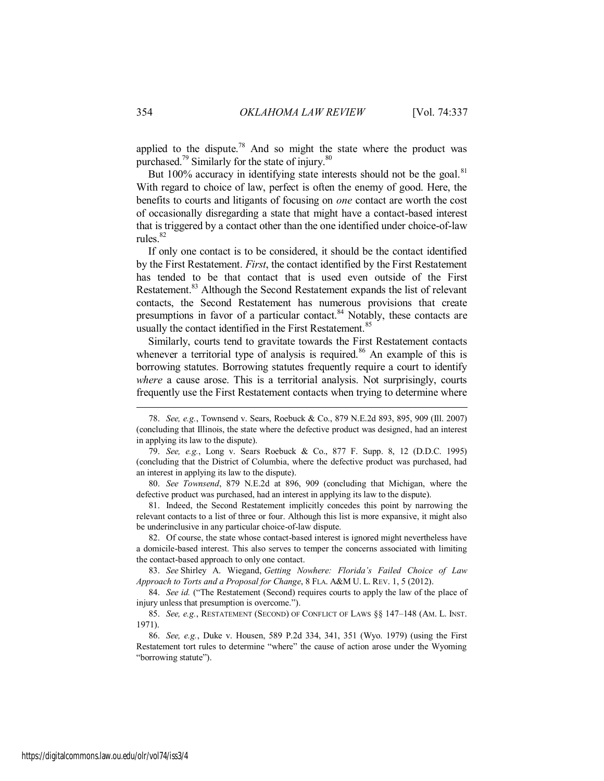applied to the dispute.<sup>78</sup> And so might the state where the product was purchased.<sup>79</sup> Similarly for the state of injury.<sup>80</sup>

But 100% accuracy in identifying state interests should not be the goal.<sup>81</sup> With regard to choice of law, perfect is often the enemy of good. Here, the benefits to courts and litigants of focusing on *one* contact are worth the cost of occasionally disregarding a state that might have a contact-based interest that is triggered by a contact other than the one identified under choice-of-law rules.<sup>82</sup>

If only one contact is to be considered, it should be the contact identified by the First Restatement. *First*, the contact identified by the First Restatement has tended to be that contact that is used even outside of the First Restatement.<sup>83</sup> Although the Second Restatement expands the list of relevant contacts, the Second Restatement has numerous provisions that create presumptions in favor of a particular contact.<sup>84</sup> Notably, these contacts are usually the contact identified in the First Restatement.<sup>85</sup>

Similarly, courts tend to gravitate towards the First Restatement contacts whenever a territorial type of analysis is required.<sup>86</sup> An example of this is borrowing statutes. Borrowing statutes frequently require a court to identify *where* a cause arose. This is a territorial analysis. Not surprisingly, courts frequently use the First Restatement contacts when trying to determine where

81. Indeed, the Second Restatement implicitly concedes this point by narrowing the relevant contacts to a list of three or four. Although this list is more expansive, it might also be underinclusive in any particular choice-of-law dispute.

82. Of course, the state whose contact-based interest is ignored might nevertheless have a domicile-based interest. This also serves to temper the concerns associated with limiting the contact-based approach to only one contact.

83. *See* Shirley A. Wiegand, *Getting Nowhere: Florida's Failed Choice of Law Approach to Torts and a Proposal for Change*, 8 FLA. A&M U. L. REV. 1, 5 (2012).

84. *See id.* ("The Restatement (Second) requires courts to apply the law of the place of injury unless that presumption is overcome.").

86. *See, e.g.*, Duke v. Housen, 589 P.2d 334, 341, 351 (Wyo. 1979) (using the First Restatement tort rules to determine "where" the cause of action arose under the Wyoming "borrowing statute").

<sup>78.</sup> *See, e.g.*, Townsend v. Sears, Roebuck & Co., 879 N.E.2d 893, 895, 909 (Ill. 2007) (concluding that Illinois, the state where the defective product was designed, had an interest in applying its law to the dispute).

<sup>79.</sup> *See, e.g.*, Long v. Sears Roebuck & Co., 877 F. Supp. 8, 12 (D.D.C. 1995) (concluding that the District of Columbia, where the defective product was purchased, had an interest in applying its law to the dispute).

<sup>80.</sup> *See Townsend*, 879 N.E.2d at 896, 909 (concluding that Michigan, where the defective product was purchased, had an interest in applying its law to the dispute).

<sup>85.</sup> *See, e.g.*, RESTATEMENT (SECOND) OF CONFLICT OF LAWS §§ 147–148 (AM. L. INST. 1971).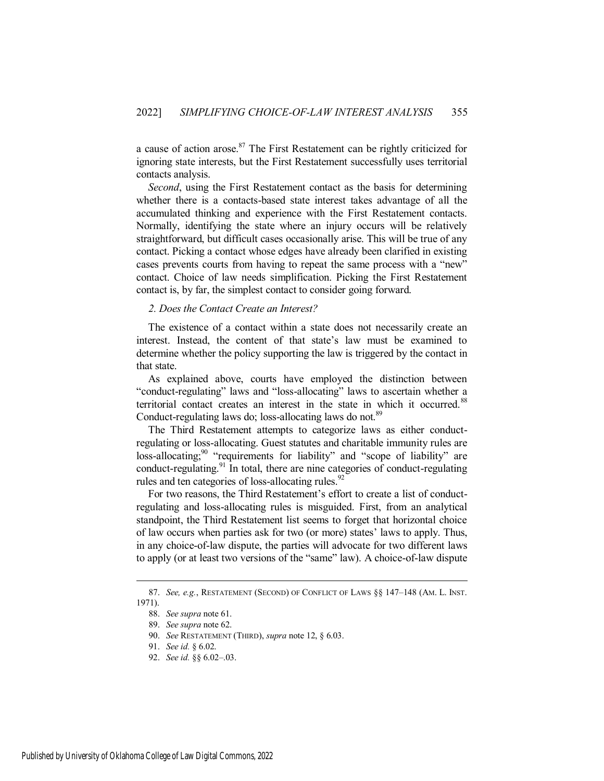a cause of action arose.<sup>87</sup> The First Restatement can be rightly criticized for ignoring state interests, but the First Restatement successfully uses territorial contacts analysis.

*Second*, using the First Restatement contact as the basis for determining whether there is a contacts-based state interest takes advantage of all the accumulated thinking and experience with the First Restatement contacts. Normally, identifying the state where an injury occurs will be relatively straightforward, but difficult cases occasionally arise. This will be true of any contact. Picking a contact whose edges have already been clarified in existing cases prevents courts from having to repeat the same process with a "new" contact. Choice of law needs simplification. Picking the First Restatement contact is, by far, the simplest contact to consider going forward.

# <span id="page-19-0"></span>*2. Does the Contact Create an Interest?*

The existence of a contact within a state does not necessarily create an interest. Instead, the content of that state's law must be examined to determine whether the policy supporting the law is triggered by the contact in that state.

As explained above, courts have employed the distinction between "conduct-regulating" laws and "loss-allocating" laws to ascertain whether a territorial contact creates an interest in the state in which it occurred.<sup>88</sup> Conduct-regulating laws do; loss-allocating laws do not.<sup>89</sup>

The Third Restatement attempts to categorize laws as either conductregulating or loss-allocating. Guest statutes and charitable immunity rules are loss-allocating;<sup>90</sup> "requirements for liability" and "scope of liability" are conduct-regulating.<sup>91</sup> In total, there are nine categories of conduct-regulating rules and ten categories of loss-allocating rules.<sup>92</sup>

For two reasons, the Third Restatement's effort to create a list of conductregulating and loss-allocating rules is misguided. First, from an analytical standpoint, the Third Restatement list seems to forget that horizontal choice of law occurs when parties ask for two (or more) states' laws to apply. Thus, in any choice-of-law dispute, the parties will advocate for two different laws to apply (or at least two versions of the "same" law). A choice-of-law dispute

<sup>87.</sup> *See, e.g.*, RESTATEMENT (SECOND) OF CONFLICT OF LAWS §§ 147–148 (AM. L. INST. 1971).

<sup>88.</sup> *See supra* note 61.

<sup>89.</sup> *See supra* note 62.

<sup>90.</sup> *See* RESTATEMENT (THIRD), *supra* note 12, § 6.03.

<sup>91.</sup> *See id.* § 6.02.

<sup>92.</sup> *See id.* §§ 6.02–.03.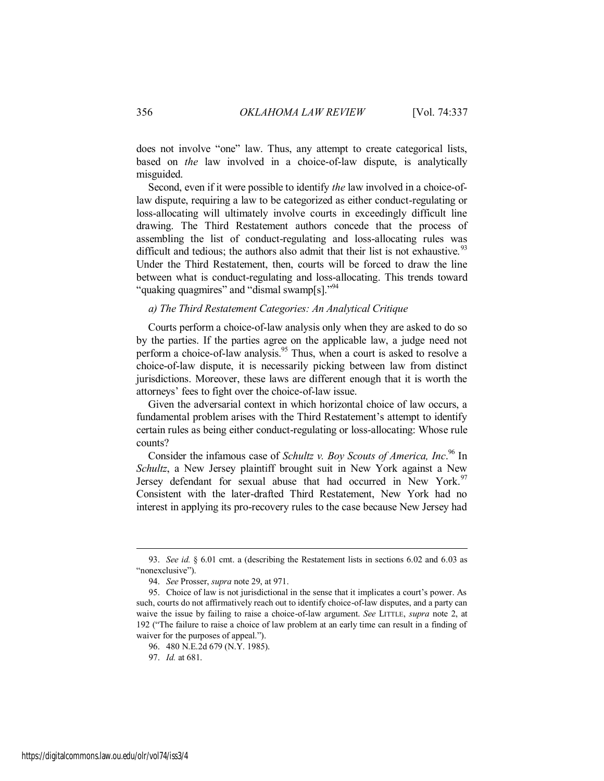does not involve "one" law. Thus, any attempt to create categorical lists, based on *the* law involved in a choice-of-law dispute, is analytically misguided.

Second, even if it were possible to identify *the* law involved in a choice-oflaw dispute, requiring a law to be categorized as either conduct-regulating or loss-allocating will ultimately involve courts in exceedingly difficult line drawing. The Third Restatement authors concede that the process of assembling the list of conduct-regulating and loss-allocating rules was difficult and tedious; the authors also admit that their list is not exhaustive.<sup>93</sup> Under the Third Restatement, then, courts will be forced to draw the line between what is conduct-regulating and loss-allocating. This trends toward "quaking quagmires" and "dismal swamp[s]."<sup>94</sup>

# <span id="page-20-0"></span>*a) The Third Restatement Categories: An Analytical Critique*

Courts perform a choice-of-law analysis only when they are asked to do so by the parties. If the parties agree on the applicable law, a judge need not perform a choice-of-law analysis.<sup>95</sup> Thus, when a court is asked to resolve a choice-of-law dispute, it is necessarily picking between law from distinct jurisdictions. Moreover, these laws are different enough that it is worth the attorneys' fees to fight over the choice-of-law issue.

Given the adversarial context in which horizontal choice of law occurs, a fundamental problem arises with the Third Restatement's attempt to identify certain rules as being either conduct-regulating or loss-allocating: Whose rule counts?

Consider the infamous case of *Schultz v. Boy Scouts of America, Inc*. <sup>96</sup> In *Schultz*, a New Jersey plaintiff brought suit in New York against a New Jersey defendant for sexual abuse that had occurred in New York.<sup>97</sup> Consistent with the later-drafted Third Restatement, New York had no interest in applying its pro-recovery rules to the case because New Jersey had

<sup>93.</sup> *See id.* § 6.01 cmt. a (describing the Restatement lists in sections 6.02 and 6.03 as "nonexclusive").

<sup>94.</sup> *See* Prosser, *supra* note 29, at 971.

<sup>95.</sup> Choice of law is not jurisdictional in the sense that it implicates a court's power. As such, courts do not affirmatively reach out to identify choice-of-law disputes, and a party can waive the issue by failing to raise a choice-of-law argument. *See* LITTLE, *supra* note 2, at 192 ("The failure to raise a choice of law problem at an early time can result in a finding of waiver for the purposes of appeal.").

<sup>96. 480</sup> N.E.2d 679 (N.Y. 1985).

<sup>97.</sup> *Id.* at 681.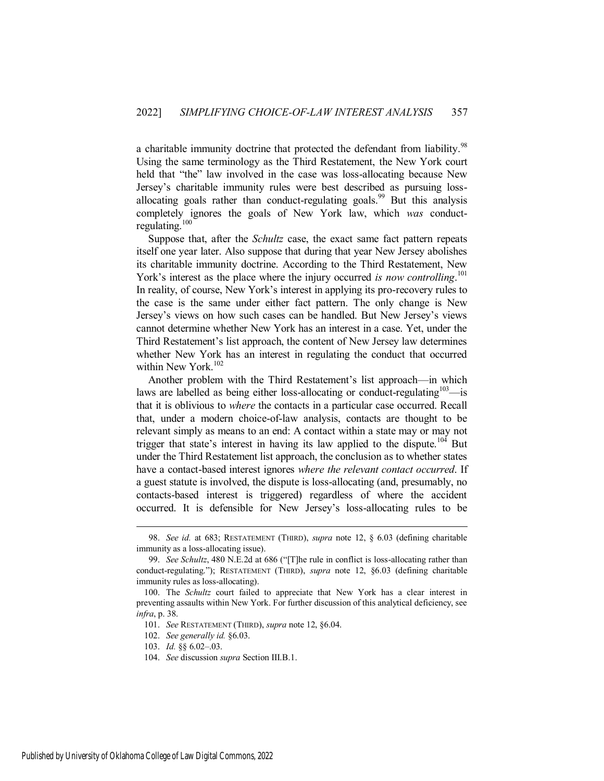a charitable immunity doctrine that protected the defendant from liability.<sup>98</sup> Using the same terminology as the Third Restatement, the New York court held that "the" law involved in the case was loss-allocating because New Jersey's charitable immunity rules were best described as pursuing lossallocating goals rather than conduct-regulating goals.<sup>99</sup> But this analysis completely ignores the goals of New York law, which *was* conductregulating.<sup>100</sup>

Suppose that, after the *Schultz* case, the exact same fact pattern repeats itself one year later. Also suppose that during that year New Jersey abolishes its charitable immunity doctrine. According to the Third Restatement, New York's interest as the place where the injury occurred *is now controlling*.<sup>101</sup> In reality, of course, New York's interest in applying its pro-recovery rules to the case is the same under either fact pattern. The only change is New Jersey's views on how such cases can be handled. But New Jersey's views cannot determine whether New York has an interest in a case. Yet, under the Third Restatement's list approach, the content of New Jersey law determines whether New York has an interest in regulating the conduct that occurred within New York. $102$ 

Another problem with the Third Restatement's list approach—in which laws are labelled as being either loss-allocating or conduct-regulating $103$ —is that it is oblivious to *where* the contacts in a particular case occurred. Recall that, under a modern choice-of-law analysis, contacts are thought to be relevant simply as means to an end: A contact within a state may or may not trigger that state's interest in having its law applied to the dispute.<sup>104</sup> But under the Third Restatement list approach, the conclusion as to whether states have a contact-based interest ignores *where the relevant contact occurred*. If a guest statute is involved, the dispute is loss-allocating (and, presumably, no contacts-based interest is triggered) regardless of where the accident occurred. It is defensible for New Jersey's loss-allocating rules to be

<sup>98.</sup> *See id.* at 683; RESTATEMENT (THIRD), *supra* note 12, § 6.03 (defining charitable immunity as a loss-allocating issue).

<sup>99.</sup> *See Schultz*, 480 N.E.2d at 686 ("[T]he rule in conflict is loss-allocating rather than conduct-regulating."); RESTATEMENT (THIRD), *supra* note [12,](#page-4-0) §6.03 (defining charitable immunity rules as loss-allocating).

<sup>100.</sup> The *Schultz* court failed to appreciate that New York has a clear interest in preventing assaults within New York. For further discussion of this analytical deficiency, see *infra*, p. 38.

<sup>101.</sup> *See* RESTATEMENT (THIRD), *supra* note 12, §6.04.

<sup>102.</sup> *See generally id.* §6.03.

<sup>103.</sup> *Id.* §§ 6.02–.03.

<sup>104.</sup> *See* discussion *supra* Section III.B.1.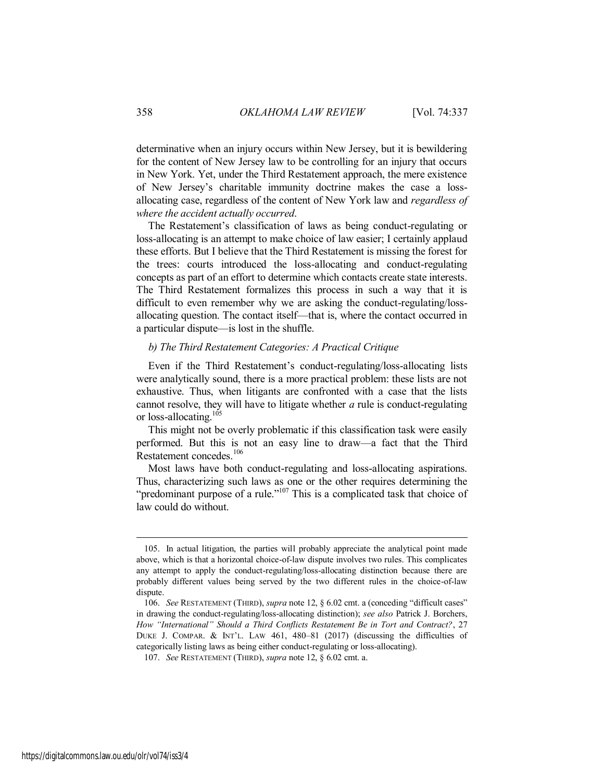determinative when an injury occurs within New Jersey, but it is bewildering for the content of New Jersey law to be controlling for an injury that occurs in New York. Yet, under the Third Restatement approach, the mere existence of New Jersey's charitable immunity doctrine makes the case a lossallocating case, regardless of the content of New York law and *regardless of where the accident actually occurred*.

The Restatement's classification of laws as being conduct-regulating or loss-allocating is an attempt to make choice of law easier; I certainly applaud these efforts. But I believe that the Third Restatement is missing the forest for the trees: courts introduced the loss-allocating and conduct-regulating concepts as part of an effort to determine which contacts create state interests. The Third Restatement formalizes this process in such a way that it is difficult to even remember why we are asking the conduct-regulating/lossallocating question. The contact itself—that is, where the contact occurred in a particular dispute—is lost in the shuffle.

## <span id="page-22-0"></span>*b) The Third Restatement Categories: A Practical Critique*

Even if the Third Restatement's conduct-regulating/loss-allocating lists were analytically sound, there is a more practical problem: these lists are not exhaustive. Thus, when litigants are confronted with a case that the lists cannot resolve, they will have to litigate whether *a* rule is conduct-regulating or loss-allocating.<sup>105</sup>

This might not be overly problematic if this classification task were easily performed. But this is not an easy line to draw—a fact that the Third Restatement concedes.<sup>106</sup>

Most laws have both conduct-regulating and loss-allocating aspirations. Thus, characterizing such laws as one or the other requires determining the "predominant purpose of a rule."<sup>107</sup> This is a complicated task that choice of law could do without.

<sup>105.</sup> In actual litigation, the parties will probably appreciate the analytical point made above, which is that a horizontal choice-of-law dispute involves two rules. This complicates any attempt to apply the conduct-regulating/loss-allocating distinction because there are probably different values being served by the two different rules in the choice-of-law dispute.

<sup>106.</sup> *See* RESTATEMENT (THIRD), *supra* not[e 12](#page-4-0), § 6.02 cmt. a (conceding "difficult cases" in drawing the conduct-regulating/loss-allocating distinction); *see also* Patrick J. Borchers, *How "International" Should a Third Conflicts Restatement Be in Tort and Contract?*, 27 DUKE J. COMPAR. & INT'L. LAW 461, 480–81 (2017) (discussing the difficulties of categorically listing laws as being either conduct-regulating or loss-allocating).

<sup>107.</sup> *See* RESTATEMENT (THIRD), *supra* not[e 12,](#page-4-0) § 6.02 cmt. a.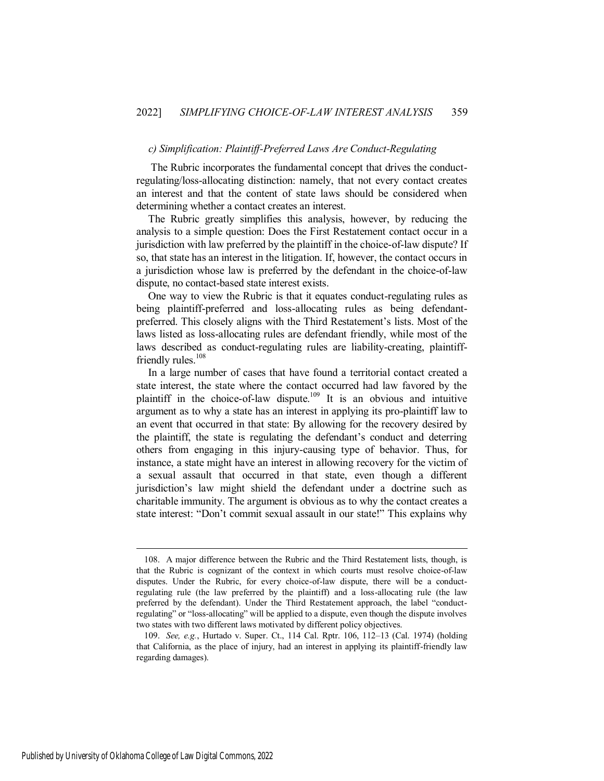# <span id="page-23-0"></span>*c) Simplification: Plaintiff-Preferred Laws Are Conduct-Regulating*

 The Rubric incorporates the fundamental concept that drives the conductregulating/loss-allocating distinction: namely, that not every contact creates an interest and that the content of state laws should be considered when determining whether a contact creates an interest.

The Rubric greatly simplifies this analysis, however, by reducing the analysis to a simple question: Does the First Restatement contact occur in a jurisdiction with law preferred by the plaintiff in the choice-of-law dispute? If so, that state has an interest in the litigation. If, however, the contact occurs in a jurisdiction whose law is preferred by the defendant in the choice-of-law dispute, no contact-based state interest exists.

One way to view the Rubric is that it equates conduct-regulating rules as being plaintiff-preferred and loss-allocating rules as being defendantpreferred. This closely aligns with the Third Restatement's lists. Most of the laws listed as loss-allocating rules are defendant friendly, while most of the laws described as conduct-regulating rules are liability-creating, plaintifffriendly rules. $108$ 

In a large number of cases that have found a territorial contact created a state interest, the state where the contact occurred had law favored by the plaintiff in the choice-of-law dispute.<sup>109</sup> It is an obvious and intuitive argument as to why a state has an interest in applying its pro-plaintiff law to an event that occurred in that state: By allowing for the recovery desired by the plaintiff, the state is regulating the defendant's conduct and deterring others from engaging in this injury-causing type of behavior. Thus, for instance, a state might have an interest in allowing recovery for the victim of a sexual assault that occurred in that state, even though a different jurisdiction's law might shield the defendant under a doctrine such as charitable immunity. The argument is obvious as to why the contact creates a state interest: "Don't commit sexual assault in our state!" This explains why

<sup>108.</sup> A major difference between the Rubric and the Third Restatement lists, though, is that the Rubric is cognizant of the context in which courts must resolve choice-of-law disputes. Under the Rubric, for every choice-of-law dispute, there will be a conductregulating rule (the law preferred by the plaintiff) and a loss-allocating rule (the law preferred by the defendant). Under the Third Restatement approach, the label "conductregulating" or "loss-allocating" will be applied to a dispute, even though the dispute involves two states with two different laws motivated by different policy objectives.

<sup>109.</sup> *See, e.g.*, Hurtado v. Super. Ct., 114 Cal. Rptr. 106, 112–13 (Cal. 1974) (holding that California, as the place of injury, had an interest in applying its plaintiff-friendly law regarding damages).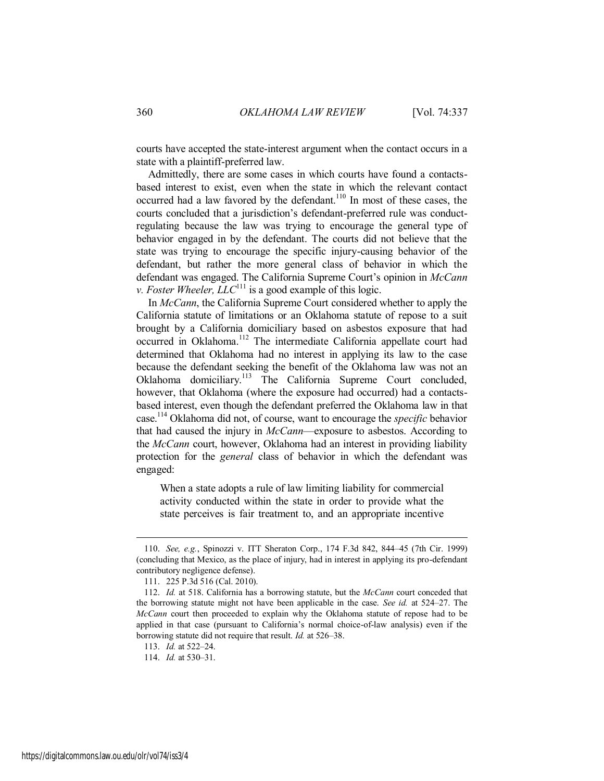courts have accepted the state-interest argument when the contact occurs in a state with a plaintiff-preferred law.

Admittedly, there are some cases in which courts have found a contactsbased interest to exist, even when the state in which the relevant contact occurred had a law favored by the defendant.<sup>110</sup> In most of these cases, the courts concluded that a jurisdiction's defendant-preferred rule was conductregulating because the law was trying to encourage the general type of behavior engaged in by the defendant. The courts did not believe that the state was trying to encourage the specific injury-causing behavior of the defendant, but rather the more general class of behavior in which the defendant was engaged. The California Supreme Court's opinion in *McCann v. Foster Wheeler,*  $LLC^{111}$  *is a good example of this logic.* 

In *McCann*, the California Supreme Court considered whether to apply the California statute of limitations or an Oklahoma statute of repose to a suit brought by a California domiciliary based on asbestos exposure that had occurred in Oklahoma.<sup>112</sup> The intermediate California appellate court had determined that Oklahoma had no interest in applying its law to the case because the defendant seeking the benefit of the Oklahoma law was not an Oklahoma domiciliary.<sup>113</sup> The California Supreme Court concluded, however, that Oklahoma (where the exposure had occurred) had a contactsbased interest, even though the defendant preferred the Oklahoma law in that case.<sup>114</sup> Oklahoma did not, of course, want to encourage the *specific* behavior that had caused the injury in *McCann*—exposure to asbestos. According to the *McCann* court, however, Oklahoma had an interest in providing liability protection for the *general* class of behavior in which the defendant was engaged:

When a state adopts a rule of law limiting liability for commercial activity conducted within the state in order to provide what the state perceives is fair treatment to, and an appropriate incentive

<sup>110.</sup> *See, e.g.*, Spinozzi v. ITT Sheraton Corp., 174 F.3d 842, 844–45 (7th Cir. 1999) (concluding that Mexico, as the place of injury, had in interest in applying its pro-defendant contributory negligence defense).

<sup>111. 225</sup> P.3d 516 (Cal. 2010).

<sup>112.</sup> *Id.* at 518. California has a borrowing statute, but the *McCann* court conceded that the borrowing statute might not have been applicable in the case. *See id.* at 524–27. The *McCann* court then proceeded to explain why the Oklahoma statute of repose had to be applied in that case (pursuant to California's normal choice-of-law analysis) even if the borrowing statute did not require that result. *Id.* at 526–38.

<sup>113.</sup> *Id.* at 522–24.

<sup>114.</sup> *Id.* at 530–31.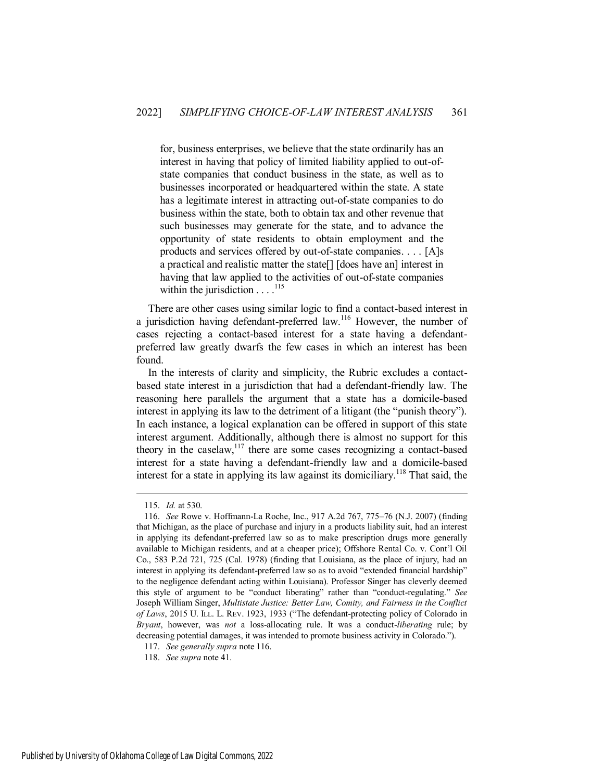for, business enterprises, we believe that the state ordinarily has an interest in having that policy of limited liability applied to out-ofstate companies that conduct business in the state, as well as to businesses incorporated or headquartered within the state. A state has a legitimate interest in attracting out-of-state companies to do business within the state, both to obtain tax and other revenue that such businesses may generate for the state, and to advance the opportunity of state residents to obtain employment and the products and services offered by out-of-state companies. . . . [A]s a practical and realistic matter the state[] [does have an] interest in having that law applied to the activities of out-of-state companies within the jurisdiction  $\ldots$ .<sup>115</sup>

There are other cases using similar logic to find a contact-based interest in a jurisdiction having defendant-preferred law.<sup>116</sup> However, the number of cases rejecting a contact-based interest for a state having a defendantpreferred law greatly dwarfs the few cases in which an interest has been found.

In the interests of clarity and simplicity, the Rubric excludes a contactbased state interest in a jurisdiction that had a defendant-friendly law. The reasoning here parallels the argument that a state has a domicile-based interest in applying its law to the detriment of a litigant (the "punish theory"). In each instance, a logical explanation can be offered in support of this state interest argument. Additionally, although there is almost no support for this theory in the caselaw,  $117$  there are some cases recognizing a contact-based interest for a state having a defendant-friendly law and a domicile-based interest for a state in applying its law against its domiciliary.<sup>118</sup> That said, the

<sup>115.</sup> *Id.* at 530.

<sup>116.</sup> *See* Rowe v. Hoffmann-La Roche, Inc., 917 A.2d 767, 775–76 (N.J. 2007) (finding that Michigan, as the place of purchase and injury in a products liability suit, had an interest in applying its defendant-preferred law so as to make prescription drugs more generally available to Michigan residents, and at a cheaper price); Offshore Rental Co. v. Cont'l Oil Co., 583 P.2d 721, 725 (Cal. 1978) (finding that Louisiana, as the place of injury, had an interest in applying its defendant-preferred law so as to avoid "extended financial hardship" to the negligence defendant acting within Louisiana). Professor Singer has cleverly deemed this style of argument to be "conduct liberating" rather than "conduct-regulating." *See* Joseph William Singer, *Multistate Justice: Better Law, Comity, and Fairness in the Conflict of Laws*, 2015 U. ILL. L. REV. 1923, 1933 ("The defendant-protecting policy of Colorado in *Bryant*, however, was *not* a loss-allocating rule. It was a conduct-*liberating* rule; by decreasing potential damages, it was intended to promote business activity in Colorado.").

<sup>117.</sup> *See generally supra* note 116.

<sup>118.</sup> *See supra* note 41.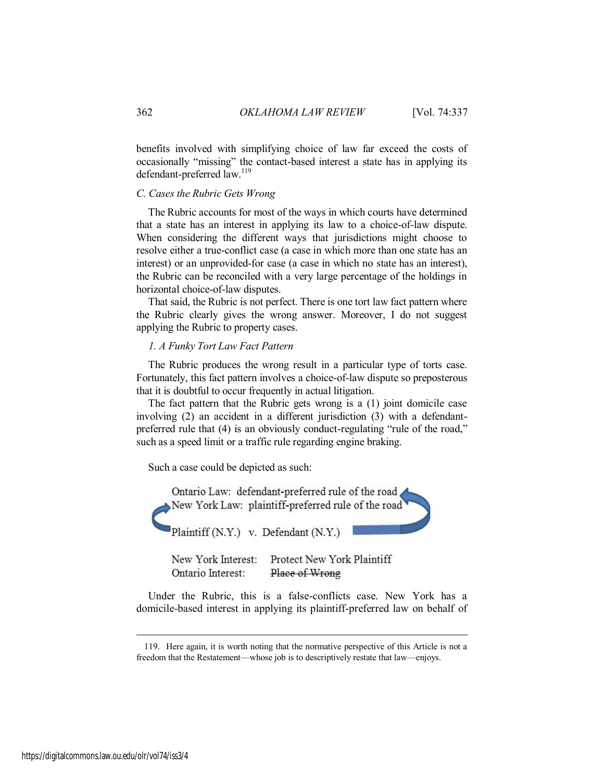benefits involved with simplifying choice of law far exceed the costs of occasionally "missing" the contact-based interest a state has in applying its defendant-preferred law.<sup>119</sup>

# <span id="page-26-0"></span>*C. Cases the Rubric Gets Wrong*

The Rubric accounts for most of the ways in which courts have determined that a state has an interest in applying its law to a choice-of-law dispute. When considering the different ways that jurisdictions might choose to resolve either a true-conflict case (a case in which more than one state has an interest) or an unprovided-for case (a case in which no state has an interest), the Rubric can be reconciled with a very large percentage of the holdings in horizontal choice-of-law disputes.

That said, the Rubric is not perfect. There is one tort law fact pattern where the Rubric clearly gives the wrong answer. Moreover, I do not suggest applying the Rubric to property cases.

### <span id="page-26-1"></span>*1. A Funky Tort Law Fact Pattern*

The Rubric produces the wrong result in a particular type of torts case. Fortunately, this fact pattern involves a choice-of-law dispute so preposterous that it is doubtful to occur frequently in actual litigation.

The fact pattern that the Rubric gets wrong is a (1) joint domicile case involving (2) an accident in a different jurisdiction (3) with a defendantpreferred rule that (4) is an obviously conduct-regulating "rule of the road," such as a speed limit or a traffic rule regarding engine braking.

Such a case could be depicted as such:

|                                         | Ontario Law: defendant-preferred rule of the road<br>New York Law: plaintiff-preferred rule of the road |
|-----------------------------------------|---------------------------------------------------------------------------------------------------------|
| Plaintiff (N.Y.) v. Defendant (N.Y.)    |                                                                                                         |
| New York Interest:<br>Ontario Interest: | Protect New York Plaintiff<br>Place of Wrong                                                            |

Under the Rubric, this is a false-conflicts case. New York has a domicile-based interest in applying its plaintiff-preferred law on behalf of

<sup>119.</sup> Here again, it is worth noting that the normative perspective of this Article is not a freedom that the Restatement—whose job is to descriptively restate that law—enjoys.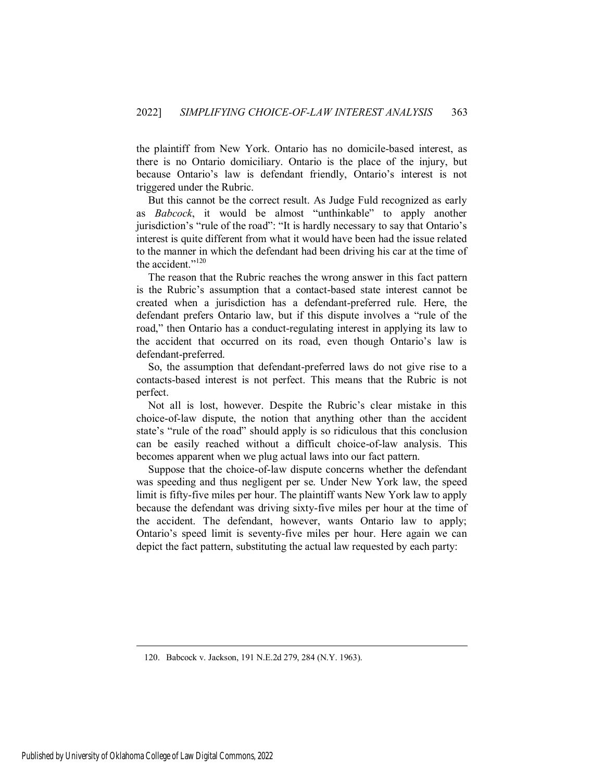the plaintiff from New York. Ontario has no domicile-based interest, as there is no Ontario domiciliary. Ontario is the place of the injury, but because Ontario's law is defendant friendly, Ontario's interest is not triggered under the Rubric.

But this cannot be the correct result. As Judge Fuld recognized as early as *Babcock*, it would be almost "unthinkable" to apply another jurisdiction's "rule of the road": "It is hardly necessary to say that Ontario's interest is quite different from what it would have been had the issue related to the manner in which the defendant had been driving his car at the time of the accident."<sup>120</sup>

The reason that the Rubric reaches the wrong answer in this fact pattern is the Rubric's assumption that a contact-based state interest cannot be created when a jurisdiction has a defendant-preferred rule. Here, the defendant prefers Ontario law, but if this dispute involves a "rule of the road," then Ontario has a conduct-regulating interest in applying its law to the accident that occurred on its road, even though Ontario's law is defendant-preferred.

So, the assumption that defendant-preferred laws do not give rise to a contacts-based interest is not perfect. This means that the Rubric is not perfect.

Not all is lost, however. Despite the Rubric's clear mistake in this choice-of-law dispute, the notion that anything other than the accident state's "rule of the road" should apply is so ridiculous that this conclusion can be easily reached without a difficult choice-of-law analysis. This becomes apparent when we plug actual laws into our fact pattern.

Suppose that the choice-of-law dispute concerns whether the defendant was speeding and thus negligent per se. Under New York law, the speed limit is fifty-five miles per hour. The plaintiff wants New York law to apply because the defendant was driving sixty-five miles per hour at the time of the accident. The defendant, however, wants Ontario law to apply; Ontario's speed limit is seventy-five miles per hour. Here again we can depict the fact pattern, substituting the actual law requested by each party:

120. Babcock v. Jackson, 191 N.E.2d 279, 284 (N.Y. 1963).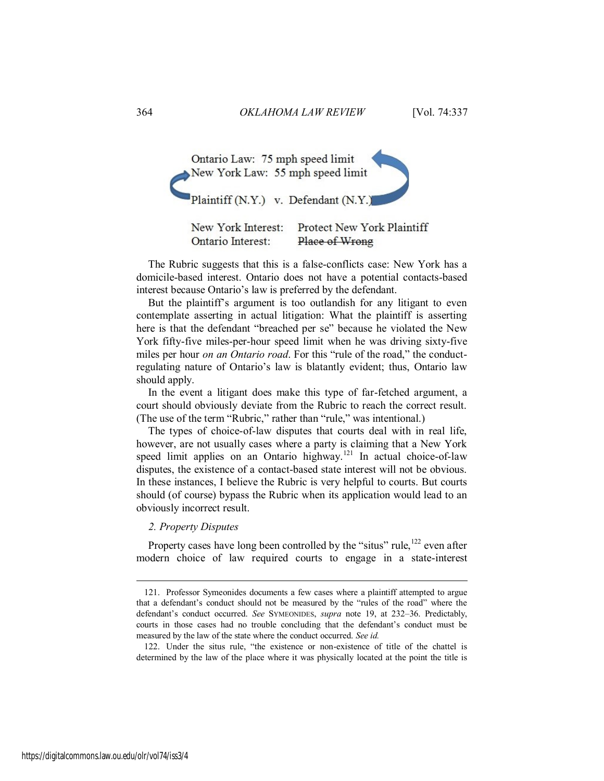

The Rubric suggests that this is a false-conflicts case: New York has a domicile-based interest. Ontario does not have a potential contacts-based interest because Ontario's law is preferred by the defendant.

But the plaintiff's argument is too outlandish for any litigant to even contemplate asserting in actual litigation: What the plaintiff is asserting here is that the defendant "breached per se" because he violated the New York fifty-five miles-per-hour speed limit when he was driving sixty-five miles per hour *on an Ontario road*. For this "rule of the road," the conductregulating nature of Ontario's law is blatantly evident; thus, Ontario law should apply.

In the event a litigant does make this type of far-fetched argument, a court should obviously deviate from the Rubric to reach the correct result. (The use of the term "Rubric," rather than "rule," was intentional.)

The types of choice-of-law disputes that courts deal with in real life, however, are not usually cases where a party is claiming that a New York speed limit applies on an Ontario highway.<sup>121</sup> In actual choice-of-law disputes, the existence of a contact-based state interest will not be obvious. In these instances, I believe the Rubric is very helpful to courts. But courts should (of course) bypass the Rubric when its application would lead to an obviously incorrect result.

#### <span id="page-28-0"></span>*2. Property Disputes*

 $\overline{a}$ 

Property cases have long been controlled by the "situs" rule,  $^{122}$  even after modern choice of law required courts to engage in a state-interest

<sup>121.</sup> Professor Symeonides documents a few cases where a plaintiff attempted to argue that a defendant's conduct should not be measured by the "rules of the road" where the defendant's conduct occurred. *See* SYMEONIDES, *supra* note 19, at 232–36. Predictably, courts in those cases had no trouble concluding that the defendant's conduct must be measured by the law of the state where the conduct occurred. *See id.*

<sup>122.</sup> Under the situs rule, "the existence or non-existence of title of the chattel is determined by the law of the place where it was physically located at the point the title is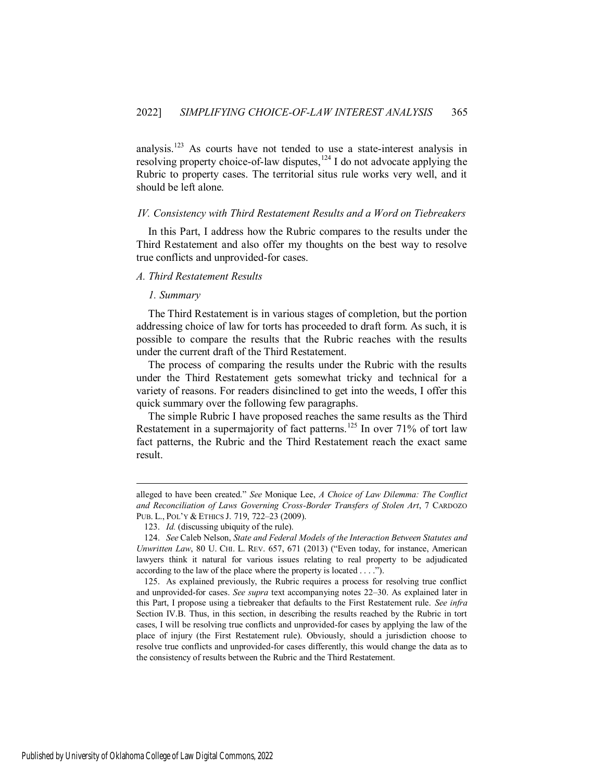analysis.<sup>123</sup> As courts have not tended to use a state-interest analysis in resolving property choice-of-law disputes, $124$  I do not advocate applying the Rubric to property cases. The territorial situs rule works very well, and it should be left alone.

#### <span id="page-29-0"></span>*IV. Consistency with Third Restatement Results and a Word on Tiebreakers*

In this Part, I address how the Rubric compares to the results under the Third Restatement and also offer my thoughts on the best way to resolve true conflicts and unprovided-for cases.

#### <span id="page-29-1"></span>*A. Third Restatement Results*

#### <span id="page-29-2"></span>*1. Summary*

The Third Restatement is in various stages of completion, but the portion addressing choice of law for torts has proceeded to draft form. As such, it is possible to compare the results that the Rubric reaches with the results under the current draft of the Third Restatement.

The process of comparing the results under the Rubric with the results under the Third Restatement gets somewhat tricky and technical for a variety of reasons. For readers disinclined to get into the weeds, I offer this quick summary over the following few paragraphs.

The simple Rubric I have proposed reaches the same results as the Third Restatement in a supermajority of fact patterns.<sup>125</sup> In over 71% of tort law fact patterns, the Rubric and the Third Restatement reach the exact same result.

alleged to have been created." *See* Monique Lee, *A Choice of Law Dilemma: The Conflict and Reconciliation of Laws Governing Cross-Border Transfers of Stolen Art*, 7 CARDOZO PUB. L., POL'Y & ETHICS J. 719, 722–23 (2009).

<sup>123.</sup> *Id.* (discussing ubiquity of the rule).

<sup>124.</sup> *See* Caleb Nelson, *State and Federal Models of the Interaction Between Statutes and Unwritten Law*, 80 U. CHI. L. REV. 657, 671 (2013) ("Even today, for instance, American lawyers think it natural for various issues relating to real property to be adjudicated according to the law of the place where the property is located . . . .").

<sup>125.</sup> As explained previously, the Rubric requires a process for resolving true conflict and unprovided-for cases. *See supra* text accompanying notes 22–30. As explained later in this Part, I propose using a tiebreaker that defaults to the First Restatement rule. *See infra* Section IV.B. Thus, in this section, in describing the results reached by the Rubric in tort cases, I will be resolving true conflicts and unprovided-for cases by applying the law of the place of injury (the First Restatement rule). Obviously, should a jurisdiction choose to resolve true conflicts and unprovided-for cases differently, this would change the data as to the consistency of results between the Rubric and the Third Restatement.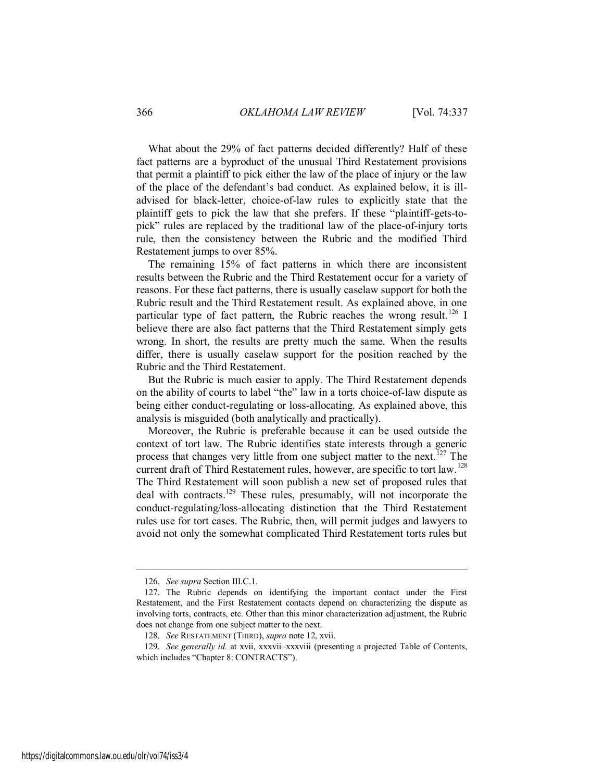What about the 29% of fact patterns decided differently? Half of these fact patterns are a byproduct of the unusual Third Restatement provisions that permit a plaintiff to pick either the law of the place of injury or the law of the place of the defendant's bad conduct. As explained below, it is illadvised for black-letter, choice-of-law rules to explicitly state that the plaintiff gets to pick the law that she prefers. If these "plaintiff-gets-topick" rules are replaced by the traditional law of the place-of-injury torts rule, then the consistency between the Rubric and the modified Third Restatement jumps to over 85%.

The remaining 15% of fact patterns in which there are inconsistent results between the Rubric and the Third Restatement occur for a variety of reasons. For these fact patterns, there is usually caselaw support for both the Rubric result and the Third Restatement result. As explained above, in one particular type of fact pattern, the Rubric reaches the wrong result.<sup>126</sup> I believe there are also fact patterns that the Third Restatement simply gets wrong. In short, the results are pretty much the same. When the results differ, there is usually caselaw support for the position reached by the Rubric and the Third Restatement.

But the Rubric is much easier to apply. The Third Restatement depends on the ability of courts to label "the" law in a torts choice-of-law dispute as being either conduct-regulating or loss-allocating. As explained above, this analysis is misguided (both analytically and practically).

Moreover, the Rubric is preferable because it can be used outside the context of tort law. The Rubric identifies state interests through a generic process that changes very little from one subject matter to the next.<sup>127</sup> The current draft of Third Restatement rules, however, are specific to tort law.<sup>128</sup> The Third Restatement will soon publish a new set of proposed rules that deal with contracts.<sup>129</sup> These rules, presumably, will not incorporate the conduct-regulating/loss-allocating distinction that the Third Restatement rules use for tort cases. The Rubric, then, will permit judges and lawyers to avoid not only the somewhat complicated Third Restatement torts rules but

<sup>126.</sup> *See supra* Section III.C.1.

<sup>127.</sup> The Rubric depends on identifying the important contact under the First Restatement, and the First Restatement contacts depend on characterizing the dispute as involving torts, contracts, etc. Other than this minor characterization adjustment, the Rubric does not change from one subject matter to the next.

<sup>128.</sup> *See* RESTATEMENT (THIRD), *supra* note 12, xvii.

<sup>129.</sup> *See generally id.* at xvii, xxxvii–xxxviii (presenting a projected Table of Contents, which includes "Chapter 8: CONTRACTS").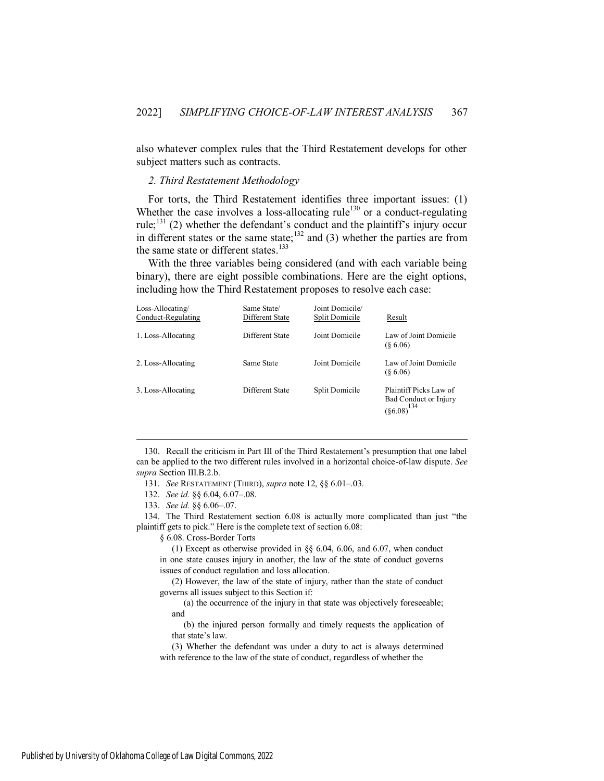also whatever complex rules that the Third Restatement develops for other subject matters such as contracts.

#### <span id="page-31-0"></span>*2. Third Restatement Methodology*

For torts, the Third Restatement identifies three important issues: (1) Whether the case involves a loss-allocating rule<sup>130</sup> or a conduct-regulating rule;<sup>131</sup> (2) whether the defendant's conduct and the plaintiff's injury occur in different states or the same state;<sup>132</sup> and (3) whether the parties are from the same state or different states.<sup>133</sup>

With the three variables being considered (and with each variable being binary), there are eight possible combinations. Here are the eight options, including how the Third Restatement proposes to resolve each case:

| Loss-Allocating/<br>Conduct-Regulating | Same State/<br>Different State | Joint Domicile/<br>Split Domicile | Result                                                               |
|----------------------------------------|--------------------------------|-----------------------------------|----------------------------------------------------------------------|
| 1. Loss-Allocating                     | Different State                | Joint Domicile                    | Law of Joint Domicile<br>(86.06)                                     |
| 2. Loss-Allocating                     | Same State                     | Joint Domicile                    | Law of Joint Domicile<br>(86.06)                                     |
| 3. Loss-Allocating                     | Different State                | Split Domicile                    | Plaintiff Picks Law of<br>Bad Conduct or Injury<br>$(\S 6.08)^{134}$ |

130. Recall the criticism in Part III of the Third Restatement's presumption that one label can be applied to the two different rules involved in a horizontal choice-of-law dispute. *See supra* Section III.B.2.b.

131. *See* RESTATEMENT (THIRD), *supra* note 12, §§ 6.01–.03.

132. *See id.* §§ 6.04, 6.07–.08.

133. *See id.* §§ 6.06–.07.

 $\overline{a}$ 

134. The Third Restatement section 6.08 is actually more complicated than just "the plaintiff gets to pick." Here is the complete text of section 6.08:

§ 6.08. Cross-Border Torts

 (1) Except as otherwise provided in §§ 6.04, 6.06, and 6.07, when conduct in one state causes injury in another, the law of the state of conduct governs issues of conduct regulation and loss allocation.

 (2) However, the law of the state of injury, rather than the state of conduct governs all issues subject to this Section if:

 (a) the occurrence of the injury in that state was objectively foreseeable; and

 (b) the injured person formally and timely requests the application of that state's law.

 (3) Whether the defendant was under a duty to act is always determined with reference to the law of the state of conduct, regardless of whether the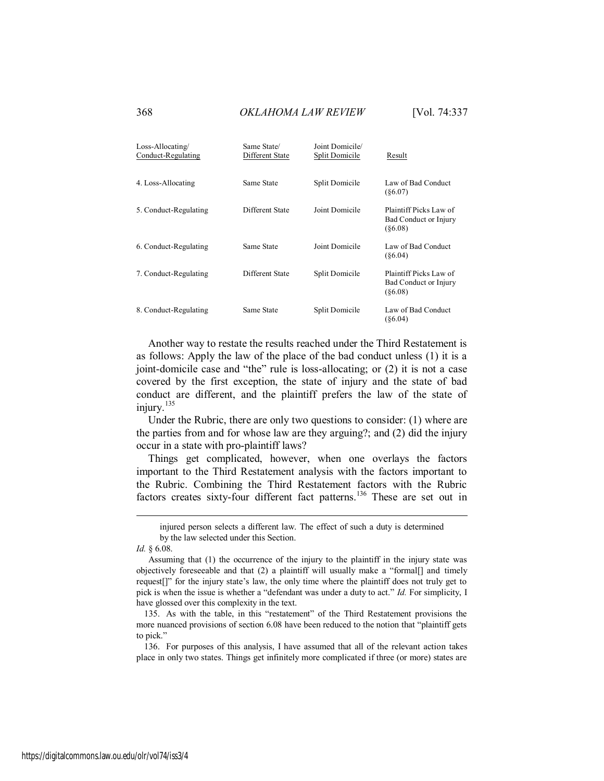| Loss-Allocating/<br>Conduct-Regulating | Same State/<br>Different State | Joint Domicile/<br>Split Domicile | Result                                                     |
|----------------------------------------|--------------------------------|-----------------------------------|------------------------------------------------------------|
| 4. Loss-Allocating                     | Same State                     | Split Domicile                    | Law of Bad Conduct<br>$(\$6.07)$                           |
| 5. Conduct-Regulating                  | Different State                | Joint Domicile                    | Plaintiff Picks Law of<br>Bad Conduct or Injury<br>(86.08) |
| 6. Conduct-Regulating                  | Same State                     | Joint Domicile                    | Law of Bad Conduct<br>(86.04)                              |
| 7. Conduct-Regulating                  | Different State                | Split Domicile                    | Plaintiff Picks Law of<br>Bad Conduct or Injury<br>(86.08) |
| 8. Conduct-Regulating                  | Same State                     | Split Domicile                    | Law of Bad Conduct<br>(86.04)                              |

Another way to restate the results reached under the Third Restatement is as follows: Apply the law of the place of the bad conduct unless (1) it is a joint-domicile case and "the" rule is loss-allocating; or (2) it is not a case covered by the first exception, the state of injury and the state of bad conduct are different, and the plaintiff prefers the law of the state of injury.<sup>135</sup>

Under the Rubric, there are only two questions to consider: (1) where are the parties from and for whose law are they arguing?; and (2) did the injury occur in a state with pro-plaintiff laws?

Things get complicated, however, when one overlays the factors important to the Third Restatement analysis with the factors important to the Rubric. Combining the Third Restatement factors with the Rubric factors creates sixty-four different fact patterns.<sup>136</sup> These are set out in

injured person selects a different law. The effect of such a duty is determined by the law selected under this Section.

*Id.* § 6.08.

Assuming that (1) the occurrence of the injury to the plaintiff in the injury state was objectively foreseeable and that (2) a plaintiff will usually make a "formal[] and timely request[]" for the injury state's law, the only time where the plaintiff does not truly get to pick is when the issue is whether a "defendant was under a duty to act." *Id.* For simplicity, I have glossed over this complexity in the text.

<sup>135.</sup> As with the table, in this "restatement" of the Third Restatement provisions the more nuanced provisions of section 6.08 have been reduced to the notion that "plaintiff gets to pick."

<sup>136.</sup> For purposes of this analysis, I have assumed that all of the relevant action takes place in only two states. Things get infinitely more complicated if three (or more) states are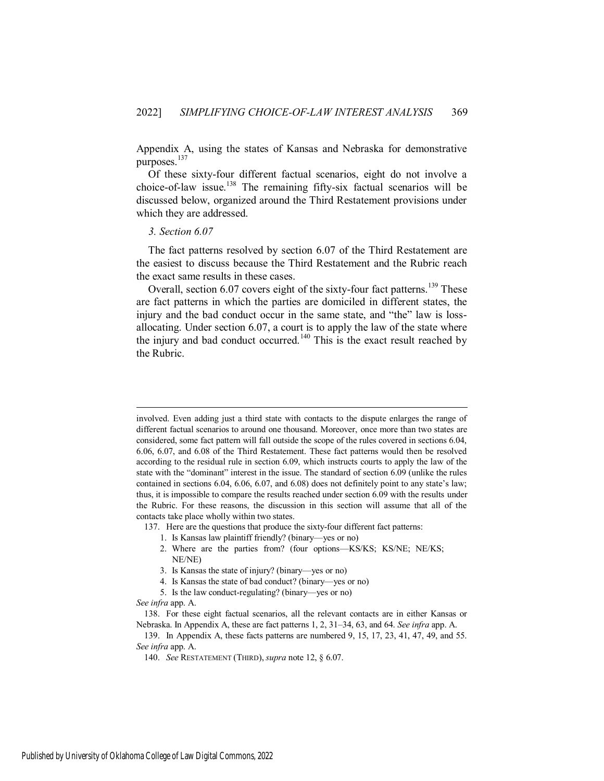Appendix A, using the states of Kansas and Nebraska for demonstrative purposes.<sup>137</sup>

Of these sixty-four different factual scenarios, eight do not involve a choice-of-law issue.<sup>138</sup> The remaining fifty-six factual scenarios will be discussed below, organized around the Third Restatement provisions under which they are addressed.

#### <span id="page-33-0"></span>*3. Section 6.07*

The fact patterns resolved by section 6.07 of the Third Restatement are the easiest to discuss because the Third Restatement and the Rubric reach the exact same results in these cases.

Overall, section 6.07 covers eight of the sixty-four fact patterns.<sup>139</sup> These are fact patterns in which the parties are domiciled in different states, the injury and the bad conduct occur in the same state, and "the" law is lossallocating. Under section 6.07, a court is to apply the law of the state where the injury and bad conduct occurred.<sup>140</sup> This is the exact result reached by the Rubric.

137. Here are the questions that produce the sixty-four different fact patterns:

- 1. Is Kansas law plaintiff friendly? (binary—yes or no)
- 2. Where are the parties from? (four options—KS/KS; KS/NE; NE/KS; NE/NE)

- 4. Is Kansas the state of bad conduct? (binary—yes or no)
- 5. Is the law conduct-regulating? (binary—yes or no)

<span id="page-33-1"></span>involved. Even adding just a third state with contacts to the dispute enlarges the range of different factual scenarios to around one thousand. Moreover, once more than two states are considered, some fact pattern will fall outside the scope of the rules covered in sections 6.04, 6.06, 6.07, and 6.08 of the Third Restatement. These fact patterns would then be resolved according to the residual rule in section 6.09, which instructs courts to apply the law of the state with the "dominant" interest in the issue. The standard of section 6.09 (unlike the rules contained in sections 6.04, 6.06, 6.07, and 6.08) does not definitely point to any state's law; thus, it is impossible to compare the results reached under section 6.09 with the results under the Rubric. For these reasons, the discussion in this section will assume that all of the contacts take place wholly within two states.

<sup>3.</sup> Is Kansas the state of injury? (binary—yes or no)

*See infra* app. A.

<sup>138.</sup> For these eight factual scenarios, all the relevant contacts are in either Kansas or Nebraska. In Appendix A, these are fact patterns 1, 2, 31–34, 63, and 64. *See infra* app. A.

<sup>139.</sup> In Appendix A, these facts patterns are numbered 9, 15, 17, 23, 41, 47, 49, and 55. *See infra* app. A.

<sup>140.</sup> *See* RESTATEMENT (THIRD), *supra* note 12, § 6.07.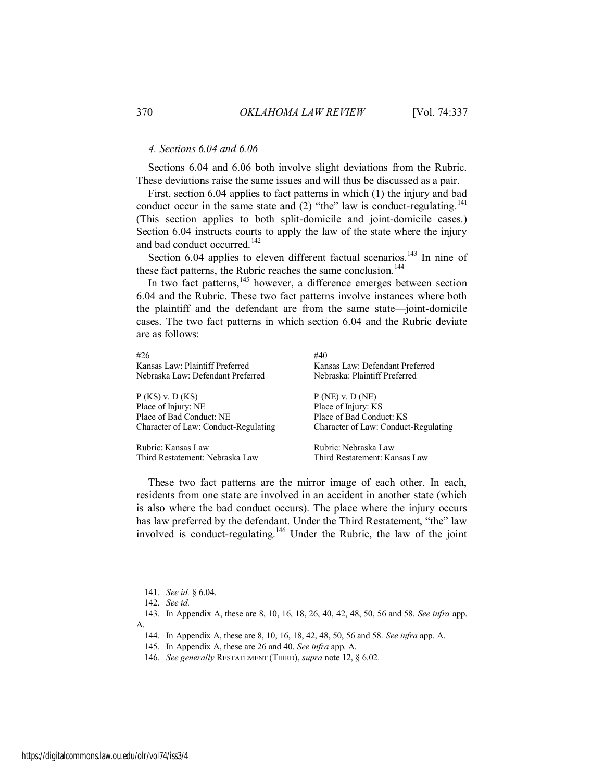#### *4. Sections 6.04 and 6.06*

Sections 6.04 and 6.06 both involve slight deviations from the Rubric. These deviations raise the same issues and will thus be discussed as a pair.

First, section 6.04 applies to fact patterns in which (1) the injury and bad conduct occur in the same state and  $(2)$  "the" law is conduct-regulating.<sup>141</sup> (This section applies to both split-domicile and joint-domicile cases.) Section 6.04 instructs courts to apply the law of the state where the injury and bad conduct occurred.<sup>142</sup>

Section 6.04 applies to eleven different factual scenarios.<sup>143</sup> In nine of these fact patterns, the Rubric reaches the same conclusion.<sup>144</sup>

In two fact patterns,<sup>145</sup> however, a difference emerges between section 6.04 and the Rubric. These two fact patterns involve instances where both the plaintiff and the defendant are from the same state—joint-domicile cases. The two fact patterns in which section 6.04 and the Rubric deviate are as follows:

| #26                                  | #40                                  |
|--------------------------------------|--------------------------------------|
| Kansas Law: Plaintiff Preferred      | Kansas Law: Defendant Preferred      |
| Nebraska Law: Defendant Preferred    | Nebraska: Plaintiff Preferred        |
| $P(KS)$ v. $D(KS)$                   | $P(NE)$ v. $D(NE)$                   |
| Place of Injury: NE                  | Place of Injury: KS                  |
| Place of Bad Conduct: NE             | Place of Bad Conduct: KS             |
| Character of Law: Conduct-Regulating | Character of Law: Conduct-Regulating |
| Rubric: Kansas Law                   | Rubric: Nebraska Law                 |

Third Restatement: Nebraska Law Third Restatement: Kansas Law

These two fact patterns are the mirror image of each other. In each, residents from one state are involved in an accident in another state (which is also where the bad conduct occurs). The place where the injury occurs has law preferred by the defendant. Under the Third Restatement, "the" law involved is conduct-regulating.<sup>146</sup> Under the Rubric, the law of the joint

<sup>141.</sup> *See id.* § 6.04.

<sup>142.</sup> *See id.*

<sup>143.</sup> In Appendix A, these are 8, 10, 16, 18, 26, 40, 42, 48, 50, 56 and 58. *See infra* app. A.

<sup>144.</sup> In Appendix A, these are 8, 10, 16, 18, 42, 48, 50, 56 and 58. *See infra* app. A.

<sup>145.</sup> In Appendix A, these are 26 and 40. *See infra* app. A.

<sup>146.</sup> *See generally* RESTATEMENT (THIRD), *supra* note 12, § 6.02.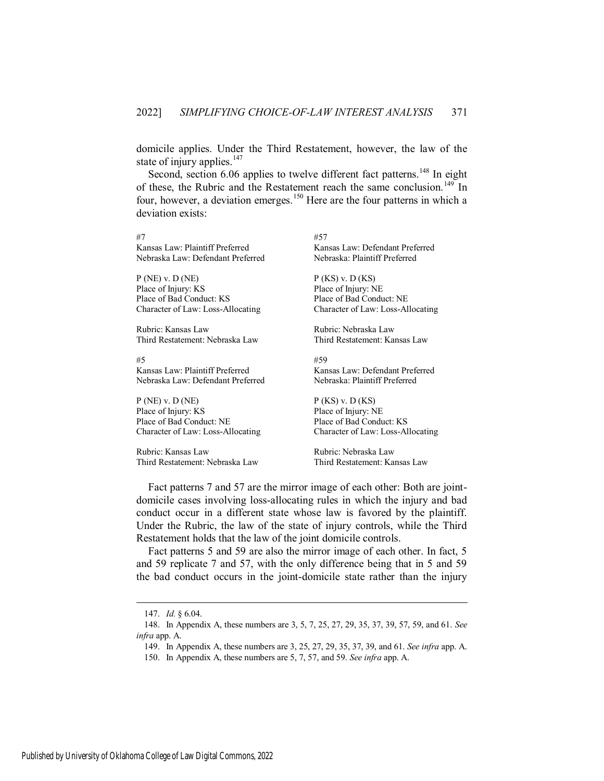domicile applies. Under the Third Restatement, however, the law of the state of injury applies. $147$ 

Second, section 6.06 applies to twelve different fact patterns.<sup>148</sup> In eight of these, the Rubric and the Restatement reach the same conclusion.<sup>149</sup> In four, however, a deviation emerges.<sup>150</sup> Here are the four patterns in which a deviation exists:

#7 #57 Kansas Law: Plaintiff Preferred Kansas Law: Defendant Preferred Nebraska Law: Defendant Preferred Nebraska: Plaintiff Preferred

 $P (NE)$  v. D (NE)  $P (KS)$  v. D (KS) Place of Injury: KS Place of Injury: NE Place of Bad Conduct: KS Place of Bad Conduct: NE Character of Law: Loss-Allocating Character of Law: Loss-Allocating

Rubric: Kansas Law Rubric: Nebraska Law Third Restatement: Nebraska Law Third Restatement: Kansas Law

#5 #59 Kansas Law: Plaintiff Preferred Kansas Law: Defendant Preferred Nebraska Law: Defendant Preferred Nebraska: Plaintiff Preferred

 $P (NE)$  v. D (NE)  $P (KS)$  v. D (KS) Place of Injury: KS Place of Injury: NE Place of Bad Conduct: NE Place of Bad Conduct: KS Character of Law: Loss-Allocating Character of Law: Loss-Allocating

Rubric: Kansas Law Rubric: Nebraska Law Third Restatement: Nebraska Law Third Restatement: Kansas Law

Fact patterns 7 and 57 are the mirror image of each other: Both are jointdomicile cases involving loss-allocating rules in which the injury and bad conduct occur in a different state whose law is favored by the plaintiff. Under the Rubric, the law of the state of injury controls, while the Third Restatement holds that the law of the joint domicile controls.

Fact patterns 5 and 59 are also the mirror image of each other. In fact, 5 and 59 replicate 7 and 57, with the only difference being that in 5 and 59 the bad conduct occurs in the joint-domicile state rather than the injury

<sup>147.</sup> *Id.* § 6.04.

<sup>148.</sup> In Appendix A, these numbers are 3, 5, 7, 25, 27, 29, 35, 37, 39, 57, 59, and 61. *See infra* app. A.

<sup>149.</sup> In Appendix A, these numbers are 3, 25, 27, 29, 35, 37, 39, and 61. *See infra* app. A.

<sup>150.</sup> In Appendix A, these numbers are 5, 7, 57, and 59. *See infra* app. A.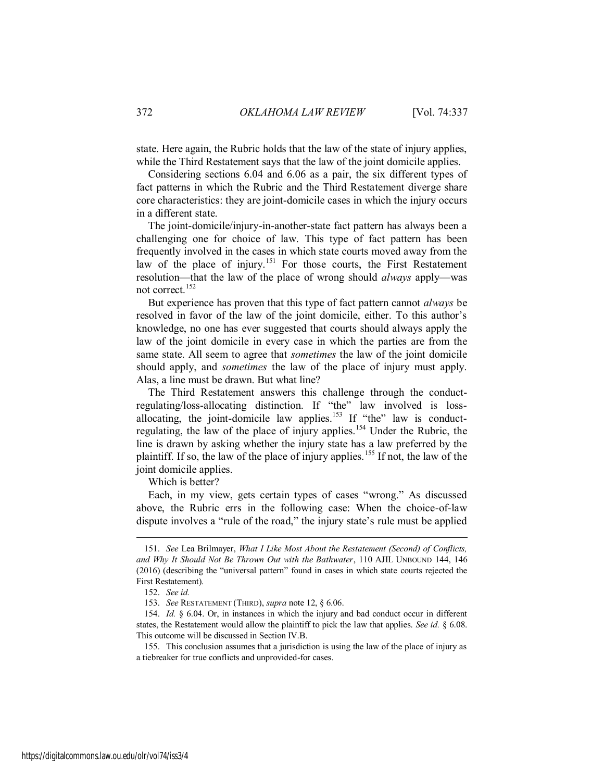state. Here again, the Rubric holds that the law of the state of injury applies, while the Third Restatement says that the law of the joint domicile applies.

Considering sections 6.04 and 6.06 as a pair, the six different types of fact patterns in which the Rubric and the Third Restatement diverge share core characteristics: they are joint-domicile cases in which the injury occurs in a different state.

The joint-domicile/injury-in-another-state fact pattern has always been a challenging one for choice of law. This type of fact pattern has been frequently involved in the cases in which state courts moved away from the law of the place of injury.<sup>151</sup> For those courts, the First Restatement resolution—that the law of the place of wrong should *always* apply—was not correct.<sup>152</sup>

But experience has proven that this type of fact pattern cannot *always* be resolved in favor of the law of the joint domicile, either. To this author's knowledge, no one has ever suggested that courts should always apply the law of the joint domicile in every case in which the parties are from the same state. All seem to agree that *sometimes* the law of the joint domicile should apply, and *sometimes* the law of the place of injury must apply. Alas, a line must be drawn. But what line?

The Third Restatement answers this challenge through the conductregulating/loss-allocating distinction. If "the" law involved is lossallocating, the joint-domicile law applies.<sup>153</sup> If "the" law is conductregulating, the law of the place of injury applies.<sup>154</sup> Under the Rubric, the line is drawn by asking whether the injury state has a law preferred by the plaintiff. If so, the law of the place of injury applies.<sup>155</sup> If not, the law of the joint domicile applies.

Which is better?

Each, in my view, gets certain types of cases "wrong." As discussed above, the Rubric errs in the following case: When the choice-of-law dispute involves a "rule of the road," the injury state's rule must be applied

<sup>151.</sup> *See* Lea Brilmayer, *What I Like Most About the Restatement (Second) of Conflicts, and Why It Should Not Be Thrown Out with the Bathwater*, 110 AJIL UNBOUND 144, 146 (2016) (describing the "universal pattern" found in cases in which state courts rejected the First Restatement).

<sup>152.</sup> *See id.*

<sup>153.</sup> *See* RESTATEMENT (THIRD), *supra* note 12, § 6.06.

<sup>154.</sup> *Id.* § 6.04. Or, in instances in which the injury and bad conduct occur in different states, the Restatement would allow the plaintiff to pick the law that applies. *See id.* § 6.08. This outcome will be discussed in Section IV.B.

<sup>155.</sup> This conclusion assumes that a jurisdiction is using the law of the place of injury as a tiebreaker for true conflicts and unprovided-for cases.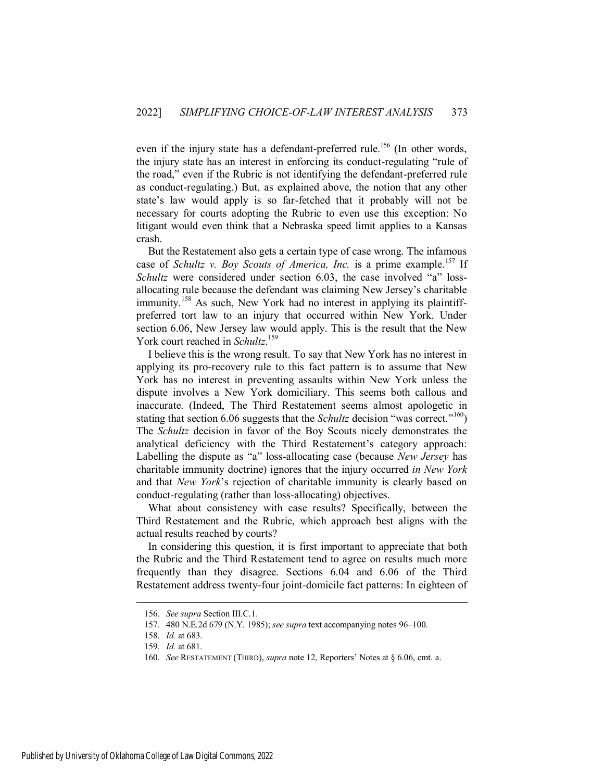even if the injury state has a defendant-preferred rule.<sup>156</sup> (In other words, the injury state has an interest in enforcing its conduct-regulating "rule of the road," even if the Rubric is not identifying the defendant-preferred rule as conduct-regulating.) But, as explained above, the notion that any other state's law would apply is so far-fetched that it probably will not be necessary for courts adopting the Rubric to even use this exception: No litigant would even think that a Nebraska speed limit applies to a Kansas crash.

But the Restatement also gets a certain type of case wrong. The infamous case of *Schultz v. Boy Scouts of America, Inc.* is a prime example.<sup>157</sup> If *Schultz* were considered under section 6.03, the case involved "a" lossallocating rule because the defendant was claiming New Jersey's charitable immunity.<sup>158</sup> As such, New York had no interest in applying its plaintiffpreferred tort law to an injury that occurred within New York. Under section 6.06, New Jersey law would apply. This is the result that the New York court reached in *Schultz*. 159

I believe this is the wrong result. To say that New York has no interest in applying its pro-recovery rule to this fact pattern is to assume that New York has no interest in preventing assaults within New York unless the dispute involves a New York domiciliary. This seems both callous and inaccurate. (Indeed, The Third Restatement seems almost apologetic in stating that section 6.06 suggests that the *Schultz* decision "was correct."<sup>160</sup>) The *Schultz* decision in favor of the Boy Scouts nicely demonstrates the analytical deficiency with the Third Restatement's category approach: Labelling the dispute as "a" loss-allocating case (because *New Jersey* has charitable immunity doctrine) ignores that the injury occurred *in New York* and that *New York*'s rejection of charitable immunity is clearly based on conduct-regulating (rather than loss-allocating) objectives.

What about consistency with case results? Specifically, between the Third Restatement and the Rubric, which approach best aligns with the actual results reached by courts?

In considering this question, it is first important to appreciate that both the Rubric and the Third Restatement tend to agree on results much more frequently than they disagree. Sections 6.04 and 6.06 of the Third Restatement address twenty-four joint-domicile fact patterns: In eighteen of

<sup>156.</sup> *See supra* Section III.C.1.

<sup>157. 480</sup> N.E.2d 679 (N.Y. 1985); *see supra* text accompanying notes 96–100.

<sup>158.</sup> *Id.* at 683.

<sup>159.</sup> *Id.* at 681.

<sup>160.</sup> *See* RESTATEMENT (THIRD), *supra* note 12, Reporters' Notes at § 6.06, cmt. a.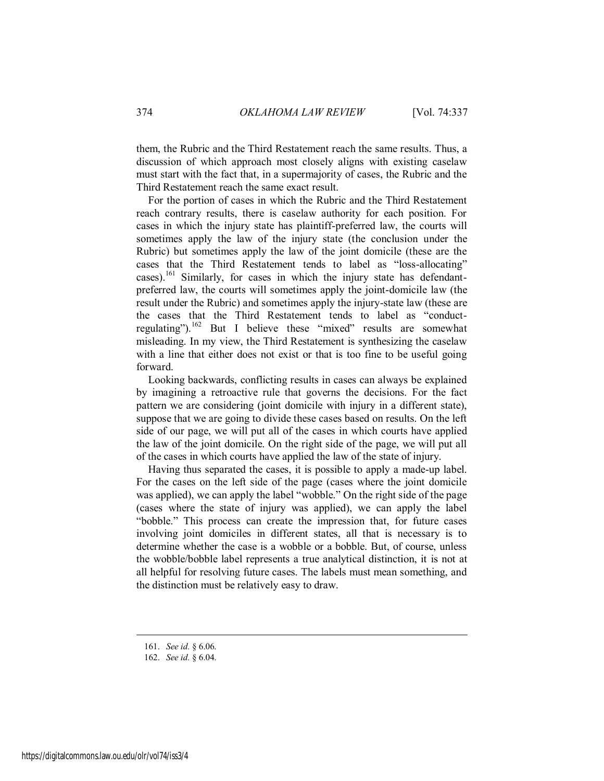them, the Rubric and the Third Restatement reach the same results. Thus, a discussion of which approach most closely aligns with existing caselaw must start with the fact that, in a supermajority of cases, the Rubric and the Third Restatement reach the same exact result.

For the portion of cases in which the Rubric and the Third Restatement reach contrary results, there is caselaw authority for each position. For cases in which the injury state has plaintiff-preferred law, the courts will sometimes apply the law of the injury state (the conclusion under the Rubric) but sometimes apply the law of the joint domicile (these are the cases that the Third Restatement tends to label as "loss-allocating" cases).<sup>161</sup> Similarly, for cases in which the injury state has defendantpreferred law, the courts will sometimes apply the joint-domicile law (the result under the Rubric) and sometimes apply the injury-state law (these are the cases that the Third Restatement tends to label as "conductregulating").<sup>162</sup> But I believe these "mixed" results are somewhat misleading. In my view, the Third Restatement is synthesizing the caselaw with a line that either does not exist or that is too fine to be useful going forward.

Looking backwards, conflicting results in cases can always be explained by imagining a retroactive rule that governs the decisions. For the fact pattern we are considering (joint domicile with injury in a different state), suppose that we are going to divide these cases based on results. On the left side of our page, we will put all of the cases in which courts have applied the law of the joint domicile. On the right side of the page, we will put all of the cases in which courts have applied the law of the state of injury.

Having thus separated the cases, it is possible to apply a made-up label. For the cases on the left side of the page (cases where the joint domicile was applied), we can apply the label "wobble." On the right side of the page (cases where the state of injury was applied), we can apply the label "bobble." This process can create the impression that, for future cases involving joint domiciles in different states, all that is necessary is to determine whether the case is a wobble or a bobble. But, of course, unless the wobble/bobble label represents a true analytical distinction, it is not at all helpful for resolving future cases. The labels must mean something, and the distinction must be relatively easy to draw.

<sup>161.</sup> *See id.* § 6.06.

<sup>162.</sup> *See id.* § 6.04.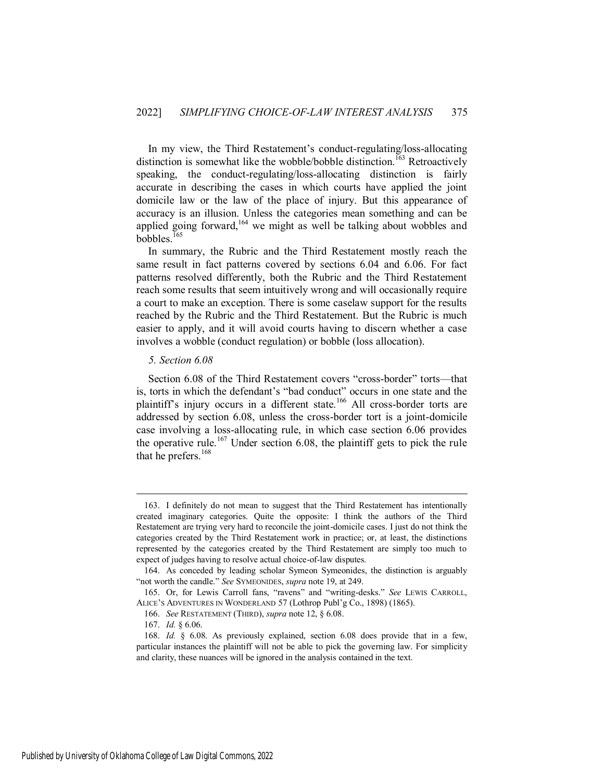In my view, the Third Restatement's conduct-regulating/loss-allocating distinction is somewhat like the wobble/bobble distinction.<sup>163</sup> Retroactively speaking, the conduct-regulating/loss-allocating distinction is fairly accurate in describing the cases in which courts have applied the joint domicile law or the law of the place of injury. But this appearance of accuracy is an illusion. Unless the categories mean something and can be applied going forward,  $164$  we might as well be talking about wobbles and bobbles.<sup>165</sup>

In summary, the Rubric and the Third Restatement mostly reach the same result in fact patterns covered by sections 6.04 and 6.06. For fact patterns resolved differently, both the Rubric and the Third Restatement reach some results that seem intuitively wrong and will occasionally require a court to make an exception. There is some caselaw support for the results reached by the Rubric and the Third Restatement. But the Rubric is much easier to apply, and it will avoid courts having to discern whether a case involves a wobble (conduct regulation) or bobble (loss allocation).

#### <span id="page-39-0"></span>*5. Section 6.08*

Section 6.08 of the Third Restatement covers "cross-border" torts—that is, torts in which the defendant's "bad conduct" occurs in one state and the plaintiff's injury occurs in a different state.<sup>166</sup> All cross-border torts are addressed by section 6.08, unless the cross-border tort is a joint-domicile case involving a loss-allocating rule, in which case section 6.06 provides the operative rule.<sup>167</sup> Under section 6.08, the plaintiff gets to pick the rule that he prefers.<sup>168</sup>

<sup>163.</sup> I definitely do not mean to suggest that the Third Restatement has intentionally created imaginary categories. Quite the opposite: I think the authors of the Third Restatement are trying very hard to reconcile the joint-domicile cases. I just do not think the categories created by the Third Restatement work in practice; or, at least, the distinctions represented by the categories created by the Third Restatement are simply too much to expect of judges having to resolve actual choice-of-law disputes.

<sup>164.</sup> As conceded by leading scholar Symeon Symeonides, the distinction is arguably "not worth the candle." *See* SYMEONIDES, *supra* note 19, at 249.

<sup>165.</sup> Or, for Lewis Carroll fans, "ravens" and "writing-desks." *See* LEWIS CARROLL, ALICE'S ADVENTURES IN WONDERLAND 57 (Lothrop Publ'g Co., 1898) (1865).

<sup>166.</sup> *See* RESTATEMENT (THIRD), *supra* note 12, § 6.08.

<sup>167.</sup> *Id.* § 6.06.

<sup>168.</sup> *Id.* § 6.08. As previously explained, section 6.08 does provide that in a few, particular instances the plaintiff will not be able to pick the governing law. For simplicity and clarity, these nuances will be ignored in the analysis contained in the text.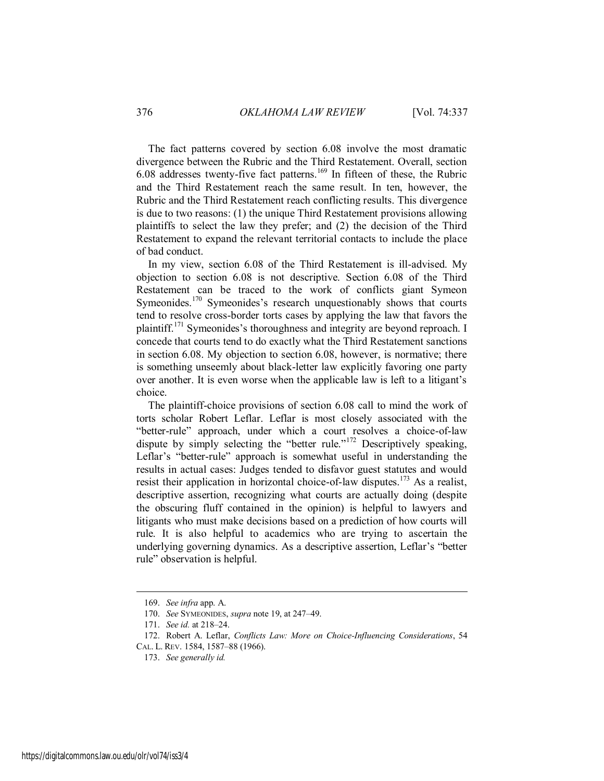The fact patterns covered by section 6.08 involve the most dramatic divergence between the Rubric and the Third Restatement. Overall, section  $6.08$  addresses twenty-five fact patterns.<sup>169</sup> In fifteen of these, the Rubric and the Third Restatement reach the same result. In ten, however, the Rubric and the Third Restatement reach conflicting results. This divergence is due to two reasons: (1) the unique Third Restatement provisions allowing plaintiffs to select the law they prefer; and (2) the decision of the Third Restatement to expand the relevant territorial contacts to include the place of bad conduct.

In my view, section 6.08 of the Third Restatement is ill-advised. My objection to section 6.08 is not descriptive. Section 6.08 of the Third Restatement can be traced to the work of conflicts giant Symeon Symeonides.<sup>170</sup> Symeonides's research unquestionably shows that courts tend to resolve cross-border torts cases by applying the law that favors the plaintiff.<sup>171</sup> Symeonides's thoroughness and integrity are beyond reproach. I concede that courts tend to do exactly what the Third Restatement sanctions in section 6.08. My objection to section 6.08, however, is normative; there is something unseemly about black-letter law explicitly favoring one party over another. It is even worse when the applicable law is left to a litigant's choice.

The plaintiff-choice provisions of section 6.08 call to mind the work of torts scholar Robert Leflar. Leflar is most closely associated with the "better-rule" approach, under which a court resolves a choice-of-law dispute by simply selecting the "better rule."<sup>172</sup> Descriptively speaking, Leflar's "better-rule" approach is somewhat useful in understanding the results in actual cases: Judges tended to disfavor guest statutes and would resist their application in horizontal choice-of-law disputes.<sup>173</sup> As a realist, descriptive assertion, recognizing what courts are actually doing (despite the obscuring fluff contained in the opinion) is helpful to lawyers and litigants who must make decisions based on a prediction of how courts will rule. It is also helpful to academics who are trying to ascertain the underlying governing dynamics. As a descriptive assertion, Leflar's "better rule" observation is helpful.

<sup>169.</sup> *See infra* app. A.

<sup>170.</sup> *See* SYMEONIDES, *supra* note 19, at 247–49.

<sup>171.</sup> *See id.* at 218–24.

<sup>172.</sup> Robert A. Leflar, *Conflicts Law: More on Choice-Influencing Considerations*, 54 CAL. L. REV. 1584, 1587–88 (1966).

<sup>173.</sup> *See generally id.*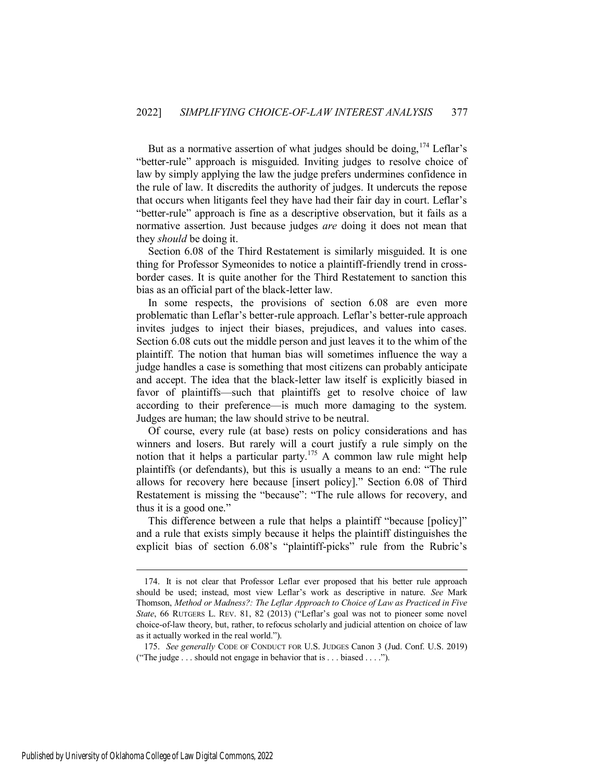But as a normative assertion of what judges should be doing,  $174$  Leflar's "better-rule" approach is misguided. Inviting judges to resolve choice of law by simply applying the law the judge prefers undermines confidence in the rule of law. It discredits the authority of judges. It undercuts the repose that occurs when litigants feel they have had their fair day in court. Leflar's "better-rule" approach is fine as a descriptive observation, but it fails as a normative assertion. Just because judges *are* doing it does not mean that they *should* be doing it.

Section 6.08 of the Third Restatement is similarly misguided. It is one thing for Professor Symeonides to notice a plaintiff-friendly trend in crossborder cases. It is quite another for the Third Restatement to sanction this bias as an official part of the black-letter law.

In some respects, the provisions of section 6.08 are even more problematic than Leflar's better-rule approach. Leflar's better-rule approach invites judges to inject their biases, prejudices, and values into cases. Section 6.08 cuts out the middle person and just leaves it to the whim of the plaintiff. The notion that human bias will sometimes influence the way a judge handles a case is something that most citizens can probably anticipate and accept. The idea that the black-letter law itself is explicitly biased in favor of plaintiffs—such that plaintiffs get to resolve choice of law according to their preference—is much more damaging to the system. Judges are human; the law should strive to be neutral.

Of course, every rule (at base) rests on policy considerations and has winners and losers. But rarely will a court justify a rule simply on the notion that it helps a particular party.<sup>175</sup> A common law rule might help plaintiffs (or defendants), but this is usually a means to an end: "The rule allows for recovery here because [insert policy]." Section 6.08 of Third Restatement is missing the "because": "The rule allows for recovery, and thus it is a good one."

This difference between a rule that helps a plaintiff "because [policy]" and a rule that exists simply because it helps the plaintiff distinguishes the explicit bias of section 6.08's "plaintiff-picks" rule from the Rubric's

<sup>174.</sup> It is not clear that Professor Leflar ever proposed that his better rule approach should be used; instead, most view Leflar's work as descriptive in nature. *See* Mark Thomson, *Method or Madness?: The Leflar Approach to Choice of Law as Practiced in Five State*, 66 RUTGERS L. REV. 81, 82 (2013) ("Leflar's goal was not to pioneer some novel choice-of-law theory, but, rather, to refocus scholarly and judicial attention on choice of law as it actually worked in the real world.").

<sup>175.</sup> *See generally* CODE OF CONDUCT FOR U.S. JUDGES Canon 3 (Jud. Conf. U.S. 2019) ("The judge . . . should not engage in behavior that is . . . biased . . . .").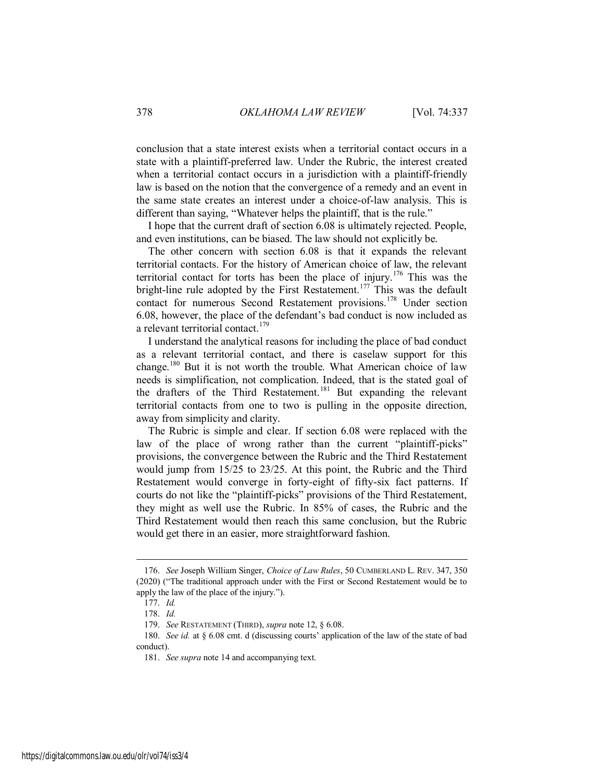conclusion that a state interest exists when a territorial contact occurs in a state with a plaintiff-preferred law. Under the Rubric, the interest created when a territorial contact occurs in a jurisdiction with a plaintiff-friendly law is based on the notion that the convergence of a remedy and an event in the same state creates an interest under a choice-of-law analysis. This is different than saying, "Whatever helps the plaintiff, that is the rule."

I hope that the current draft of section 6.08 is ultimately rejected. People, and even institutions, can be biased. The law should not explicitly be.

The other concern with section 6.08 is that it expands the relevant territorial contacts. For the history of American choice of law, the relevant territorial contact for torts has been the place of injury.<sup>176</sup> This was the bright-line rule adopted by the First Restatement.<sup>177</sup> This was the default contact for numerous Second Restatement provisions.<sup>178</sup> Under section 6.08, however, the place of the defendant's bad conduct is now included as a relevant territorial contact.<sup>179</sup>

I understand the analytical reasons for including the place of bad conduct as a relevant territorial contact, and there is caselaw support for this change.<sup>180</sup> But it is not worth the trouble. What American choice of law needs is simplification, not complication. Indeed, that is the stated goal of the drafters of the Third Restatement.<sup>181</sup> But expanding the relevant territorial contacts from one to two is pulling in the opposite direction, away from simplicity and clarity.

The Rubric is simple and clear. If section 6.08 were replaced with the law of the place of wrong rather than the current "plaintiff-picks" provisions, the convergence between the Rubric and the Third Restatement would jump from 15/25 to 23/25. At this point, the Rubric and the Third Restatement would converge in forty-eight of fifty-six fact patterns. If courts do not like the "plaintiff-picks" provisions of the Third Restatement, they might as well use the Rubric. In 85% of cases, the Rubric and the Third Restatement would then reach this same conclusion, but the Rubric would get there in an easier, more straightforward fashion.

<sup>176.</sup> *See* Joseph William Singer, *Choice of Law Rules*, 50 CUMBERLAND L. REV. 347, 350 (2020) ("The traditional approach under with the First or Second Restatement would be to apply the law of the place of the injury.").

<sup>177.</sup> *Id.*

<sup>178.</sup> *Id.*

<sup>179.</sup> *See* RESTATEMENT (THIRD), *supra* note 12, § 6.08.

<sup>180.</sup> *See id.* at § 6.08 cmt. d (discussing courts' application of the law of the state of bad conduct).

<sup>181.</sup> *See supra* note 14 and accompanying text.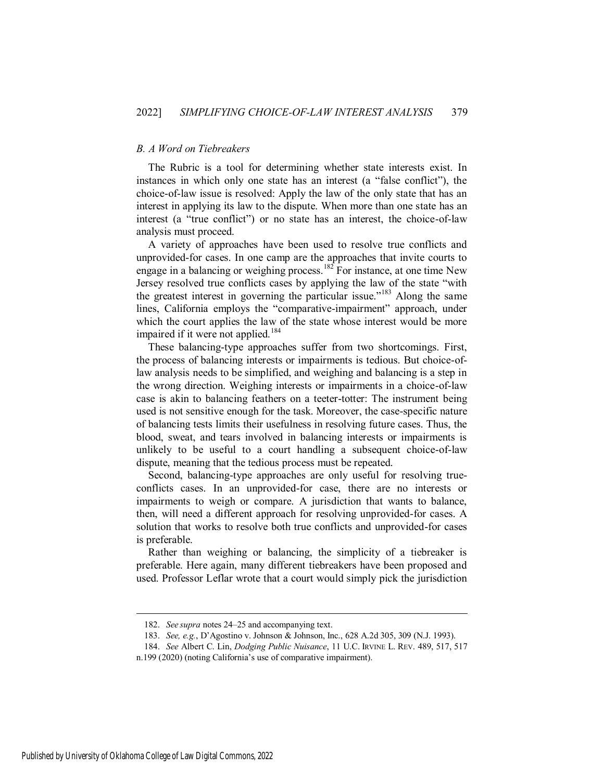# <span id="page-43-0"></span>*B. A Word on Tiebreakers*

The Rubric is a tool for determining whether state interests exist. In instances in which only one state has an interest (a "false conflict"), the choice-of-law issue is resolved: Apply the law of the only state that has an interest in applying its law to the dispute. When more than one state has an interest (a "true conflict") or no state has an interest, the choice-of-law analysis must proceed.

A variety of approaches have been used to resolve true conflicts and unprovided-for cases. In one camp are the approaches that invite courts to engage in a balancing or weighing process.<sup>182</sup> For instance, at one time New Jersey resolved true conflicts cases by applying the law of the state "with the greatest interest in governing the particular issue.<sup> $183$ </sup> Along the same lines, California employs the "comparative-impairment" approach, under which the court applies the law of the state whose interest would be more impaired if it were not applied.<sup>184</sup>

These balancing-type approaches suffer from two shortcomings. First, the process of balancing interests or impairments is tedious. But choice-oflaw analysis needs to be simplified, and weighing and balancing is a step in the wrong direction. Weighing interests or impairments in a choice-of-law case is akin to balancing feathers on a teeter-totter: The instrument being used is not sensitive enough for the task. Moreover, the case-specific nature of balancing tests limits their usefulness in resolving future cases. Thus, the blood, sweat, and tears involved in balancing interests or impairments is unlikely to be useful to a court handling a subsequent choice-of-law dispute, meaning that the tedious process must be repeated.

Second, balancing-type approaches are only useful for resolving trueconflicts cases. In an unprovided-for case, there are no interests or impairments to weigh or compare. A jurisdiction that wants to balance, then, will need a different approach for resolving unprovided-for cases. A solution that works to resolve both true conflicts and unprovided-for cases is preferable.

Rather than weighing or balancing, the simplicity of a tiebreaker is preferable. Here again, many different tiebreakers have been proposed and used. Professor Leflar wrote that a court would simply pick the jurisdiction

<sup>182.</sup> *See supra* notes 24–25 and accompanying text.

<sup>183.</sup> *See, e.g.*, D'Agostino v. Johnson & Johnson, Inc., 628 A.2d 305, 309 (N.J. 1993).

<sup>184.</sup> *See* Albert C. Lin, *Dodging Public Nuisance*, 11 U.C. IRVINE L. REV. 489, 517, 517

n.199 (2020) (noting California's use of comparative impairment).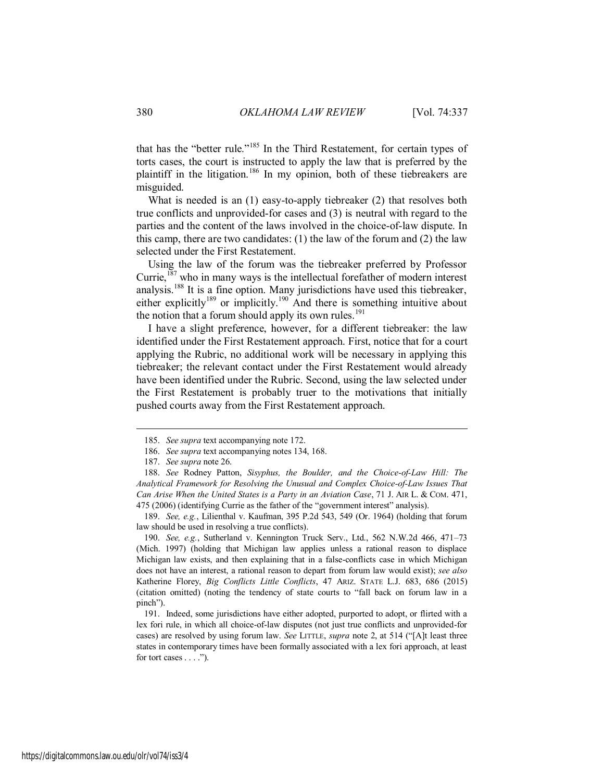that has the "better rule."<sup>185</sup> In the Third Restatement, for certain types of torts cases, the court is instructed to apply the law that is preferred by the plaintiff in the litigation.<sup>186</sup> In my opinion, both of these tiebreakers are misguided.

What is needed is an (1) easy-to-apply tiebreaker (2) that resolves both true conflicts and unprovided-for cases and (3) is neutral with regard to the parties and the content of the laws involved in the choice-of-law dispute. In this camp, there are two candidates: (1) the law of the forum and (2) the law selected under the First Restatement.

Using the law of the forum was the tiebreaker preferred by Professor Currie,  $187$  who in many ways is the intellectual forefather of modern interest analysis.<sup>188</sup> It is a fine option. Many jurisdictions have used this tiebreaker, either explicitly<sup>189</sup> or implicitly.<sup>190</sup> And there is something intuitive about the notion that a forum should apply its own rules.<sup>191</sup>

I have a slight preference, however, for a different tiebreaker: the law identified under the First Restatement approach. First, notice that for a court applying the Rubric, no additional work will be necessary in applying this tiebreaker; the relevant contact under the First Restatement would already have been identified under the Rubric. Second, using the law selected under the First Restatement is probably truer to the motivations that initially pushed courts away from the First Restatement approach.

 $\overline{a}$ 

189. *See, e.g.*, Lilienthal v. Kaufman, 395 P.2d 543, 549 (Or. 1964) (holding that forum law should be used in resolving a true conflicts).

190. *See, e.g.*, Sutherland v. Kennington Truck Serv., Ltd., 562 N.W.2d 466, 471–73 (Mich. 1997) (holding that Michigan law applies unless a rational reason to displace Michigan law exists, and then explaining that in a false-conflicts case in which Michigan does not have an interest, a rational reason to depart from forum law would exist); *see also* Katherine Florey, *Big Conflicts Little Conflicts*, 47 ARIZ. STATE L.J. 683, 686 (2015) (citation omitted) (noting the tendency of state courts to "fall back on forum law in a pinch").

191. Indeed, some jurisdictions have either adopted, purported to adopt, or flirted with a lex fori rule, in which all choice-of-law disputes (not just true conflicts and unprovided-for cases) are resolved by using forum law. *See* LITTLE, *supra* note 2, at 514 ("[A]t least three states in contemporary times have been formally associated with a lex fori approach, at least for tort cases  $\dots$ .").

<sup>185.</sup> *See supra* text accompanying note 172.

<sup>186.</sup> *See supra* text accompanying notes 134, 168.

<sup>187.</sup> *See supra* note 26.

<sup>188.</sup> *See* Rodney Patton, *Sisyphus, the Boulder, and the Choice-of-Law Hill: The Analytical Framework for Resolving the Unusual and Complex Choice-of-Law Issues That Can Arise When the United States is a Party in an Aviation Case*, 71 J. AIR L. & COM. 471, 475 (2006) (identifying Currie as the father of the "government interest" analysis).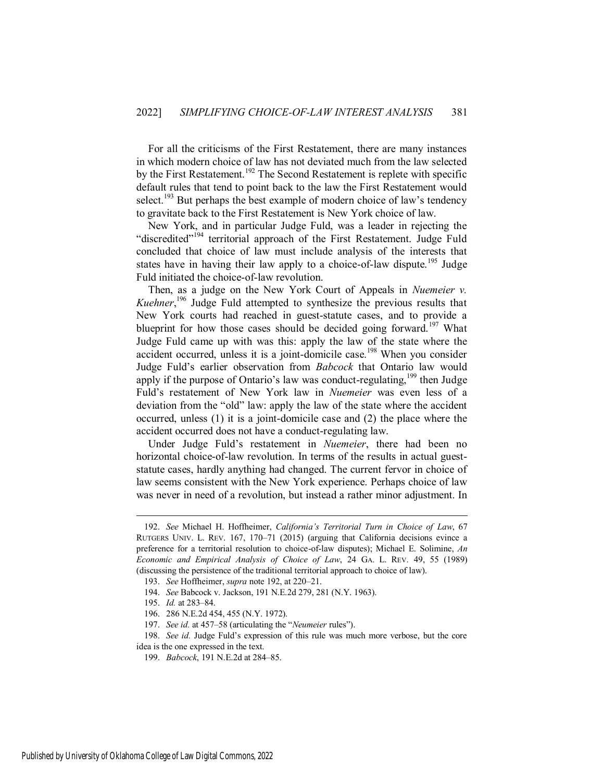For all the criticisms of the First Restatement, there are many instances in which modern choice of law has not deviated much from the law selected by the First Restatement.<sup>192</sup> The Second Restatement is replete with specific default rules that tend to point back to the law the First Restatement would select.<sup>193</sup> But perhaps the best example of modern choice of law's tendency to gravitate back to the First Restatement is New York choice of law.

New York, and in particular Judge Fuld, was a leader in rejecting the "discredited"<sup>194</sup> territorial approach of the First Restatement. Judge Fuld concluded that choice of law must include analysis of the interests that states have in having their law apply to a choice-of-law dispute.<sup>195</sup> Judge Fuld initiated the choice-of-law revolution.

Then, as a judge on the New York Court of Appeals in *Nuemeier v. Kuehner*, <sup>196</sup> Judge Fuld attempted to synthesize the previous results that New York courts had reached in guest-statute cases, and to provide a blueprint for how those cases should be decided going forward.<sup>197</sup> What Judge Fuld came up with was this: apply the law of the state where the accident occurred, unless it is a joint-domicile case.<sup>198</sup> When you consider Judge Fuld's earlier observation from *Babcock* that Ontario law would apply if the purpose of Ontario's law was conduct-regulating,  $199$  then Judge Fuld's restatement of New York law in *Nuemeier* was even less of a deviation from the "old" law: apply the law of the state where the accident occurred, unless (1) it is a joint-domicile case and (2) the place where the accident occurred does not have a conduct-regulating law.

Under Judge Fuld's restatement in *Nuemeier*, there had been no horizontal choice-of-law revolution. In terms of the results in actual gueststatute cases, hardly anything had changed. The current fervor in choice of law seems consistent with the New York experience. Perhaps choice of law was never in need of a revolution, but instead a rather minor adjustment. In

198. *See id.* Judge Fuld's expression of this rule was much more verbose, but the core idea is the one expressed in the text.

<sup>192.</sup> *See* Michael H. Hoffheimer, *California's Territorial Turn in Choice of Law*, 67 RUTGERS UNIV. L. REV. 167, 170–71 (2015) (arguing that California decisions evince a preference for a territorial resolution to choice-of-law disputes); Michael E. Solimine, *An Economic and Empirical Analysis of Choice of Law*, 24 GA. L. REV. 49, 55 (1989) (discussing the persistence of the traditional territorial approach to choice of law).

<sup>193.</sup> *See* Hoffheimer, *supra* note 192, at 220–21.

<sup>194.</sup> *See* Babcock v. Jackson, 191 N.E.2d 279, 281 (N.Y. 1963).

<sup>195.</sup> *Id.* at 283–84.

<sup>196. 286</sup> N.E.2d 454, 455 (N.Y. 1972).

<sup>197.</sup> *See id.* at 457–58 (articulating the "*Neumeier* rules").

<sup>199.</sup> *Babcock*, 191 N.E.2d at 284–85.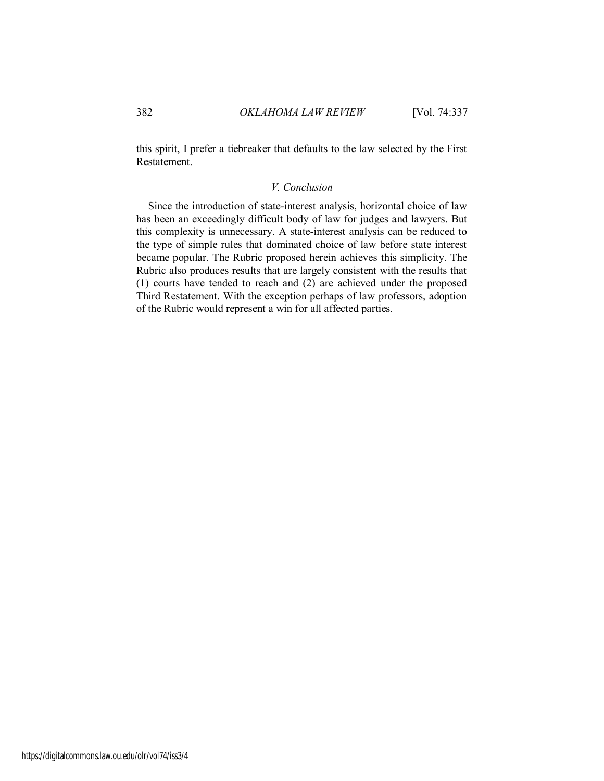<span id="page-46-0"></span>this spirit, I prefer a tiebreaker that defaults to the law selected by the First Restatement.

# *V. Conclusion*

Since the introduction of state-interest analysis, horizontal choice of law has been an exceedingly difficult body of law for judges and lawyers. But this complexity is unnecessary. A state-interest analysis can be reduced to the type of simple rules that dominated choice of law before state interest became popular. The Rubric proposed herein achieves this simplicity. The Rubric also produces results that are largely consistent with the results that (1) courts have tended to reach and (2) are achieved under the proposed Third Restatement. With the exception perhaps of law professors, adoption of the Rubric would represent a win for all affected parties.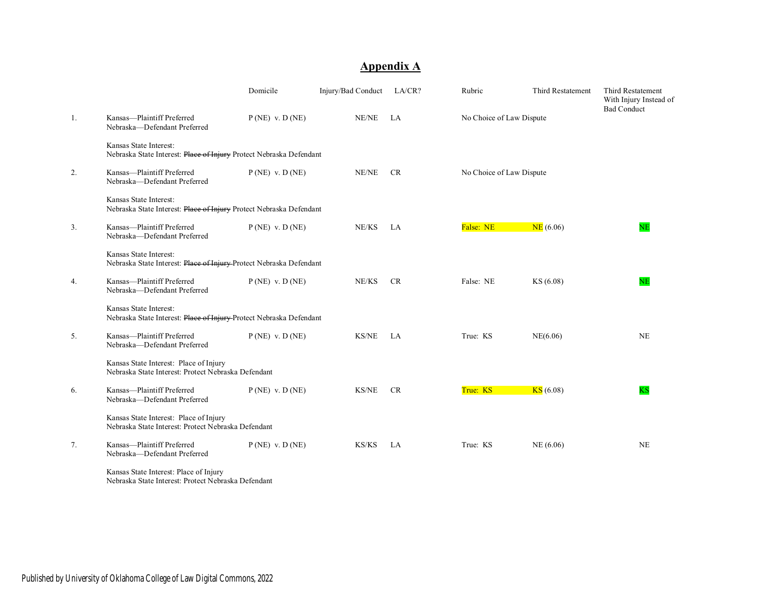# **Appendix A**

|                |                                                                                               | Domicile         | Injury/Bad Conduct | LA/CR?    | Rubric                   | Third Restatement | Third Restatement<br>With Injury Instead of<br><b>Bad Conduct</b> |
|----------------|-----------------------------------------------------------------------------------------------|------------------|--------------------|-----------|--------------------------|-------------------|-------------------------------------------------------------------|
| 1.             | Kansas-Plaintiff Preferred<br>Nebraska-Defendant Preferred                                    | $P(NE)$ v. D(NE) | NE/NE              | LA        | No Choice of Law Dispute |                   |                                                                   |
|                | Kansas State Interest:<br>Nebraska State Interest: Place of Injury Protect Nebraska Defendant |                  |                    |           |                          |                   |                                                                   |
| 2.             | Kansas-Plaintiff Preferred<br>Nebraska-Defendant Preferred                                    | $P(NE)$ v. D(NE) | NE/NE              | <b>CR</b> | No Choice of Law Dispute |                   |                                                                   |
|                | Kansas State Interest:<br>Nebraska State Interest: Place of Injury Protect Nebraska Defendant |                  |                    |           |                          |                   |                                                                   |
| 3 <sub>1</sub> | Kansas-Plaintiff Preferred<br>Nebraska-Defendant Preferred                                    | $P(NE)$ v. D(NE) | NE/KS              | LA        | False: NE                | NE(6.06)          | NE                                                                |
|                | Kansas State Interest:<br>Nebraska State Interest: Place of Injury Protect Nebraska Defendant |                  |                    |           |                          |                   |                                                                   |
| 4.             | Kansas-Plaintiff Preferred<br>Nebraska-Defendant Preferred                                    | $P(NE)$ v. D(NE) | NE/KS              | <b>CR</b> | False: NE                | KS (6.08)         | $_{\rm NE}$                                                       |
|                | Kansas State Interest:<br>Nebraska State Interest: Place of Injury Protect Nebraska Defendant |                  |                    |           |                          |                   |                                                                   |
| 5.             | Kansas-Plaintiff Preferred<br>Nebraska-Defendant Preferred                                    | $P(NE)$ v. D(NE) | KS/NE              | LA        | True: KS                 | NE(6.06)          | <b>NE</b>                                                         |
|                | Kansas State Interest: Place of Injury<br>Nebraska State Interest: Protect Nebraska Defendant |                  |                    |           |                          |                   |                                                                   |
| 6.             | Kansas-Plaintiff Preferred<br>Nebraska-Defendant Preferred                                    | $P(NE)$ v. D(NE) | <b>KS/NE</b>       | <b>CR</b> | True: KS                 | KS(6.08)          | <b>KS</b>                                                         |
|                | Kansas State Interest: Place of Injury<br>Nebraska State Interest: Protect Nebraska Defendant |                  |                    |           |                          |                   |                                                                   |
| 7.             | Kansas-Plaintiff Preferred<br>Nebraska-Defendant Preferred                                    | $P(NE)$ v. D(NE) | KS/KS              | LA        | True: KS                 | NE(6.06)          | <b>NE</b>                                                         |
|                | Kansas State Interest: Place of Injury<br>Nebraska State Interest: Protect Nebraska Defendant |                  |                    |           |                          |                   |                                                                   |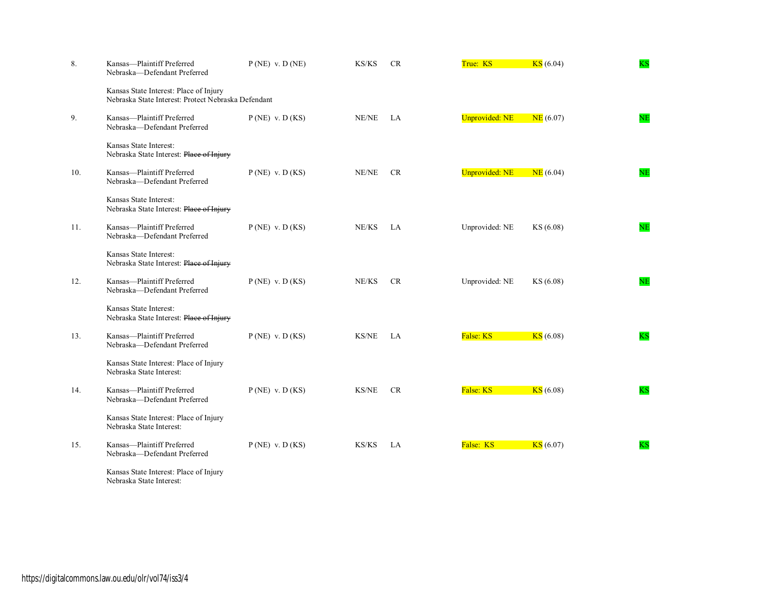| 8.  | Kansas-Plaintiff Preferred<br>Nebraska-Defendant Preferred                                    | $P(NE)$ v. $D(NE)$ | KS/KS        | <b>CR</b> | True: KS              | KS(6.04)  | $\overline{\text{KS}}$ |
|-----|-----------------------------------------------------------------------------------------------|--------------------|--------------|-----------|-----------------------|-----------|------------------------|
|     | Kansas State Interest: Place of Injury<br>Nebraska State Interest: Protect Nebraska Defendant |                    |              |           |                       |           |                        |
| 9.  | Kansas-Plaintiff Preferred<br>Nebraska-Defendant Preferred                                    | $P(NE)$ v. $D(KS)$ | NE/NE        | LA        | <b>Unprovided: NE</b> | NE(6.07)  | NE                     |
|     | Kansas State Interest:<br>Nebraska State Interest: Place of Injury                            |                    |              |           |                       |           |                        |
| 10. | Kansas-Plaintiff Preferred<br>Nebraska-Defendant Preferred                                    | $P(NE)$ v. $D(KS)$ | NE/NE        | CR        | <b>Unprovided: NE</b> | NE(6.04)  | NE                     |
|     | Kansas State Interest:<br>Nebraska State Interest: Place of Injury                            |                    |              |           |                       |           |                        |
| 11. | Kansas-Plaintiff Preferred<br>Nebraska-Defendant Preferred                                    | $P(NE)$ v. $D(KS)$ | NE/KS        | LA        | Unprovided: NE        | KS(6.08)  | NE                     |
|     | Kansas State Interest:<br>Nebraska State Interest: Place of Injury                            |                    |              |           |                       |           |                        |
| 12. | Kansas-Plaintiff Preferred<br>Nebraska-Defendant Preferred                                    | $P(NE)$ v. $D(KS)$ | NE/KS        | <b>CR</b> | Unprovided: NE        | KS (6.08) | NE                     |
|     | Kansas State Interest:<br>Nebraska State Interest: Place of Injury                            |                    |              |           |                       |           |                        |
| 13. | Kansas-Plaintiff Preferred<br>Nebraska-Defendant Preferred                                    | $P(NE)$ v. $D(KS)$ | KS/NE        | LA        | False: KS             | KS(6.08)  | <b>KS</b>              |
|     | Kansas State Interest: Place of Injury<br>Nebraska State Interest:                            |                    |              |           |                       |           |                        |
| 14. | Kansas-Plaintiff Preferred<br>Nebraska-Defendant Preferred                                    | $P(NE)$ v. D(KS)   | <b>KS/NE</b> | <b>CR</b> | False: KS             | KS(6.08)  | <b>KS</b>              |
|     | Kansas State Interest: Place of Injury<br>Nebraska State Interest:                            |                    |              |           |                       |           |                        |
| 15. | Kansas-Plaintiff Preferred<br>Nebraska-Defendant Preferred                                    | $P(NE)$ v. $D(KS)$ | KS/KS        | LA        | False: KS             | KS(6.07)  | ΚS                     |
|     | Kansas State Interest: Place of Injury<br>Nebraska State Interest:                            |                    |              |           |                       |           |                        |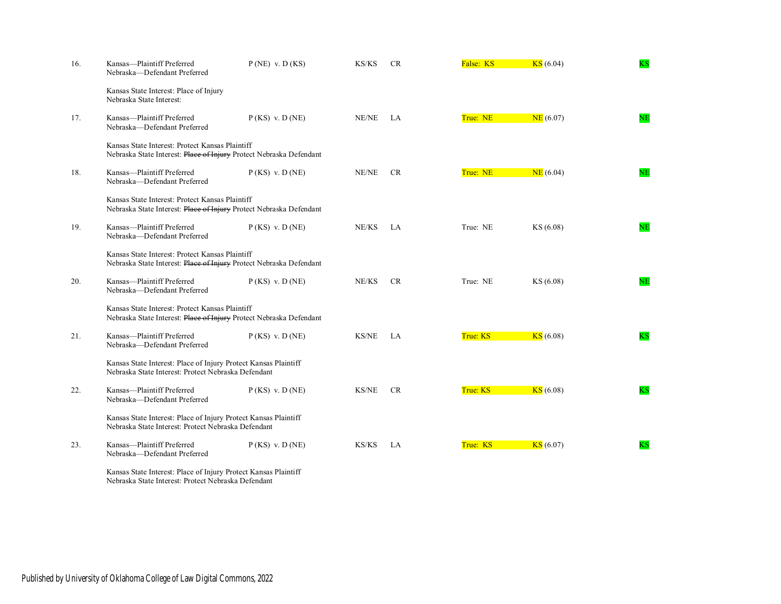| 16. | Kansas-Plaintiff Preferred<br>Nebraska-Defendant Preferred                                                             | $P(NE)$ v. $D(KS)$ | KS/KS        | CR        | False: KS | KS(6.04)  | KS        |
|-----|------------------------------------------------------------------------------------------------------------------------|--------------------|--------------|-----------|-----------|-----------|-----------|
|     | Kansas State Interest: Place of Injury<br>Nebraska State Interest:                                                     |                    |              |           |           |           |           |
| 17. | Kansas—Plaintiff Preferred<br>Nebraska-Defendant Preferred                                                             | $P(KS)$ v. D(NE)   | NE/NE        | LA.       | True: NE  | NE(6.07)  | NE        |
|     | Kansas State Interest: Protect Kansas Plaintiff<br>Nebraska State Interest: Place of Injury Protect Nebraska Defendant |                    |              |           |           |           |           |
| 18. | Kansas-Plaintiff Preferred<br>Nebraska-Defendant Preferred                                                             | $P(KS)$ v. D(NE)   | NE/NE        | CR        | True: NE  | NE(6.04)  | NE        |
|     | Kansas State Interest: Protect Kansas Plaintiff<br>Nebraska State Interest: Place of Injury Protect Nebraska Defendant |                    |              |           |           |           |           |
| 19. | Kansas-Plaintiff Preferred<br>Nebraska-Defendant Preferred                                                             | $P(KS)$ v. D(NE)   | NE/KS        | LA        | True: NE  | KS(6.08)  | NE        |
|     | Kansas State Interest: Protect Kansas Plaintiff<br>Nebraska State Interest: Place of Injury Protect Nebraska Defendant |                    |              |           |           |           |           |
| 20. | Kansas—Plaintiff Preferred<br>Nebraska-Defendant Preferred                                                             | $P(KS)$ v. D(NE)   | NE/KS        | <b>CR</b> | True: NE  | KS (6.08) | NE        |
|     | Kansas State Interest: Protect Kansas Plaintiff<br>Nebraska State Interest: Place of Injury Protect Nebraska Defendant |                    |              |           |           |           |           |
| 21. | Kansas—Plaintiff Preferred<br>Nebraska-Defendant Preferred                                                             | $P(KS)$ v. D(NE)   | <b>KS/NE</b> | LA        | True: KS  | KS(6.08)  | KS        |
|     | Kansas State Interest: Place of Injury Protect Kansas Plaintiff<br>Nebraska State Interest: Protect Nebraska Defendant |                    |              |           |           |           |           |
| 22. | Kansas—Plaintiff Preferred<br>Nebraska-Defendant Preferred                                                             | $P(KS)$ v. D(NE)   | <b>KS/NE</b> | <b>CR</b> | True: KS  | KS(6.08)  | <b>KS</b> |
|     | Kansas State Interest: Place of Injury Protect Kansas Plaintiff<br>Nebraska State Interest: Protect Nebraska Defendant |                    |              |           |           |           |           |
| 23. | Kansas-Plaintiff Preferred<br>Nebraska-Defendant Preferred                                                             | $P(KS)$ v. D(NE)   | KS/KS        | LA        | True: KS  | KS(6.07)  | ΚS        |
|     | Kansas State Interest: Place of Injury Protect Kansas Plaintiff                                                        |                    |              |           |           |           |           |

Nebraska State Interest: Protect Nebraska Defendant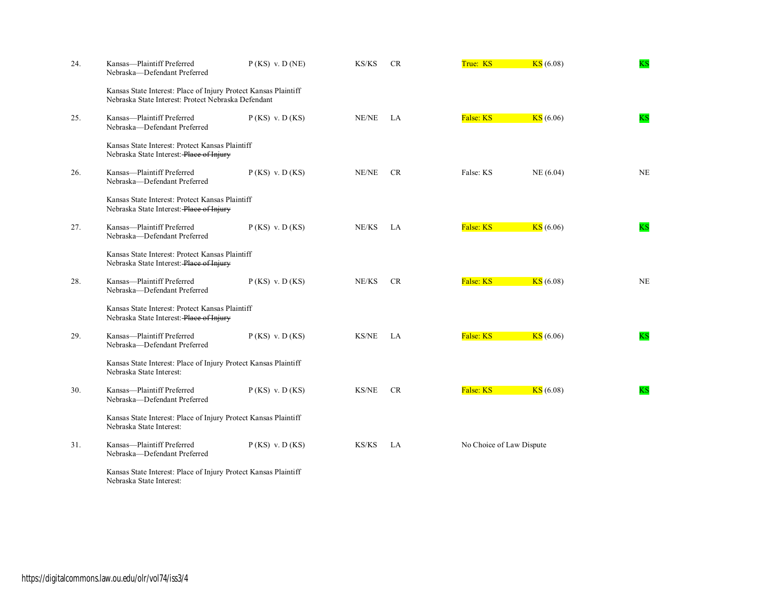| 24. | Kansas-Plaintiff Preferred<br>Nebraska-Defendant Preferred                                                             | $P(KS)$ v. D(NE)   | KS/KS        | <b>CR</b> | True: KS                 | KS(6.08) | <b>KS</b> |
|-----|------------------------------------------------------------------------------------------------------------------------|--------------------|--------------|-----------|--------------------------|----------|-----------|
|     | Kansas State Interest: Place of Injury Protect Kansas Plaintiff<br>Nebraska State Interest: Protect Nebraska Defendant |                    |              |           |                          |          |           |
| 25. | Kansas-Plaintiff Preferred<br>Nebraska-Defendant Preferred                                                             | $P(KS)$ v. $D(KS)$ | NE/NE        | LA        | False: KS                | KS(6.06) | <b>KS</b> |
|     | Kansas State Interest: Protect Kansas Plaintiff<br>Nebraska State Interest: Place of Injury                            |                    |              |           |                          |          |           |
| 26. | Kansas-Plaintiff Preferred<br>Nebraska-Defendant Preferred                                                             | $P(KS)$ v. $D(KS)$ | NE/NE        | CR        | False: KS                | NE(6.04) | <b>NE</b> |
|     | Kansas State Interest: Protect Kansas Plaintiff<br>Nebraska State Interest: Place of Injury                            |                    |              |           |                          |          |           |
| 27. | Kansas-Plaintiff Preferred<br>Nebraska-Defendant Preferred                                                             | $P(KS)$ v. $D(KS)$ | NE/KS        | LA        | False: KS                | KS(6.06) | <b>KS</b> |
|     | Kansas State Interest: Protect Kansas Plaintiff<br>Nebraska State Interest: Place of Injury                            |                    |              |           |                          |          |           |
| 28. | Kansas-Plaintiff Preferred<br>Nebraska-Defendant Preferred                                                             | $P(KS)$ v. $D(KS)$ | NE/KS        | <b>CR</b> | False: KS                | KS(6.08) | NE        |
|     | Kansas State Interest: Protect Kansas Plaintiff<br>Nebraska State Interest: Place of Injury                            |                    |              |           |                          |          |           |
| 29. | Kansas-Plaintiff Preferred<br>Nebraska-Defendant Preferred                                                             | $P(KS)$ v. $D(KS)$ | <b>KS/NE</b> | LA        | False: KS                | KS(6.06) | <b>KS</b> |
|     | Kansas State Interest: Place of Injury Protect Kansas Plaintiff<br>Nebraska State Interest:                            |                    |              |           |                          |          |           |
| 30. | Kansas-Plaintiff Preferred<br>Nebraska-Defendant Preferred                                                             | $P(KS)$ v. $D(KS)$ | <b>KS/NE</b> | <b>CR</b> | False: KS                | KS(6.08) | <b>KS</b> |
|     | Kansas State Interest: Place of Injury Protect Kansas Plaintiff<br>Nebraska State Interest:                            |                    |              |           |                          |          |           |
| 31. | Kansas-Plaintiff Preferred<br>Nebraska-Defendant Preferred                                                             | $P(KS)$ v. $D(KS)$ | KS/KS        | LA.       | No Choice of Law Dispute |          |           |
|     | Kansas State Interest: Place of Injury Protect Kansas Plaintiff<br>Nebraska State Interest:                            |                    |              |           |                          |          |           |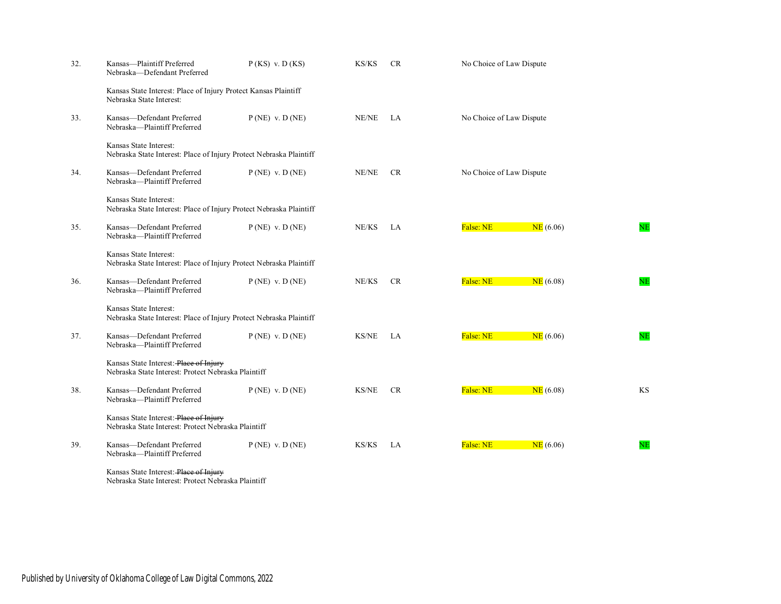| 32. | Kansas-Plaintiff Preferred<br>Nebraska-Defendant Preferred                                    | $P(KS)$ v. $D(KS)$ | KS/KS        | <b>CR</b> | No Choice of Law Dispute |           |
|-----|-----------------------------------------------------------------------------------------------|--------------------|--------------|-----------|--------------------------|-----------|
|     | Kansas State Interest: Place of Injury Protect Kansas Plaintiff<br>Nebraska State Interest:   |                    |              |           |                          |           |
| 33. | Kansas-Defendant Preferred<br>Nebraska-Plaintiff Preferred                                    | $P(NE)$ v. D(NE)   | NE/NE        | LA        | No Choice of Law Dispute |           |
|     | Kansas State Interest:<br>Nebraska State Interest: Place of Injury Protect Nebraska Plaintiff |                    |              |           |                          |           |
| 34. | Kansas-Defendant Preferred<br>Nebraska-Plaintiff Preferred                                    | $P(NE)$ v. D(NE)   | NE/NE        | <b>CR</b> | No Choice of Law Dispute |           |
|     | Kansas State Interest:<br>Nebraska State Interest: Place of Injury Protect Nebraska Plaintiff |                    |              |           |                          |           |
| 35. | Kansas-Defendant Preferred<br>Nebraska-Plaintiff Preferred                                    | $P(NE)$ v. D(NE)   | NE/KS        | LA        | False: NE<br>NE(6.06)    | NE        |
|     | Kansas State Interest:<br>Nebraska State Interest: Place of Injury Protect Nebraska Plaintiff |                    |              |           |                          |           |
| 36. | Kansas-Defendant Preferred<br>Nebraska-Plaintiff Preferred                                    | $P(NE)$ v. D(NE)   | NE/KS        | <b>CR</b> | False: NE<br>NE(6.08)    | NE        |
|     | Kansas State Interest:<br>Nebraska State Interest: Place of Injury Protect Nebraska Plaintiff |                    |              |           |                          |           |
| 37. | Kansas-Defendant Preferred<br>Nebraska-Plaintiff Preferred                                    | $P(NE)$ v. D(NE)   | <b>KS/NE</b> | LA        | False: NE<br>NE(6.06)    | NE        |
|     | Kansas State Interest: Place of Injury<br>Nebraska State Interest: Protect Nebraska Plaintiff |                    |              |           |                          |           |
| 38. | Kansas-Defendant Preferred<br>Nebraska-Plaintiff Preferred                                    | $P(NE)$ v. D(NE)   | <b>KS/NE</b> | <b>CR</b> | False: NE<br>NE(6.08)    | <b>KS</b> |
|     | Kansas State Interest: Place of Injury<br>Nebraska State Interest: Protect Nebraska Plaintiff |                    |              |           |                          |           |
| 39. | Kansas-Defendant Preferred<br>Nebraska-Plaintiff Preferred                                    | $P(NE)$ v. D(NE)   | KS/KS        | LA        | False: NE<br>NE(6.06)    | NE        |
|     | Kansas State Interest: Place of Injury                                                        | $m1$ , $m2$        |              |           |                          |           |

Nebraska State Interest: Protect Nebraska Plaintiff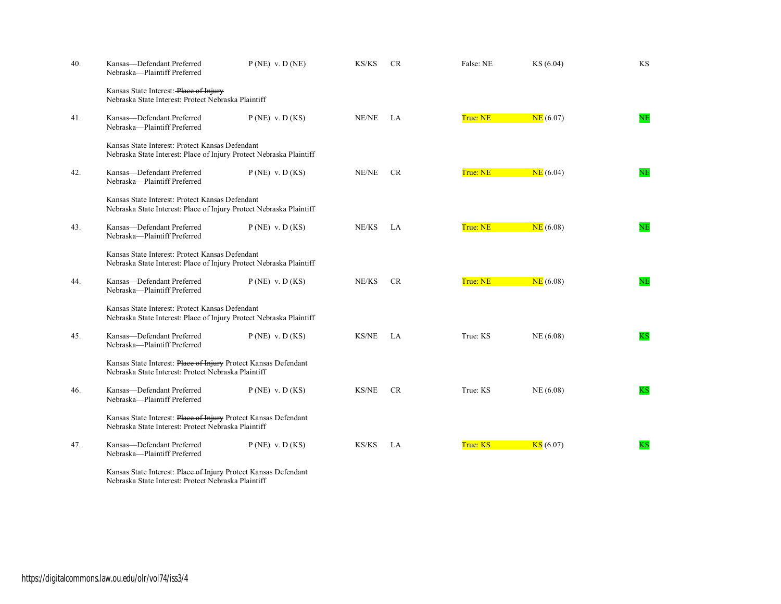| 40. | Kansas-Defendant Preferred<br>Nebraska-Plaintiff Preferred                                                             | $P(NE)$ v. D(NE)   | KS/KS        | CR        | False: NE | KS (6.04) | <b>KS</b> |
|-----|------------------------------------------------------------------------------------------------------------------------|--------------------|--------------|-----------|-----------|-----------|-----------|
|     | Kansas State Interest: Place of Injury<br>Nebraska State Interest: Protect Nebraska Plaintiff                          |                    |              |           |           |           |           |
| 41. | Kansas-Defendant Preferred<br>Nebraska-Plaintiff Preferred                                                             | $P(NE)$ v. $D(KS)$ | NE/NE        | LA        | True: NE  | NE(6.07)  | NE        |
|     | Kansas State Interest: Protect Kansas Defendant<br>Nebraska State Interest: Place of Injury Protect Nebraska Plaintiff |                    |              |           |           |           |           |
| 42. | Kansas-Defendant Preferred<br>Nebraska-Plaintiff Preferred                                                             | $P(NE)$ v. D(KS)   | NE/NE        | <b>CR</b> | True: NE  | NE(6.04)  | NE        |
|     | Kansas State Interest: Protect Kansas Defendant<br>Nebraska State Interest: Place of Injury Protect Nebraska Plaintiff |                    |              |           |           |           |           |
| 43. | Kansas-Defendant Preferred<br>Nebraska-Plaintiff Preferred                                                             | $P(NE)$ v. $D(KS)$ | NE/KS        | LA        | True: NE  | NE(6.08)  | NE        |
|     | Kansas State Interest: Protect Kansas Defendant<br>Nebraska State Interest: Place of Injury Protect Nebraska Plaintiff |                    |              |           |           |           |           |
| 44. | Kansas-Defendant Preferred<br>Nebraska-Plaintiff Preferred                                                             | $P(NE)$ v. $D(KS)$ | NE/KS        | <b>CR</b> | True: NE  | NE(6.08)  | NE        |
|     | Kansas State Interest: Protect Kansas Defendant<br>Nebraska State Interest: Place of Injury Protect Nebraska Plaintiff |                    |              |           |           |           |           |
| 45. | Kansas-Defendant Preferred<br>Nebraska-Plaintiff Preferred                                                             | $P(NE)$ v. D(KS)   | <b>KS/NE</b> | LA.       | True: KS  | NE(6.08)  | <b>KS</b> |
|     | Kansas State Interest: Place of Injury Protect Kansas Defendant<br>Nebraska State Interest: Protect Nebraska Plaintiff |                    |              |           |           |           |           |
| 46. | Kansas-Defendant Preferred<br>Nebraska-Plaintiff Preferred                                                             | $P(NE)$ v. D(KS)   | <b>KS/NE</b> | <b>CR</b> | True: KS  | NE(6.08)  | <b>KS</b> |
|     | Kansas State Interest: Place of Injury Protect Kansas Defendant<br>Nebraska State Interest: Protect Nebraska Plaintiff |                    |              |           |           |           |           |
| 47. | Kansas-Defendant Preferred<br>Nebraska-Plaintiff Preferred                                                             | $P(NE)$ v. $D(KS)$ | KS/KS        | LA        | True: KS  | KS(6.07)  | KS        |
|     | Kansas State Interest: Place of Injury Protect Kansas Defendant                                                        |                    |              |           |           |           |           |

Nebraska State Interest: Protect Nebraska Plaintiff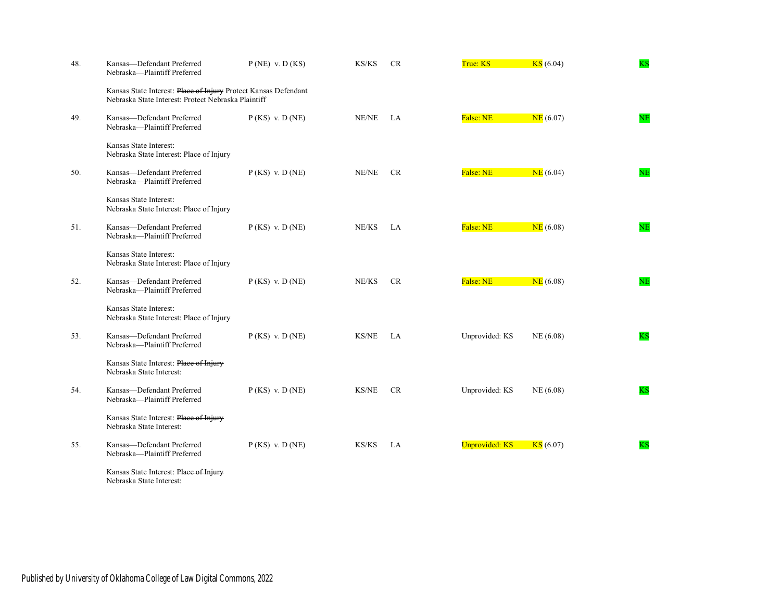| 48. | Kansas-Defendant Preferred<br>Nebraska-Plaintiff Preferred                                                             | $P(NE)$ v. $D(KS)$ | KS/KS        | <b>CR</b> | True: KS              | KS(6.04) | $\overline{\text{KS}}$ |
|-----|------------------------------------------------------------------------------------------------------------------------|--------------------|--------------|-----------|-----------------------|----------|------------------------|
|     | Kansas State Interest: Place of Injury Protect Kansas Defendant<br>Nebraska State Interest: Protect Nebraska Plaintiff |                    |              |           |                       |          |                        |
| 49. | Kansas-Defendant Preferred<br>Nebraska-Plaintiff Preferred                                                             | $P(KS)$ v. D(NE)   | NE/NE        | LA        | False: NE             | NE(6.07) | NE                     |
|     | Kansas State Interest:<br>Nebraska State Interest: Place of Injury                                                     |                    |              |           |                       |          |                        |
| 50. | Kansas-Defendant Preferred<br>Nebraska-Plaintiff Preferred                                                             | $P(KS)$ v. D(NE)   | NE/NE        | CR        | False: NE             | NE(6.04) | NE                     |
|     | Kansas State Interest:<br>Nebraska State Interest: Place of Injury                                                     |                    |              |           |                       |          |                        |
| 51. | Kansas-Defendant Preferred<br>Nebraska-Plaintiff Preferred                                                             | $P(KS)$ v. D(NE)   | NE/KS        | LA        | False: NE             | NE(6.08) | NE                     |
|     | Kansas State Interest:<br>Nebraska State Interest: Place of Injury                                                     |                    |              |           |                       |          |                        |
| 52. | Kansas-Defendant Preferred<br>Nebraska-Plaintiff Preferred                                                             | $P(KS)$ v. D(NE)   | NE/KS        | <b>CR</b> | False: NE             | NE(6.08) | NE                     |
|     | Kansas State Interest:<br>Nebraska State Interest: Place of Injury                                                     |                    |              |           |                       |          |                        |
| 53. | Kansas-Defendant Preferred<br>Nebraska-Plaintiff Preferred                                                             | $P(KS)$ v. D(NE)   | KS/NE        | LA        | Unprovided: KS        | NE(6.08) | <b>KS</b>              |
|     | Kansas State Interest: Place of Injury<br>Nebraska State Interest:                                                     |                    |              |           |                       |          |                        |
| 54. | Kansas-Defendant Preferred<br>Nebraska-Plaintiff Preferred                                                             | $P(KS)$ v. D(NE)   | <b>KS/NE</b> | CR        | Unprovided: KS        | NE(6.08) | <b>KS</b>              |
|     | Kansas State Interest: Place of Injury<br>Nebraska State Interest:                                                     |                    |              |           |                       |          |                        |
| 55. | Kansas-Defendant Preferred<br>Nebraska-Plaintiff Preferred                                                             | $P(KS)$ v. D(NE)   | KS/KS        | LA        | <b>Unprovided: KS</b> | KS(6.07) | ΚS                     |
|     | Kansas State Interest: Place of Injury<br>Nebraska State Interest:                                                     |                    |              |           |                       |          |                        |